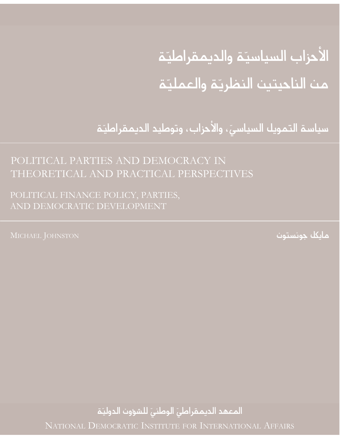# الأحزاب السياسيّة والديمقراطيّة من الناحيتين النظريّة والعمليّة

سياسة التمويل السياسيّ، والأحزاب، وتوطيد الديمقراطيّة

## POLITICAL PARTIES AND DEMOCRACY IN THEORETICAL AND PRACTICAL PERSPECTIVES

POLITICAL FINANCE POLICY, PARTIES, AND DEMOCRATIC DEVELOPMENT

مايكل جونستون

المعهد الديمقراطيّ الوطنيّ للشؤون الدوليّة NATIONAL DEMOCRATIC INSTITUTE FOR INTERNATIONAL AFFAIRS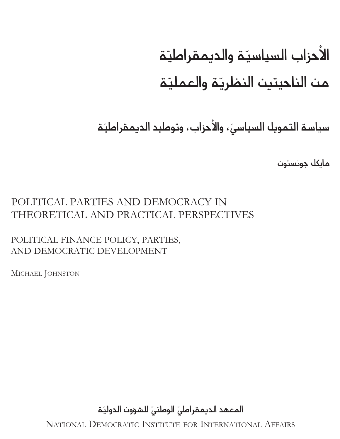# الأحزاب السياسيّة والديمقراطيّة من الناحيتين النظريّة والعمليّة

سياسة التمويل السياسيّ، والأحزاب، وتوطيد الديمقراطيّة

مايكل جونستون

## POLITICAL PARTIES AND DEMOCRACY IN THEORETICAL AND PRACTICAL PERSPECTIVES

POLITICAL FINANCE POLICY, PARTIES, AND DEMOCRATIC DEVELOPMENT

MICHAEL JOHNSTON

المعهد الديمقراطيّ الوطنيّ للشؤون الدوليّة

NATIONAL DEMOCRATIC INSTITUTE FOR INTERNATIONAL AFFAIRS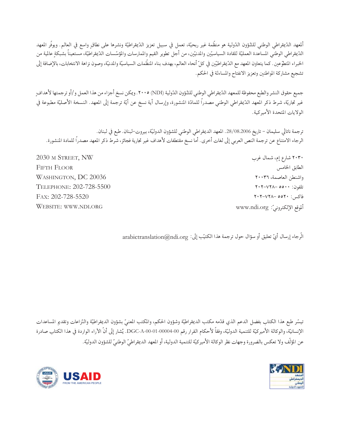ألمعهد الدّيمقراطي الوطني للشّؤون الدّولية هو منظّمة غير ربحيّة، تعمل في سبيل تعزيز الدّيقراطيّة ونشرها على نطاقٍ واسع في العالم. ويوفّر المعهد الدّيقراطي الوطني المساعدة العمليّة للقادة السياسيّين والمدنيّين، من أجل تطوير القيم والممارسات والمؤسّسات الدّيقراطيّة، مستعيناً بشبكةٍ عالمية من الخبراء المتطوّعين. كما يتعاون المعهد مع الدّيقراطيّين في كلّ أنحاء العالم، بهدف بناء المنظّمات السياسيّة والمدنيّة، وصون نزاهة الانتخابات، بالإضافة إلى تشجيع مشاركة المواطنين وتعزيز الانفتاح والمساءلة في الحكم.

جميع حقوق النشر والطبع محفوظة للمعهد الدّيقراطي الوطني للشّؤون الدّولية (NDI) ٢٠٠٥. ويمكن نسخ أجزاء من هذا العمل و/أو ترجمتها لأهدافٍ غير تجاريّة، شرط ذكر المعهد الدّيمقراطي الوطني مصدراً للمادّة المنشورة، وإرسال أية نسخ عن أيّة ترجمة إلى المعهد. النسخة الأصليّة مطبوعة في الولايات المتحدة الأميركية.

ترجمة ناتالي سليمان – تاريخ 28/08.2006. المعهد الديمقراطي الوطني للشؤون الدوليّة، بيروت-لبنان. طبع في لبنان. الرجاء الامتناع عن ترجمة النص العربي إلى لغات أخرى. أما نسخ مقتطفات لأهداف غير تجارية فجائز، شرط ذكر المعهد مصدراً للمادة المنشورة.

> ۲۰۳۰ شارع إم، شمال غرب الطابق الخامس واشنطن العاصمة، ٢٠٠٣٦ تلفون: ۲۰۰۰–۲۰۲–۲۰۲  $Y \cdot Y - VY \wedge - 00Y \cdot :$ فاکس اللوقع الإلكترونيّ: www.ndi.org

2030 M STREET, NW **FIFTH FLOOR** WASHINGTON, DC 20036 TELEPHONE: 202-728-5500 FAX: 202-728-5520 **WEBSITE: WWW.NDI.ORG** 

الَّرجاء إرسال أيّ تعليق أو سؤال حول ترجمة هذا الكتيّب إلى: arabictranslation@ndi.org

تيسّر طبع هذا الكتاب بفضل الدعم الذي قدّمه مكتب الديمقراطيّة وشؤون الحكم، والمكتب المعنيّ بشؤون الديمقراطيّة والنّزاعات وتقديم المساعدات الإنسانيّة، والوكالة الأميركيّة للتنمية الدوليّة، وفقاً لأحكام القرار رقم 00-000-01-000-01-DGC. يُشار إلى أنّ الأراء الواردة في هذا الكتاب صادرة عن المؤلِّف ولا تعكس بالضرورة وجهات نظر الوكالة الأميركيَّة للتنمية الدولية، أو المعهد الديمقراطيِّ الوطنيّ للشؤون الدوليَّة.



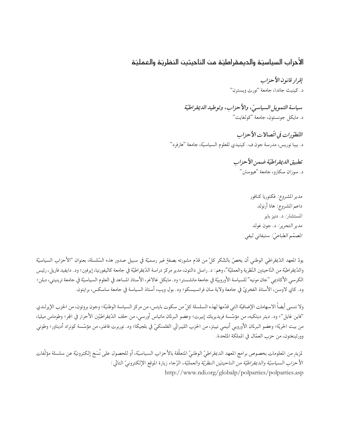#### الأحزاب السياسيّة والديمقراطيّة من الناحيتين النظريّة والعمليّة

إقرار قانون الأحزاب د. كينيث جاندا، جامعة "نورث ويسترن" سياسة التمويل السياسيّ، والأحزاب، وتوطيد الديقراطيّة د. مايكل جونستون، جامعة "كولغايت" التَّطوِّرات في اتِّصالات الأحزاب

د. بيبا نوريس، مدرسة جون ف. كينيدي للعلوم السياسيّة، جامعة "هارفرد"

تطبيق الديقراطيّة ضمن الأحزاب د. سوزان سكارو، جامعة "هيوستن"

> مدير المشروع: فكتوريا كنافور داعم المشروع: هانا أرنولد المستشار: د. دنيز باير مدير التحرير: د. جون غولد المصمّم الطباعيّ: ستيفاني ليفي

يودّ المعهد الدّيقراطي الوطني أن يخصّ بالشّكر كلّ من قدّم مشورته بصفةٍ غير رسميّة في سبيل صدور هذه السّلسلة، بعنوان "الأحزاب السياسيّة والدّيقراطيّة من النّاحيتين النّظرية والعمليّة"، وهم: د. راسل دالتون، مدير مركز دراسة الدّيقراطيّة في جامعة كاليفورنيا، إيرفين؛ ود. دايفيد فاريل، رئيس الكرسي الأكاديمي "جان مونيه" للسياسة الأوروبيّة في جامعة مانشستر؛ ود. مايكل غالاغر، الأستاذ المساعد في العلوم السياسيّة في جامعة ترينيتي، دبلن؛ ود. كاي لاوسن، الأستاذ الفخريّ في جامعة ولاية سان فرانسيسكو؛ ود. بول ويب، أستاذ السياسة في جامعة ساسكس، برايتون.

ولا ننسى أيضاً الاسهامات الإضافيّة التي قدّمها لهذه السلسلة كلّ من سكوت بايتس، من مركز السياسة الوطنيّة؛ وجون بروتون، من الحزب الإيرلندي "فاين غايل"؛ ود. ديتر ديتكيه، من مؤسَّسة فريديريك إبيرت؛ وعضو البرلمان ماتياس أورسي، من حلف الدَّيمقراطيّين الأحرار في المجر؛ وطوماس ميليا، من بيت الحريّة؛ وعضو البرلمان الأوروبي أنيمي نييتز، من الحزب الليبرالي الفلمنكيّ في بلجيكا؛ ود. نوربرت فاغنر، من مؤسّسة كونراد أديناور؛ وطوني وورثينغتون، من حزب العمّال في المملكة المّحدة.

لمزيد من المعلومات بخصوص برامج المعهد الديمقراطيّ الوطنيّ المتعلّقة بالأحزاب السياسيّة، أو للحصول على نُسَخ إلكترونيّة عن سلسلة مؤلّفات الأحزاب السياسيّة والديمقراطيّة من الناحيتيَن النظريّة والعمليّة، الرّجاء زيارة الموقع الإلكترونيّ التالي : http://www.ndi.org/globalp/polparties/polparties.asp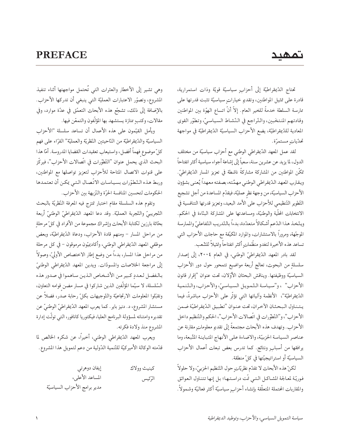#### **PREFACE**

#### تمهيد

تحتاج الدِّيمقراطيَّة إلى أحزابٍ سياسيَّة قويَّة وذات استمرارية، .<br>قادرة على تمثيل المواطنين، وتقديم خياراتٍ سياسيّة تثبت قدرتها على ممارسة السلطة خدمةً للخير العام. إلاّ أنّ اتساع الهوّة بين المواطنين وقادتهم المنتخَبين، والتّراجع في النّشاط السياسيّ، وتطوّر القوى المعادية للدّيمقراطيّة، يضع الأحزاب السياسيّة الدّيمقراطيّة في مواجهة تحدّيات مستمرّة.

لقد عمل المعهد الدّيمقراطي الوطني مع أحزاب سياسيّة من مختلف الدول، لما يزيد عن عشرين سنة، سعياً إلى إشاعة أجواء سياسية أكثر انفتاحاً تمكَّن المواطنين من المشاركة مشاركةً ناشطة في تعزيز المسار الدّيمقراطيّ. ويقارب المعهد الدّيقراطي الوطني مهمَّته، بصفته معهداً يُعنى بشؤون الأحزاب السياسيّة، من وجهة نظر عمليّة، فيقدّم المساعدة من أجل تشجيع التّطوير التّنظيمي للأحزاب على الأمد البعيد، وتعزيز قدرتها التنافسية في الانتخابات المحلَّية والوطنيَّة، ومساعدتها على المشاركة البنَّاءة في الحكم. ويتّخذ هذا الدّعم أشكالاً متعدّدة، بدءاً بالتّدريب التّفاعليّ والممارسة الموجّهة، ومرورًا بالاستشارات، والموارد المكيّفة مع حاجات الأحزاب التبي تساعد هذه الأخيرة لتغدو منظّماتٍ أكثر انفتاحاً وتمثيلاً للشّعب.

لقد بادر المعهد الدِّيمقراطيِّ الوطنبي، في العام ٢٠٠٤، إلى إصدار سلسلةٍ من البحوث، تعالج أربعة مواضيع تتمحور حول دور الأحزاب السياسيَّة ووظيفتها. ويناقش البحثان الأوِّلان، تحت عنوان "إقرار قانون الأحزاب" ، و"سياسة التّمويل السياسيّ، والأحزاب، والتّنمية الدِّيقراطيّة"، الأنظمة واَلياتها التي تؤثّر على الأحزاب مباشرةً، فيما يتناول البحثان الأخران، تحت عنوان "تطبيق الدّيقراطيّة ضمن الأحزاب"، و"التّطوّرات في اتّصالات الأحزاب"، الحكم والتّنظيم داخل الأحزاب. وتهدف هذه الأبحاث مجتمعةً إلى تقديم معلوماتٍ مقارنة عن عناصر السياسة الحزبيّة، والاضاءة على الأنهاج المباينة التَّبعة، وما يرافقها من أسبابٍ ونتائج. كما تدرس بعض تبعات أعمال الأحزاب السياسيّة أو استراتيجيّتها في كلّ منطقة.

لكنّ هذه الأبحاث لا تقدّم نظريّاتٍ حول التّنظيم الحزبيّ، ولا حلولاً فوريّة لمعالجة المشاكل التيي تّت دراستها؛ بل إنها تتناول العوائق والمقاربات المحتملة المتعلّقة بإنشاء أحزابٍ سياسيّة أكثر فعاليّة وشمولاً.

وهي تشير إلى الأخطار والعثرات التي تُحتمل مواجهتها أثناء تنفيذ المشروع، وتصوّر الاعتبارات العمليّة التي ينبغي أن تدركها الأحزاب. بالإضافة إلى ذلك، تشجَّع هذه الأبحاث التعمَّق في عدَّة موارد، وفي مقالات، وكتبٍ ممتازة يستشهد بها المؤلّفون والتمعّن فيها.

ويأمل القيَّمون على هذه الأعمال أن تساعد سلسلة "الأحزاب السياسيّة والدّيقراطيّة من النّاحيتين النّظريّة والعمليّة" القرّاء على فهم كلِّ موضوعٍ فهماً أفضل، واستيعاب تعقيدات القضايا المدروسة. أمّا هذا البحث الذي يحمل عنوان "التّطوّرات في اتّصالات الأحزاب"، فيركّز على قنوات الاتصال المتاحة للأحزاب لتعزيز تواصلها مع المواطنين، وربط هذه التّطوّرات بسياسات الاتّصال التيي يمكن أن تعتمدها الحكومات لتحسين المنافسة الحرّة والنّزيهة بين الأحزاب.

وتقوم هذه السلسلة مقام اختبار تمتزج فيه المعرفة النّظريّة بالبحث التَّجريبيّ والتَّجربة العمليَّة. وقد دعا المعهد الدَّيمقراطيّ الوطنيّ أربعة بحَّاثة بارزين لكتابة الأبحاث وإشراك مجموعة من الأفراد في كلِّ مرحلةٍ من مراحل المسار – ومنهم قادة الأحزاب، ودعاة الدّيمقراطيّة، وبعض موظفى المعهد الدِّيمقراطي الوطني، وأكاديميّون مرموقون – في كل مرحلة من مراحل هذا المسار، بدءاً من وضع إطار الاختصاص الأوليّ، وصولاً إلى مراجعة الخلاصات والمسودّات. ويدين المعهد الدّيمقراطي الوطنيّ بالفضل لعددٍ كبير من الأشخاص الذين ساهموا في صدور هذه السّلسلة، لا سيّما المؤلّفين الذين شاركوا في مسار مضن قوامه التعاون، وتقبِّلوا المعلومات الارتجاعيَّة والتَّوجيهات بكلِّ رحابة صدر، فضلاً عن مستشار المشروع، د. دنيز باير. كما يعرب المعهد الدّيمقراطيّ الوطنيّ عن تقديره وامتنانه لمسؤولة البرنامج العليا، فيكتوريا كانافور، التبي تولّت إدارة المشروع منذ ولادة فكرته.

ويعرب المعهد الدِّيمقراطي الوطني، أخيراً، عن شكره الخالص لما قدّمته الوكالة الأميركيّة للتّنمية الدّولية من دعم لتمويل هذا المشروع.

| كينيث وولاك | إيفان دوهرتي                 |
|-------------|------------------------------|
| الرّئيس     | المساعد الأعلى،              |
|             | مدير برامج الأحزاب السياسيّة |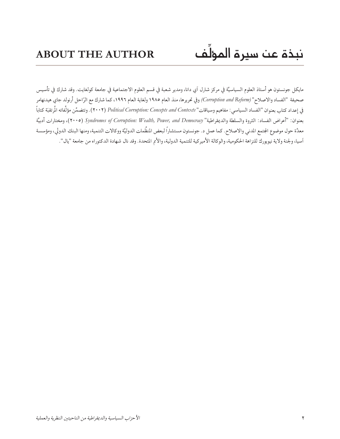مايكل جونستون هو أستاذ العلوم السياسيَّة في مركز شارل أي دانا، ومدير شعبة في قسم العلوم الاجتماعية في جامعة كولغايت. وقد شارك في تأسيس صحيفة "الفساد والاصلاح" *(Corruption and* Reform) وفي تحريرها، منذ العام ١٩٨٥ ولغاية العام ١٩٩٦، كما شارك مع الرّاحل أرنولد جاي هيدنهامر في إعداد كتاب بعنوان "الفساد السياسي: مفاهيم وسياقات" (۲۰۰۲) Political Corruption: Concepts and Contexts ). وتتضمَّن مؤلَّفاته المُرتقبَة كتاباً بعنوان: "أعراض الفساد: الثروة والسلطة والديمقراطية" Syndromes of Corruption: Wealth, Power, and Democracy (٢٠٠٥)، ومختارات أدبيَّة معدَّة حول موضوع الجتمع المدنى والاصلاح. كما عمل د. جونستون مستشاراً لبعض المنظَّمات الدوليَّة ووكالات التنمية، ومنها البنك الدولي، ومؤسسة أسيا، ولجنة ولاية نيويورك للنزاهة الحكومية، والوكالة الأميركية للتنمية الدولية، والأم المتحدة. وقد نال شهادة الدكتوراه من جامعة "يال".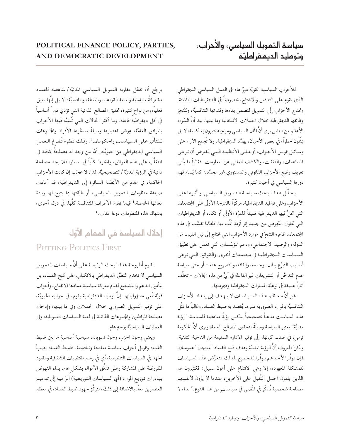للأحزاب السياسية القويَّة دورٌ هام في العمل السياسي الديمقراطي الذي يقوم على التنافس والانفتاح، خصوصاً في الديمقراطيات الناشئة. وتحتاج الأحزاب إلى التمويل لتضمن بقاءها وقدرتها التنافسيَّة، ولتُنجِز وظائفها الديمقراطية خلال الحملات الانتخابية وما بينها. بيد أنَّ السَّواد الأعظم من الناس يرى أنَّ المال السياسي ومانِحِيه يثيرون إشكالية، لا بل يمثِّلون خطرًا، في بعض الأحيان، يهدِّد الديمقراطية. ولا تُجمِع الأراء على وسائل تمويل الأحزاب، أو علمي الأنظمة التبي يُفترض أن ترعي المساهمات، والنفقات، والكشف العلني عن المعلومات. فغالباً ما يأتي تعريف وضع الأحزاب القانوني والدستوري غير محدَّد.' كما يُساء فهم دورها السياسي في أحيان كثيرة.

يحلِّل هذا البحث سياسة التمويل السياسي، وتأثيرها على الأحزاب وعلى توطيد الديمقراطية، مركَّزاً بالدرجة الأولى على الجتمعات التي تحلُّ فيها الديمقراطية ضيفةً للمرَّة الأولى أو تكاد، أو الديمقراطيات التي تحاول النُّهوض من جديد إثر أزمة ألمَّت بها. فلطالما تفشَّت في هذه المجتمعات ظاهرة الشحَّ في موارد الأحزاب التي تحتاج إلى نيل القبول من الدولة، والرصيد الاجتماعي، ودعم المؤسَّسات التي تعمل على تطبيق السياسات الـديمقراطيـة في مجتمعات أخرى. والـقوانين الـتـي ترعـي أساليب التبرُّع بالمال، وجمعه، وإنفاقه، والتصريح عنه – أو حتى سياسة عدم التدخُّل أو التشريعات غير الفاعلة في أيٍّ من هذه الجالات – تخلُّف أثاراً عميقة في نوعيَّة المسارات الديمقراطية وديمومتها.

غير أنَّ معظم هذه السـيـاسـات لا يـهدف إلى إمداد الأحزاب التنافسيَّة بالموارد الضرورية قدر ما يُقصد به ضبط الفساد. وغالباً ما تمثَّل هذه السياسات مذهباً تصحيحياً يعكس رؤيةً مناهضة للسياسة، "رؤية مدنيَّة" تعتبر السياسة وسيلةً لتحقيق المصالح العامة، وترى أنَّ الحكومة ترمي، في صلب كيانها، إلى توفير الادارة السليمة من الناحية التقنية. ولكنَّ المعروف أنَّ الرؤية المدنيَّة وهدف قمع الفساد "منتجان" عموميان، فإن توفَّرا لأحدهم توفَّرا للجميع. لذلك تتعرَّض هذه السياسات للمشكلة المعهودة، إلا وهي الانتفاع على أهون سبيل: فكثيرون هم الذين يلقون الحمل الثَّقيل على الأخرين، عندما لا يرَون لأنفسهم مصلحة شخصية تُذكَر في الَمضي في سياساتٍ من هذا النوع .' لذا، لا

يرجَّح أن تفعَّل مقاربة التمويل السياسي المدنيَّة/المناهضة للفساد مشاركةً سياسية واسعة القواعد، وناشطة، وتنافسيَّة؛ لا بل إنَّها تعيق فعلياً، ومن نواح كثيرة، تحقيق المصالح الذاتية التي تؤدي دوراً أساسياً في كل ديمقراطية فاعلة. وما أكثر الحالات التي تُشبَّه فيها الأحزاب بالمرافق العامَّة، عِوَض اعتبارها وسيلةً يسخِّرها الأفراد والمجموعات للتأثير على السياسات والحكومات". وتلك نظرة تُفرغ العمل السياسي الديمقراطي من حيويَّته. أمَّا من وجد له مصلحةً كافية في التغلُّب على هذه العوائق، وانخرط كلِّياً في المسار، فلا يجد مصلحة ذاتية في الرؤية المدنيَّة/التصحيحيَّة. لذا، لا عجَب إن كانت الأحزاب الحاكمة، في عددٍ من الأنظمة السائرة إلى الديمقراطية، قد أعادت صياغة منظومات التمويل السياسي، أو طبَّقتها بما يتيح لها زيادة مغانمها الخاصة،' فيما تقوم الأطراف المتنافسة كلُّها، في دول أخرى، بانتهاك هذه المنظومات دونما عقاب.°

#### إحلال السياسة في المقام الأوّل

#### PUTTING POLITICS FIRST

تقوم أطروحة هذا البحث الرئيسة على أنَّ سياسات التمويل السياسي لا تخدم التطوُّر الديمقراطي بالانكباب على كبح الفساد، بل بتأمين الدعم والتشجيع لقيام معركة سياسية عمادها الانفتاح، وأحزاب قويَّة تَعي مسؤولياتها. إنَّ توطيد الديمقراطية يقوم، في جوانبه الحيويَّة، على توفير التمويل الضروري خلال الحملات وفي ما بينها، وإدخال مصلحة المواطنين والمجموعات الذاتية في لعبة السياسات التمويلية، وفي العمليات السياسيَّة بوجهِ عام.

ويعني وجود الحزب وجودَ تسويات سياسية أساسية ما بين ضبط الفساد وتمويل أحزاب سياسية منفتحة وتنافسية. فضبط الفساد يصبُّ الجهد في السياسات التنظيمية، أي في رسم مقتضيات الشفافية والقيود المفروضة على المشاركة وعلى تدفَّق الأموال بشكل عام، بدل النهوض بمبادرات توزيع الموارد (أي السياسات التوزيعية) الرّامية إلى تدعيم العنصرَين معاً. بالاضافة إلى ذلك، تتركَّز جهود ضبط الفساد، في معظم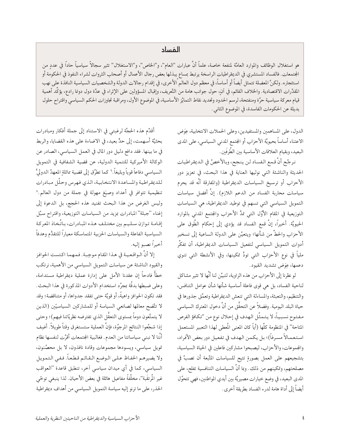#### الفساد

هو استغلال الوظائف والموارد العامَّة لمنفعة خاصة، علماً أنَّ عبارات "العام"، و"الخاص"، و"الاستغلال" تثير سجالاً سياسياً حاداً في عددٍ من الجتمعات. فالفساد المستشري في الديمقراطيات الراسخة يرتبط بمساع يبذلها بعض رجال الأعمال أو أصحاب الثروات لشراء النفوذ في الحكومة أو استئجاره. ولكنَّ المضلة تتمثل أيضاً أو أساساً، في معظم دول العالم الأخرى، في إقدام رجالات الدولة والشخصيات السياسية النافذة على نهب المقدَّرات الاقتصادية. والخلاف القائم، في اَن، حول جوانب هامة من التَّعريف، وإقبال المسؤولين على الإثراء في عدّة دول دونما رادع، يؤكّد أهمية قيام معركة سياسية حرَّة ومنفتحة، لرسم الحدود وتحديد نقاط التمايُز الأساسية، في الموضوع الأول، ومراقبة تجاوزات الحكم السياسي واقتراح حلول بديلة عن الحكومات الفاسدة، في الموضوع الثاني.

> الدول، على المساهمين والمستفيدين، وعلى الحملات الانتخابية، عِوَض الاعتناء أساساً بحيويَّة الأحزاب أو المجتمع المدنى السياسي، على المدى البعيد، وبقيام العلاقات الأساسية بين الطَّرفَين.

> نرجِّح أنَّ قمع الفساد لن ينجح، وبالأخصِّ في الديمقراطيات الحديثة والناشئة التي نوليها العناية في هذا البحث، في تعزيز دور الأحزاب أو ترسيخ السياسات الديمقراطية (والمفارقة أنَّه قد يحرم سياسات محاربة الفساد من الدعم اللازم). إنَّ أفضل سياسات التمويل السياسي التي تسهم في توطيد الديمقراطية، هي السياسات التوزيعية في المقام الأوَّل التي تمدُّ الأحزاب والمجتمع المدنى بالموارد الحيويَّة. أخيراً، إنَّ قمع الفساد قد يؤدي إلى إحكام الطَّوق على الأحزاب والحطِّ من شأنها؛ ويتعيَّن على الدولة الساعية إلى تسخير أدوات التمويل السياسي لتفعيل السياسات الديمقراطية، أن تفكِّر ملياً في نوع الأحزاب التي تودُّ تمكينها، وفي الأنشطة التي تنوي دعمها، عِوَض تشديد القيود.

> لو نظرنا إلى الأحزاب من هذه الزاوية، لتبيَّن لنا أنَّها لا تثير مشاكل لناحية الفساد، بل هي قوى فاعلة أساسية شأنها شأن عوامل التنافس، والتنظيم، والتعبئة، والمساءلة التي تنعش الديمقراطية وتعمَّق جذورها في حياة البلد اليومية. وفضلاً عن التحقُّق من أنَّ دخول المعترك السياسي مفتوح نسبياً، لا يتمثَّل الهدف في إحلال نوع من "تكافؤ الفرص المتاحة" في المنظومة كلِّها (أياً كان المعنى المُعطى لهذا التعبير المستعمل استعمالاً مسرفاً)؛ بل يكمن الهدف في تفعيل دور بعض الأفراد، والمجموعات، والأحزاب، ليصبحوا مشاركين فاعلين في الحياة السياسية، بتشجيعهم على العمل بصورةٍ تتيح للسياسات المتَّبعة أن تصبَّ في مصلحتهم، وتمكينهم من ذلك. وبما أنَّ السياسات التنافسية تفلح، على المدى البعيد، في وضع خيارات مصيريَّة بين أيدي المواطنين، فهي تتحوَّل أيضاً إلى أداة هامة لدرء الفساد بطريقة أخرى.

أقدِّم هذه الحجَّة لرغبتي في الاستناد إلى جملة أفكار ومبادرات بحثيَّة أسهمت، إلى حدٍّ بعيد، في الاضاءة على هذه القضايا، والربط في ما بينها. فقد دافع دليل دور المال في العمل السياسي، الصادر عن الوكالة الأميركية للتنمية الدولية، عن قضية الشفافية في التمويل السياسي دفاعاً قوياً وبليغاً. ` كما تطرَّق إلى قضية ماثلةِ المعهدُ الدوليُّ للديقراطية والمساعدة الانتخابية، الذي فهرس وحلَّل مبادرات تنظيمية تتوافر في أعداد وصيَغ مهولة في جملة من دول العالم.<sup>٧</sup> وليس الغرض من هذا البحث تفنيد هذه الحجج، بل الدعوة إلى إغناء "جبلة" المبادرات بمزيد من السياسات التوزيعية، واقتراح سبُل إقـامـة تـوازن سـلـيـم بين مختـلـف هـذه المبـادرات، بـاتَّـخاذ المعركـة السياسية الفاعلة والسياسات الحزبية المتماسكة معياراً للتقدُّم وهدفاً أخيراً نصبو إليه.

إلا أنَّ الـواقـعـيـة في هـذا المقام موجِبـة. فمـهما اكـتست الحوافز والقيود الناشئة عن سياسات التمويل السياسي من الأهمية، نرتكب خطأً فادحاً إن عقدنا الأمل على إدارة عملية ديمقراطية مستدامة، وعلى ضبطها بدقَّة بمجرَّد استخدام الأدوات المذكورة في هذا البحث. فقد تكون الحوافز واهيةً، أو قويَّة حتى تفقد جدواها، أو متناقضة؛ وقد لا تتَّضح معالمها لصانعي السياسة أو للمشاركين السياسيّين (الذين لا يتمتَّعون دوماً بمستوى التعقُّل الذي تفترضه نظريَّاتنا فيهم)؛ وحتى إذا شجَّعوا النتائج المرجوَّة، فإنَّ العملية ستستغرق وقتاً طويلاً. أضِف أنَّنا لا نبني سياساتنا من العدم. فغالبية الجتمعات أقرَّت لنفسها نظام تمويل سياسي، ويسودها مجموعات وقادة نافذون، لا بل محصَّنون، ولا يضيرهم الحفاظ علىي الوضع القائم قطعاً. ففي التمويل السياسي، كما في أي ميدان سياسي أخر، تنطبق قاعدة "العواقب غير المُرتقَبة''، مخلَّفةً مفاعيل هائلة في بعض الأحيان. لذا ينبغي توخَّى الحذر، على ما ترنو إليه سياسة التمويل السياسي من أهداف ديمقراطية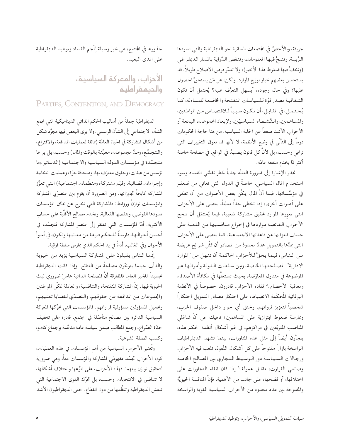جريئة، وبالأخصِّ في المجتمعات السائرة نحو الديمقراطية والتي تسودها الرَّيبة، وتشحُّ فيها المعلومات، وتنقص الدِّراية بالمسار الديمقراطي (وتخفُّ فيها ضغوط هذا الأخير)، ولا تعمُّر فرص الاصلاح طويلاً. قد يستحسن بعضهم خيار توزيع الموارد. ولكن، هل مَن يستحقُّ الحصول عليها؟ وفي حال وجوده، أيسهل التعرُّف عليه؟ يُحتمل أن تكون الشفافية مصدر قوَّة للسياسات المنفتحة والخاضعة للمساءلة، كما يُحتمل، في المقابل، أن تكون سبباً لـلاقتصاص من المواطنين، والمساهمين، والنُّشطاء السياسيّين، ولإبعاد الجموعات اليانعة أو الأحزاب الأشد ضعفاً عن الحلبة السياسية. من هنا حاجة الحكومات دوماً إلى التأنّي في وضع الأنظمة، لا لأنها قد تعوق التغييرات التي نرتجي وحسب، بل لأنَّ كل قانون يصبُّ، في الواقع، في مصلحة خاصة أكثر تمّا يخدم منفعة عامَّة.

تجدر الإشارة إلى ضرورة التنبُّه جدياً لخطر تفشّي الفساد وسوء استخدام المال السياسي، خاصةً في الدول التي تعاني من ضعفٍ في مؤسَّساتها. فبما أنَّ المال يمكِّن بعض الأصوات من أن تطغى على أصوات أخرى، إذا تخطى حداً معيَّناً، يعصى على الأحزاب التي تعوزها الموارد تحقيق مشاركة شعبية، فيما يُحتمَل أن تنجح الأحزاب الفائضة مواردها في إخراج منافسيها من اللعبة على حساب انعزالها عن قاعدتها الاجتماعية. كما يعصى على الأحزاب التي يمدُّها بالتمويل عددٌ محدودٌ من المصادر أن تمثُّل شرائح عريضة من الـنـاس، فيمـا يحقُّ للأحزاب الحاكـمـة أن تـنـهـل مـن "الموارد الادارية" لمصلحتها الخاصة، ومِن سلطات الدولة وأموالها غير الموضوعة في متناول المعارَضة، بحيث تستغلُّها في مكافأة الأصدقاء ومعاقبة الأخصام.^ فقادة الأحزاب قادرون، خصوصاً في الأنظمة البرلمانية المُحكَمة الانضباط، على احتكار مصادر التمويل احتكاراً شخصياً لتعزيز ثرواتهم، وخنق أي حوار داخل صفوف الحزب، وممارسة ضغوط ابتزازية على المساهمين؛ ناهيك عن أنَّ شاغلي المناصب المتربِّعين في مراكزهم، في غير أشكال أنظمة الحكم هذه، يلجأون أيضاً إلى مثل هذه المناورات، بينما تشهد الديمقراطيات الراسخة بازاراً مفتوحاً على كل أشكال النُّفوذ، تلعب فيه الأحزاب ورجالات السياسة دور الوسيط التجاري بين المصالح الخاصة وصانعي القرارت، مقابل عمولة.٩ إذا كان اتقاء التجاوزات على اختلافها، أو فضحها، على جانب من الأهمية، فإنَّ المنافسة الحيويَّة والمفتوحة بين عدد محدود من الأحزاب السياسية القوية والراسخة

جذورها في الجتمع، هي خير وسيلة لِلَجم الفساد وتوطيد الديمقراطية على المدى البعيد.

## الأحزاب، والمعركة السياسية، والديمقراطية

PARTIES, CONTENTION, AND DEMOCRACY

الديمقراطية جملةً من أساليب الحكم الذاتي الديناميكية التي تجمع الشأن الاجتماعي إلى الشأن الرسمي. ولا يرى البعض فيها مجرَّد شكل من أشكال المشاركة في الحياة العامَّة (مماثلة لعمليات المدافعة، والاقتراع، والتجمُّع، ومدٍّ مجموعات معيَّنة بالوقت والمال) وحسب، بل يراها متجسِّدة في مؤسسات الدولة السياسية والاجتماعية (الدساتير وما تؤسس من هيئات، وحقوق معترَف بها، وصحافة حرَّة، وعمليات انتخابية وإجراءات قضائية، وقيَم مشتركة، ومنظَّمات اجتماعية) التي تعزِّز المشاركة كابحةً تجاوزاتها. ومن الضرورة أن يقوم بين عنصرَي المشاركة والمؤسسات توازنٌ وروابط: فالمشاركة التبي تخرج عن نطاق المؤسسات تسودها الفوضي، وتنقصها الفعالية، وتخدم مصالح الأقلَّية على حساب الأكثرية. أمَّا المؤسسات التبي تفتقر إلى عنصر المشاركة فتجسِّد، في أحسـن أحوالـهـا، ممارسـةً لـلحكـم فارغة مـن معانيـها وتكون، في أسوأ الأحوال وفي الغالب، أداةً في يد الحكم الذي يمارس سلطة فوقية.

إنَّما الناس يقبلون على المشاركة السياسية بمزيد من الحيوية والدأب حينما يتوخّون مصلحةً من النتائج. وإذا كانت الديمقراطية تجسيداً للخير العام، فالمفارقة أنَّ المصلحة الذاتية عاملٌ ضروري لبث الحيوية فيها. إنَّ المشاركة المنفتحة، والتنافسية، والعادلة تمكَّن المواطنين والجموعات من المدافعة عن حقوقهم، والتصدّي لقضايا تعنيهم، وتحميل المسؤولين مسؤولية قراراتهم. فالمؤسسات التي تحرِّكها المعركة السياسية الدائرة بين مصالح متأصِّلة في المجتمع، قادرة على تخفيف حدَّة الصِّراع، وجمع المطالب ضمن سياسة عامة مدعَّمة بإجماع كافٍ، وكسب الصفة الشرعية.

وتُعتبر الأحزاب السياسية من أهم المؤسسات في هذه العمليات، كون الأحزاب تجسِّد مفهومَى المشاركة والمؤسسات معاً، وهى ضرورية لتحقيق توازن بينهما. فهذه الأحزاب، على تنوُّعها واختلاف أشكالها، لا تتنافس في الانتخابات وحسب، بل تحرُّك القوى الاجتماعية التي تنعش الديمقراطية وتنظَّمها من دون انقطاع. حتى الديمقراطيون الأشد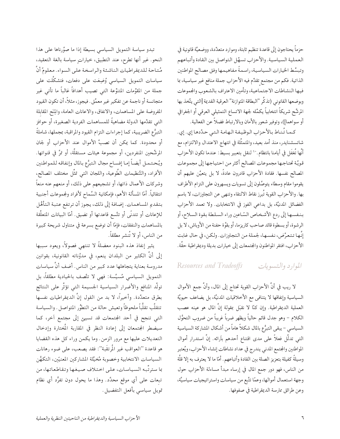حزماً يحتاجون إلى قاعدة تنظيم ثابتة، وموارد متعدِّدة، ووضعيَّة قانونية في العملية السياسية. والأحزاب تسهَّل التواصل بين القادة وأتباعهم وتبسِّط الخيارات السياسية، راسمةً مفاهيمها وفق مصالح المواطنين الذاتية. فكم من مجتمع تقدِّم فيه الأحزاب جملة منافع غير سياسية، بما فيها النشاطات الاجتماعية، وتأمين الاعتراف بالشعوب والجموعات وبوضعها القانوني (تذكَّر "البطاقة المتوازنة" العرقية القديمة [التي يتَّخذ بها المرشَّح شريكاً انتخابياً يكمِّله لجهة الاتساع التمثيلي العرقي أو الجغرافي أو سواهما])، وتوفير شعور بالأمان وبالارتباط فضلاً عن الفعالية.

كـمـا تُـنـاط بـالأحزاب الـوظيـفـة الـهـامـة الـتـي حـدَّدهـا إي. إي. شاتسشنايدر، منذ أمد بعيد، والمتمثَّلة في انتهاج الاعتدال والالتزام، مع أنَّها تُغفَل في أيامنا بانتظام .`` لنقل بتعبير بسيط: عندما تكون الأحزاب قويَّة تحتاجها مجموعات المصالح أكثر من احتياجها إلى مجموعات المصالح نفسها. فقادة الأحزاب قادرون عادةً، لا بل يتعيَّن عليهم أن يقوموا مقام وسطاء يتوصَّلون إلى تسويات ويسهرون على التزام الأطراف بها. والأحزاب القوية تُبرز نقاط الالتقاء وتنهي عن التجاوزات، لا باسم الفضائل المدنيَّة، بل بداعي الفوز في الانتخابات. ولا تعمد الأحزاب بنفسها إلى ردع الأشخاص السّاعين وراء السلطة بقوة السلاح، أو الرشوة، أو بسطوة قائد صاحب كاريزما، أو بقوَّة حفنة من الأوباش، لا بل إنَّها تتعرَّض، نفسها، لجملة من التجاوزات. ولكن، في حال غابت الأحزاب، افتقر المواطنون والمجتمعات إلى خيارات بديلة وديمقراطية حقَّة.

#### الموارد والتسويات Resources and Tradeoffs

لا ريب في أنَّ الأحزاب القوية تحتاج إلى المال، وأنَّ جمع الأموال السياسية وإنفاقها لا يتنافى مع الأخلاقيات المدنيَّة، بل يضاعف حيويَّة العملية الديمقراطية. وإن كنَّا لا نقبَل بمقولة إنَّ المال هو عينه عصب الكلام – وهو جدل قائم حالياً ويظهر ضرباً غريباً من ضروب التحوُّل السياسي – يبقى التبرُّع بالمال شكلاً هاماً من أشكال المشاركة السياسية التي تدلُّل فعلاً على مدى اقتناع أحدهم باَرائه. إنَّ استدرار أموال المواطنين والجتمع المدنى يندرج في عداد نشاطات إنشاء الأحزاب، ويُعتبر وسيلةً كفيلة بتعزيز الصلة بين القادة وأتباعهم. أمّا ما لا يعترف به إلا قلَّة من الناس، فهو دور جمع المال في إرساء مبدأ مساءلة الأحزاب حول وجهة استعمال أموالها، وعمّا تتَّبع من سياسات واستراتيجيات سياسيَّة، وعن طرائق ممارسة الديمقراطية في صفوفها.

تبدو سياسة التمويل السياسي بسيطة إذا ما صوَّرناها على هذا النحو. غير أنها تطرح، عند التطبيق، خياراتٍ سياسة بالغة التعقيد، مُتاحة للديمقراطيات الناشئة والراسخة على السواء. معلومٌ أنَّ سياسات التمويل السياسي وُضِعَت على دفعات، فتشكَّلت على جملة من المقوِّمات المتنوِّعة التي تصيب أهدافاً غالباً ما تأتى غير متجانسة أو ناجمة عن تفكير غير معمَّق . فيجوز، مثلاً، أن تكون القيود المفروضة على المساهمات، والانفاق، والاعانات العامة، والِمَنَّع المقابلة التي تقدِّمها الدولة مضاهيةً للمساهمات الفردية الصغيرة، أو حوافز التبرُّع الضريبية، كما إجراءات التزام القيود والمراقبة، بمجملها، شاملةً أو محدودة. كما يمكن أن تصبَّ الأموال عند الأحزاب أو لجان المرشَّحين المنفردين، أو مجموعة هيئات مستقلَّة، أو تمرَّ في قنواتها. ويُحتمل أيضاً إما إفساح مجال التبرُّع بالمال وإنفاقه للمواطنين الأفراد، والتَّنظيمات الطَّوعية، واللجان التي تمثَّل مختلف المصالح، وشركات الأعمال ذاتها، أو تشجيعهم على ذلك، أو منعهم عنه منعاً انتقائياً. أمّا المسألة الأهم، فإمكانية السَّماح لأفراد ولجموعات أجنبية بتقديم المساهمات. إضافة إلى ذلك، يجوز أن ترتفع عتبة التأهُّل للإعانات أو تتدنَّى أو تتَّسع قاعدتها أو تضيق. أمّا البيانات المتعلَّقة بالمساهمات والنفقات، فإمّا أن توضع بسرعة في متناول شريحة كبيرة من الناس، أو لا تُنشر مطلقاً.

يثير إنفاذ هذه البنود معضلةً لا تنتهي فصولاً، ويعود سببها إلى أنَّ الكثير من البلدان ينعم، في مدوَّناته القانونية، بقوانين مدروسة بعناية يتجاهلها عدد كبير من الناس. أضف أنَّ سياسات التمويل السياسي مُسيَّسة: فهي لا تتَّصف بالحيادية مطلقاً، بل تولُّد المنافع والأضرار السياسية الجسيمة التي تؤثُّر على النتائج بطرق متعدِّدة. وأخيراً، لا بد من القول إنَّ الديمقراطيات نفسها تتقلَّب تقلُّباً ملحوظاً وتعيش حالة من التطوُّر المتواصل . والسياسة التي تنجح في أحد المجتمعات قد تسيئ إلى مجتمع أخر، كما سيضطر الجتمعان إلى إعادة النظر في المقاربة المُختارة وإدخال التعديلات عليها مع مرور الزمن. وما يكمن وراء كل هذه القضايا هو قاعدة ''العواقب غير المُرتقَبة'': فقد يصعب، على ضوء رهانات السياسات الانتخابية وخصوبة مُخيَّلة المشاركين المعنيّين، التكهُّن بما سترتَّبه السياسات، على اختلاف صيغها وتقاطعاتها، من تبعات على أي موقع محدَّد. وهذا ما يحول دون تفرُّد أي نظام تمويل سياسي بأفعل التفضيل.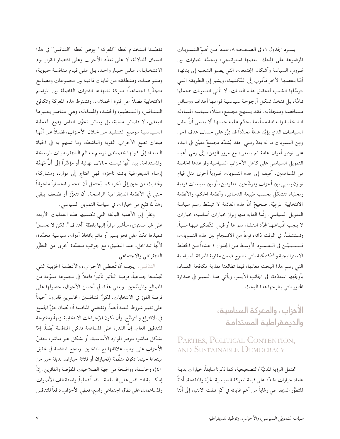تقصَّدنا استخدام لفظة "المعركة" عِوَض لفظة "التنافس" في هذا السياق للدلالة، لا على تعدُّد الأحزاب وعلى اقتصار القرار يوم الانتخابات على خيار واحد، بل على قيام منافسة حيوية، ومتواصلة، ومنطلقة من غايات ذاتية بين مجموعات ومصالح متجذِّرة اجتماعياً، معركة تشهدها الفترات الفاصلة بين المواسم الانتخابية فضلاً عن فترة الحملات. وتشترط هذه المعركة وتكافِئ التنافس، والتنظيم، والحشد، والمساءلة، وهي عناصر يعتبرها البعض، لا فضائل مدنية، بل وسائل تخوِّل الناس وضع العملية السياسية موضع التنفيذ من خلال الأحزاب، فضلاً عن أنَّها صفات تطبع الأحزاب القوية والناشطة، وما تسهم به في الحياة العامة، إلى كونها خصائص ترسم معالم الديمقراطيات الراسخة والمستدامة. بيد أنَّها ليست حالات نهائية أو مؤشِّراً إلى أنَّ مَهمَّة إرساء الديمقراطية باتت ناجزة؛ فهي تحتاج إلى موارد، ومشاركة، وتحديث من حين إلى أخر، كما يُحتمل أن تنحسر انحساراً ملحوظاً حتى في الأنظمة الديمقراطية الراسخة. أن تتعزَّز أو تضعف يبقى رهناً لما نتَّبع من خيارات في سياسة التمويل السياسي.

ونظرًا إلى الأهمية البالغة التي تكتسيها هذه العمليات الأربعة على غير مستوى، سأشير مراراً إليها بلفظة "أهداف". لكن لا نحسبنَّ تنفيذها ممكناً على نحو يسير أو دائم باتخاذ أدوات سياسية محدَّدة، لأنَّها تتداخل، عند التطبيق، مع جوانب متعدِّدة أخرى من التطوُّر الديمقراطي والاجتماعي.

التنافس. يجب أن تُعطى الأحزاب، والأنظمة الحزبية التي تجسِّدها جماعياً، فرصة التأثير تأثيراً فاعلاً في مجموعة متنوِّعة من المصالح والمرشَّحين. ويعني هذا، في أحسن الأحوال، حصولها على فرصة الفوز في الانتخابات. لكنَّ المتنافسين الخاسرين قادرون أحياناً على تغيير شروط اللعبة أيضاً. وتقتضي المنافسة أن يُصان حقُّ الجميع في الاقتراع والترشُّح، وأن تكون الإجراءات الانتخابية نزيهةً ومفتوحة للتدقيق العام. إنَّ القدرة على المساهمة تذكى المنافسة أيضاً، إمّا بشكل مباشر، بتوفير الموارد الأساسية، أو بشكل غير مباشر، بحضٍّ الأحزاب على توطيد علاقاتها مع الناخبين. وتنجح المنافسة في تحقيق مبتغاها حينما تكون منظَّمة (فخياران أو ثلاثة خيارات بديلة خير من ٤٠)، وحاسمة، وواضحة من جهة الصلاحيات المفوَّضة والفائزين. إنَّ إمكانية التنافس على السلطة تنافساً فعلياً، واستقطاب الأصوات والمساهمات على نطاق اجتماعي واسع، تعطي الأحزاب دافعاً للتنافس

يسـرد الجدول ١، في الصـفـحـة ٨، عـدداً مـن أهـمِّ الـتسـويـات الموضوعة على المِحك. بعضها استراتيجي، ويجسِّد خيارات بين ضروب السياسة وأشكال الجتمعات التي يصبو الشعب إلى بنائها؛ أمَّا بعضها الأخر فأقرب إلى التَّكتيك، ويشير إلى الطريقة التي يتوسَّلها الشعب لتحقيق هذه الغايات. لا تأتى التسويات بمجملها تامَّة، بل تتخذ شكل أرجوحة سياسية قوامها أهداف ووسائل متناقضة ومتجاذبة. فقد ينتهج مجتمع، مثلاً، سياسة المساءلة الداخلية والعامة معاً، ما يحتِّم عليه حينها ألا ينسى أنَّ بعض السياسات الذي يؤيِّد هدفاً محدَّداً قد يمرَّر على حساب هدف أخر. ومِن التسويات ما له بعدٌ زمني: فقد يُشدِّد مجتمعٌ معيَّن في البدء على توفير أموال عامة ثم يسعى، مع مرور الزمن، إلى رمي أعباء التمويل السياسي على كاهل الأحزاب السياسية وقواعدها الخاصة من المساهمين. أُضِف إلى هذه التسويات ضروباً أخرى مثل قيام توازن نِسبي بين أحزاب ومرشَّحين ًمنفردين، أو بين سياسات قومية ومحلية، تتشكَّل بحسب طبيعة الدساتير، وأنظمة الحكم، والأنظمة الانتخابية المرعِيَّة. صحيحٌ أنَّ هذه القائمة لا تبسِّط رسم سياسة التمويل السياسي. إنَّما الغاية منها إبراز خيارات أساسية، خيارات لا يجب اتِّباعـهـا لجرَّد انـتـفـاء سواهـا أو قبـل التَّفكير فيها ملياً. ونستشفُّ، في الوقت ذاته، نوعاً من الانسجام بين هذه التسويات، فـنـتـبـيَّـن في الـعـمـود الأوسط مـن الجدول ١ عـدداً مـن الخطط الاستراتيجية والتكتيكية التي تندرج ضمن مقاربة المعركة السياسية التي رسم هذا البحث معالمها، فيما تطالعنا مقاربة مكافحة الفساد، بأوجُهها المتعدِّدة، في الجانب الأيسر. ويأتي هذا التمييز في صدارة المحاور التي يطرحها هذا البحث.

#### الأحزاب، والمعركة السياسية، والديمقراطية المستدامة

#### PARTIES, POLITICAL CONTENTION, AND SUSTAINABLE DEMOCRACY

تحتمل الرؤية المدنيَّة/التصحيحية، كما ذكرنا سابقاً، خيارات بديلة هامة، خيارات تشدِّد على قيمة المعركة السياسية الحرَّة والمنفتحة، أداةً للتطوُّر الديمقراطي وغايةً من أهم غاياته في آنٍ. نلفت الانتباه إلى أنَّنا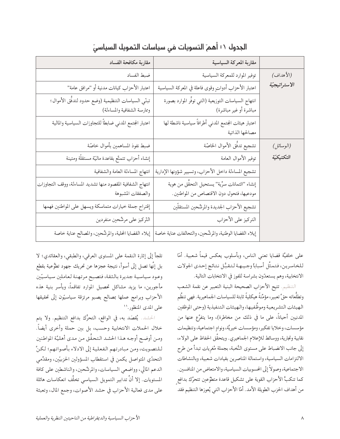|               | مقاربة المعركة السياسية                                                                      | مقاربة مكافحة الفساد                                                               |
|---------------|----------------------------------------------------------------------------------------------|------------------------------------------------------------------------------------|
| (الأهداف)     | توفير الموارد للمعركة السياسية                                                               | ضبط الفساد                                                                         |
| الاستراتيجيّة | اعتبار الأحزاب أدواتٍ وقوى فاعلة في المعركة السياسية                                         | اعتبار الأحزاب كيانات مدنية أو "مرافق عامة"                                        |
|               | انتهاج السياسات التوزيعية (التي توفّر الموارد بصورة<br>مباشرة أو غير مباشرة)                 | تبنّي السياسات التنظيمية (وضع حدود لتدفَّق الأموال؛<br>وممارسة الشفافية والمساءلة) |
|               | اعتبار هيئات المجتمع المدني أطرافاً سياسية ناشطة لها<br>مصالحها الذاتية                      | اعتبار الجتمع المدني ضابطاً للتجاوزات السياسية والمالية                            |
| (الوسائل)     | تشجيع تدفَّق الأموال الخاصّة                                                                 | ضبط نفوذ المساهمين بأموال خاصّة                                                    |
| التكتيكيّة    | توفير الأموال العامة                                                                         | إنشاء أحزاب تتمتَّع بقاعدة ماليّة مستقلّة ومتينة                                   |
|               | تشجيع المساءلة داخل الأحزاب، وتسيير شؤونها الإدارية                                          | انتهاج المساءلة العامة والشفافية                                                   |
|               | إنشاء "ائتمانات سرِّية" يستحيل التحقُّق من هوية<br>مودعيها، فتحول دون الاقتصاص من المواطنين. | انتهاج الشفافية المقصود منها تشديد المساءلة، ووقف التجاوزات<br>والصفقات المشبوهة   |
|               | تشجيع الأحزاب الجديدة والمرشحين المستقلّين                                                   | إقتراح جملة خيارات متماسكة ويسهل على المواطنين فهمها                               |
|               | التركيز على الأحزاب                                                                          | التّركيز على مرشّحين منفردين                                                       |
|               | إيلاء القضايا الوطنية، والمرشَّحين، والتحالفات عناية خاصة                                    | إيلاء القضايا المحلية، والمرشَّحين، والمصالح عناية خاصة                            |

الجدول ١: أهمّ التسويات فى سياسات التمويل السياسىّ

على خلفيَّة قضايا تعني الناس، وبأسلوب يعكس قيماً شعبية. أمَّا للخاسرين، فتمثَّل أسباباً وجيهة لتقبُّل نتائج إحدى الجولات الانتخابية، وهم يستعدّون بشراسة للفوز في الانتخابات التالية.

التنظيم. تتيح الأحزاب الصحيحة البنية التعبير عن نقمة الشعب وتطلُّعاته حقَّ تعبير، مؤمَّنةً هيكليةً ثابتة للسياسات الجماهيرية. فهي تنظُّم الهيئات التشريعية وموظّفيها، والهيئات التنفيذية (وحتى الموظفين المدنيين أحياناً، على ما في ذلك من مخاطرة)، وما يتفرَّع عنها من مؤسسات، وخلايا تفكير، ومؤسسات خيريَّة، ونوادٍ اجتماعية، وتنظيمات نقابية وتجارية، ووسائط للإعلام الجماهيري. ويتحقَّق الحفاظ على الولاء، إلى جانب الانضباط على مستوى النُّخبة، بجملة مُغريات تبدأ من طرح الالتزامات السياسية، واستمالة المناصرين بقيادات شعبية، وبالنشاطات الاجتماعية، وصولاً إلى الحسوبيات السياسية، والامتعاض من المنافسين . كما تنكبُّ الأحزاب القوية على تشكيل قاعدة متطوِّعين تتحرَّك بدافع من أهداف الحزب الطويلة الأمد. أمّا الأحزاب التبي يُعوزها التنظيم فقد

تلجأ إلى إثارة النقمة على المستوى العرقي، والطبقي، والعقائدي؛ لا بل إنَّها تصل إلى أسوأ، نتيجة عجزها عن تحريك جهود تطوُّعية بقطع وعود سياسية جديرة بالثقة، فتصبح مرتهنة لعاملين سياسيّين مأجورين، ما يزيد مشاكل تحصيل الموارد تفاقماً، ويأسر بنية هذه الأحزاب وبرامج عملها بمصالح يصبو مرتزقة سياسيّون إلى تحقيقها على المدى المنظور.''

الحشد. يُقصَد به، في الواقع، التحرُّك بدافع التنظيم. ولا يتم خلال الحملات الانتخابية وحسب، بل بين حملة وأخرى أيضاً. ومن أوضح أوجه هذا الحشد التحقُّق من مدى أهليَّة المواطنين للتصويت، ومن مبادرتهم الفعلية إلى الادلاء بأصواتهم؛ لكنَّ التحدّي المتواصل يكمن في استقطاب المسؤولين الحزبيّين، ومقدِّمي الدعم المالي، وواضعي السياسات، والمرشَّحين، والناشطين على كافة المستويات. إلا أنَّ تدابير التمويل السياسي تخلُّف انعكاسات هائلة على مدى فعالية الأحزاب في حشد الأصوات، وجمع المال، وتعبئة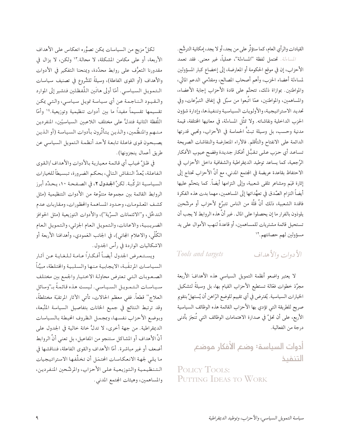القيادات والرأي العام، كما ستؤثَّر على من يجد، أو لا يجد، إمكانية الترشُّح.

الساءلة. تحتمل لفظة "المساءلة"، عملياً، غير معنى. فقد تعمد الأحزاب، إن في موقع الحكومة أو المعارضة، إلى إخضاع كبار المسؤولين لمساءلة أعضاء الحزب، وأهم أصحاب المصالح، ومقدِّمي الدعم المالي، والمواطنين. بموازاة ذلك، تتحتَّم على قادة الأحزاب إجابة الأعضاء، والمساهمين، والمواطنين، عمَّا اتَّبعوا من سبُل في إنفاق التبرُّعات، وفي تحديد الاستراتيجية، والأولويات السياسية وتنفيذها، وإدارة شؤون الحزب الداخلية ونقاشاته. ولا تمثَّل المساءلة، في معانيها المختلفة، قيمة مدنية وحسب، بل وسيلة تبثَّ الحماسة في الأحزاب، وتحيى قدرتها الدائمة على الانفتاح والتأقلم. فالأراء المتعارضة والنقاشات الصريحة تساعد أي حزب على تقبُّل أفكار جديدة وفضح عيوب الأفكار الرَّجعية، كما يساعد توطيد الديمقراطية والشفافية داخل الأحزاب في الاحتفاظ بقاعدة عريضة في المجتمع المدنى، مع أنَّ الأحزاب تحتاج إلى إثارة قيَم ومشاعر تلقى شعبية، وإلى التزامها أيضاً. كما يتحتَّم عليها أيضاً التزام الصِّدق في تعهُّداتها إلى المساهمين، مهما بدت هذه الفكرة فاقدة الشعبية، ذلك أنَّ قلَّة من الناس تتبرَّع لأحزاب أو مرشَّحين يلوذون بالفرار ما إن يحصلوا على المال . غير أنَّ هذه الروابط لا يجب أن تستحيل قائمة مشتريات للمساهمين، أو قاعدةً لنهب الأموال على يد مسؤولين لهم حصانتهم. ١٢

#### الأدوات والأهداف Tools and targets

لا يعتبر واضعو أنظمة التمويل السياسي هذه الأهدافَ الأربعة مجرَّدَ خطوات فعَّالة تستطيع الأحزاب القيام بها، بل وسيلةً لتشكيل الخيارات السياسية. يُفترض في أي تقييم للوضع الرّاهن أن يُستهلَّ بتقويم صريح للطريقة التي تؤدي بها الأحزاب القائمة هذه الوظائف السياسية الأربع، على أن تحلَّ في صدارة الاهتمامات الوظائف التي تُنجَز بأدنى درجة من الفعالية.

> أدوات السياسة: وضع الأفكار موضع التنفيذ

POLICY TOOLS: PUTTING IDEAS TO WORK

لكلِّ مزيج من السياسات يمكن تصوُّره انعكاس على الأهداف الأربعة، أو على مكامن المشكلة، لا محالة."' ولكن، لا يزال في مقدورنا التعرُّف على روابط محدَّدة، ويمنحنا التفكير في الأدوات والأهداف (أو القوى الفاعلة)، وسيلةً للشُّروع في تصنيف سياسات الـتمويل السياسي. أمّا أولى هاتَين اللَّفظتَين فتشير إلى الموارد والتقيبود النناجمة عن أي سياسة تمويل سياسي، والتبي يمكن تقسيمها تقسيماً مفيداً ما بين أدوات تنظيمية وتوزيعية.<sup>١٤</sup> وأمّا اللَّفظة الثانية فتدلُّ على مختلف اللاعبين السياسيّين، المنفردين مسهم والمنظَّمين، والذين يتأثَّرون بأدوات السياسة (أو الذين يصبحون قوى فاعلة تابعة لأحد أنظمة التمويل السياسي عن طريق أعمال ينجزونها).

في ظلِّ غيابٍ أي قائمة معيارية بالأدوات والأهداف/القوى الفاعلة، يُعدُّ النقاش التالي، بحكم الضرورة، تبسيطاً للخيارات السياسية المركَّبة. لكنَّ الجحدول ٢، في الصفحة ١٠، يحدَّد أبرز الروابط القائمة بين مجموعة متنوِّعة من الأدوات التنظيمية (مثل كشف المعلومات، وحدود المساهمة والمظورات، ومقاربات عدم التدخُّل، و''الائتمانات السرِّية'')، والأدوات التوزيعية (مثل الحوافز الضريبية، والاعانات، والتمويل العام الجزئي، والتمويل العام الكُلِّي، والاعلام المجاني)، في الجانب العَمودي، وأهدافنا الأربعة أو الاشكاليات الواردة في رأس الجدول.

ويستعرض الجدول أيضاً أفكاراً عامة لللغاية عىن أثار السياسات المرتقَبة، الايجابية منها والسلبية والختلطة، مبيِّناً الصعوبات التيى تعترض محاولة الاختيار والجمع بين مختلف سمياسمات التممويـل السميـاسمي. ليست هذه قائمةً بـ"وسائل العلاج" قطعاً. ففي معظم الحالات، تأتى الأثار المرتقبَة مختلطةً، وقد ترتبط النتائج في جميع الخانات بتفاصيل السياسة المتَّبعة، وبوضع الأحزاب نفسها، وبمجمل الظروف الحيطة بالسياسات الديمقراطية. من جهة أخرى، لا تدلُّ خانة خالية في الجدول على أنَّ الأهداف أو المشاكل ستنجو من المفاعيل، بل تعني أنَّ الروابط أضعف أو غير مباشرة. أمّا الأهداف والقوى الفاعلة، فنناقشها في ما يلي لجهة الانعكاسات المحتمَل أن تخلَّفها الاستراتيجيات التنظيمية والتوزيعية على الأحزاب، والمرشَّحين المنفردين، والمساهمين، وهيئات المجتمع المدنى.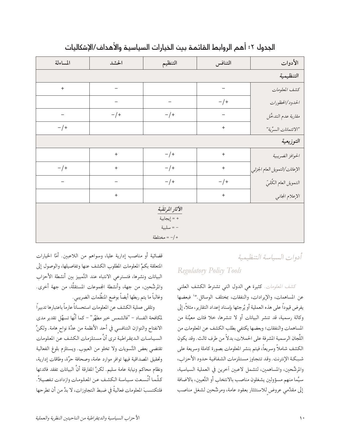| المساءلة                         | الحشد            | التنظيم                                                        | التنافس                          | الأدوات                       |
|----------------------------------|------------------|----------------------------------------------------------------|----------------------------------|-------------------------------|
|                                  |                  |                                                                |                                  | التنظيمية                     |
| $\begin{array}{c} + \end{array}$ |                  |                                                                |                                  | كشف المعلومات                 |
|                                  |                  |                                                                | $-/+$                            | الحدود/الحظورات               |
|                                  | $-/+$            | $-/+$                                                          |                                  | مقاربة عدم التدخُل            |
| $-/+$                            |                  |                                                                | $\begin{array}{c} + \end{array}$ | "الائتمانات السرية"           |
|                                  |                  |                                                                |                                  | التوزيعية                     |
|                                  | $\boldsymbol{+}$ | $-/+$                                                          | $\! + \!$                        | الحوافز الضريبية              |
| $-/+$                            | $\ddot{}$        | $-/+$                                                          | $\begin{array}{c} + \end{array}$ | الإعانات/التمويل العام الجزئي |
|                                  |                  | $-/+$                                                          | $-/+$                            | التمويل العام الكُليّ         |
|                                  | $\! + \!$        |                                                                | $\ddot{}$                        | الإعلام المجانبي              |
|                                  |                  | الأثار المرتقبة<br>+ = إيجابية<br>– = سلبية<br>$= -/ +$ مختلطة |                                  |                               |

#### الجدول ٢: أهم الروابط القائمة بين الخيارات السياسية والأهداف/الإشكاليات

أدوات السباسة التنظيمية

#### Regulatory Policy Tools

كشف المعلومات. كثيرة هي الدول التي تشترط الكشف العلني عن المساهمات، والإيرادات، والنفقات، بمختلف الوسائل.'' فبعضها يفرض قيوداً على هذه العملية أو يُرجئها بإسناد إعداد التقارير، مثلاً، إلى وكالة رسمية، قد تنشر البيانات أو لا تنشرها، خلا فئات معيَّنة من المساهمات والنفقات؛ وبعضها يكتفي بطلب الكشف عن المعلومات من اللَّجان الرسمية المشرفة على الحملات، بدلاً من طرف ثالث. وقد يكون الكشف شاملاً وسريعاً، فيتم بنشر المعلومات بصورة كاملة وسريعة على شبكة الإنترنت. وقد تتجاوز مستلزمات الشفافية حدود الأحزاب، والمرشَّحين، والمساهمين، لتشمل لاعبين أخرين في العملية السياسية، سيَّما منهم مسؤولين يشغلون مناصب بالانتخاب أو التَّعيين، بالاضافة إلى مقدِّمي عروض للاستئثار بعقود عامة، ومرشَّحين لشغل مناصب

قضائية أو مناصب إدارية عليا، وسواهم من اللاعبين. أمّا الخيارات المتعلقة بكمِّ المعلومات المطلوب الكشف عنها وتفاصيلها، والوصول إلى البيانات ونشرها، فتسترعى الانتباه عند التَّمييز بين أنشطة الأحزاب والمرشَّحين، من جهة، وأنشطة المجموعات المستقلَّة، من جهة أخرى. وغالباً ما يتم ربطها أيضاً بوضع المنظَّمات الضريبي.

وتلقى عملية الكشف عن المعلومات استحساناً عارماً باعتبارها تدبيراً لمكافحة الفساد – "فالشمس خير مطهِّر" – كما أنَّها تسهِّل تقدير مدى الانفتاح والتوازن التنافسي في أحد الأنظمة من عدَّة نواح هامة. ولكنَّ السياسات الديمقراطية ترى أنَّ مستلزمات الكشف عن المعلومات تقتضي بعض التَّسويات ولا تخلو من العيوب. ويستلزم بلوغ الفعالية وتحقيق المصداقية فيها توافر موارد عامة، وصحافة حرَّة، وطاقات إدارية، ونظام محاكم ونيابة عامة سليم. لكنَّ المفارقة أنَّ البيانات تفقد فائدتها كلَّما أتَّسعت سياسة الكشف عن المعلومات وازدادت تفصيلاً. فلتكتسبَ المعلومات فعاليةً في ضبط التجاوزات، لا بدَّ من أن تطرحها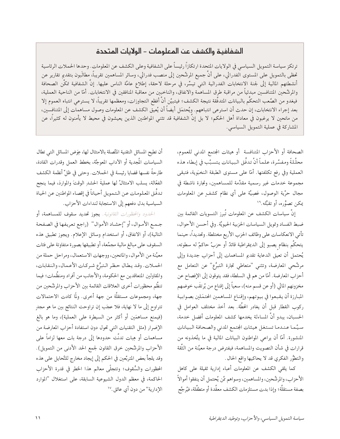#### الشفافية والكشف عن المعلومات – الولايات المتحدة

ترتكز سياسة التمويل السياسي في الولايات المتحدة ارتكازاً رئيساً على الشفافية وعلى الكشف عن المعلومات. وحدها الحملات الرئاسية تحظى بالتمويل على المستوى الفدرالي، على أنَّ جميع المرشَّحين إلى منصب فدرالي، وسائر المساهمين تقريباً، مطالَبون بتقديم تقارير عن أنشطتهم المالية إلى لجنة الانتخابات الفدرالية التي تيسَّر، في مرحلة لاحقة، إطلاع عامَّة الناس عليها. إنَّ الشفافية تمكَّن الصحافة والمرشَّحين المتنافسين مبدئياً من مراقبة طرق المساهمة والانفاق، والناخبين من معاقبة المنافقين في الانتخابات. أمّا من الناحية العملية، فيغدو من الصَّعب التحكُّم بالبيانات المتدفَّقة نتيجة الكشف؛ فيتبيَّن أنَّ أفظع التجاوزات، ومعظمها تقريباً، لا يسترعي انتباه العموم إلا بعد إجراء الانتخابات، إن حدث أن استرعى انتباههم. ويُحتمَل أيضاً أن يُعيق الكشف عن المعلومات وصول مساهمات إلى المتنافسين، من مانحين لا يرغبون في معاداة أهل الحكم؛ لا بل إنَّ الشفافية قد تثنى المواطنين الذين يعيشون في محيط لا يأمنون له كثيرًا، عن المشاركة في عملية التمويل السياسي.

> الصحافة أو الأحزاب المتنافسة أو هيئات المجتمع المدنى للعموم، محلَّلةً ومفسَّرة، علماً أنَّ تدفُّق البيانات يتسبَّب في إبطاء هذه العملية وفي رفع تكلفتها. أمَّا على مستوى الطبقة النخبَوية، فتبقى مجموعة خدمات غير رسمية مقدَّمة للمساهمين، وتجارة ناشطة في مجال حرِّية الوصول، عَصِيَّة على أي نظام كشفٍ عن المعلومات يمكن تصوُّره، أو تقبُّله.'''

> إنَّ سياسات الكشف عن المعلومات تُبرز التسويات القائمة بين ضبط الفساد وتمويل السياسات الحزبية الحيويَّة. وفي أحسن الأحوال، تأتى الانعكاسات على وظائف الحزب الأربع مختلطة. وتحديداً، حينما يتحكَّم بنظام يصبو إلى الديمقراطية قائدٌ أو حزبٌ حاكمٌ له سطوته، يُحتمل أن تعيق الدعاية تقديم المساهمات إلى أحزاب جديدة وإلى مرشَّحي المعارضة، وتثنى "متعاطى تجارة التبرُّع" عن التعامل مع أحزاب المعارضة. أمّا من هم في السلطة، فقد يتوقون إلى الإفصاح عن مخزونهم المالي (أو عن قسم منه)، سعياً إلى إقناع من يُرتقَب خوضهم المبارزة أن يقبعوا في بيوتهم، وإقناع المساهمين المحتمَلين بصوابية ركوب القطار قبل أن يغادر المحطَّة. بعد أخذ مختلف العوامل في الحسبان، يبدو أنَّ المساءلة يخدمها كشف المعلومات أفضل خدمة، سيًما عندما تستغل هيئات الجتمع المدنى والصحافة البيانات المنشورة. أمَّا أن يراعى المواطنون البيانات المالية في ما يتَّخذونه من قرارات في شأن التصويت والمساهمة، فيفترض درجة معيَّنة من الثَّقة والتطوُّر الفكري قد لا يحاكيها واقع الحال .

> كما يلقى الكشف عن المعلومات أعباء إدارية ثقيلة على كاهل الأحزاب، والمرشَّحين، والمساهمين، وسواهم مَّن يُحتمل أن ينفقوا أموالاً بصفة مستقلَّة؛ وإذا بدت مستلزمات الكشف معقَّدة أو متطفِّلة، فيُرجَّح

أن تطيح المسائل التقنية المتَّصلة بالامتثال لها، عِوَض المسائل التي تطال السياسات المُجدية أو الأداب المعوجَّة، بخطط العمل وقدرات القادة، طارحةً نفسها قضايا رئيسة في الحملات. وحتى في ظلِّ أنظمة الكشف الفعَّالة، يسلب الامتثالُ لها عمليةَ الحشدِ الوقتَ والمواردَ، فيما ينجح تدفُّق المعلومات عن التمويل أحياناً في إقصاء المواطنين عن الحياة السياسية بدل دفعهم إلى الاستجابة لنداءات الأحزاب.

الحدود والحظورات القانونية. يجوز تحديد سقوف للمساهمة، أو جـمـع الأمـوال، أو "إحشـاد الأموال" (راجع تعريفها في الصفحة التالية)، أو الانفاق، أو استخدام وسائل الإعلام. ويجوز تطبيق هذه السقوف على مبالغ مالية مجمَّعة، أو تطبيقها بصورة متفاوتة على فئات معيَّنة من الأموال، والمانحين، ووجهات الاستعمال، ومراحل حملة من الحملات. وقد يطال حظر التبرُّع شركات الأعمال، والنقابات، والمقاولين المتعاقدين مع الحكومة، والأجانب من أفراد ومنظَّمات؛ فيما تنظُّم محظورات أخرى العلاقات القائمة بين الأحزاب والمرشَّحين من جهة، ومجموعات مستقلَّة من جهة أخرى. ولمَّا كادت الاحتمالات تتراوح إلى ما لا نهاية، فلا عجَب إن تراوحت النتائج بين ما هو مجدٍ (فيمنع مساهمَين أو أكثر من السيطرة على العملية)، وما هو بالغ الإضرار (مثل التقنيات التبي تحول دون استفادة أحزاب المعارضة من مساهمات أو هِبات تدنَّت حدودها إلى درجة بات معها لزاماً على الأحزاب والمرشَّحين خرق القانون لجمع الحد الأدنى من التمويل). وقد يلجأ بعض المتربِّعين في الحكم إلى إيجاد مخارج للتَّحايل على هذه المحظورات والسُّقوف؛ وتتجلَّى معالم هذا الخطر في قدرة الأحزاب الحاكمة، في معظم الدول الشيوعية السابقة، على استغلال "الموارد الإدارية" من دون أي عائق .'''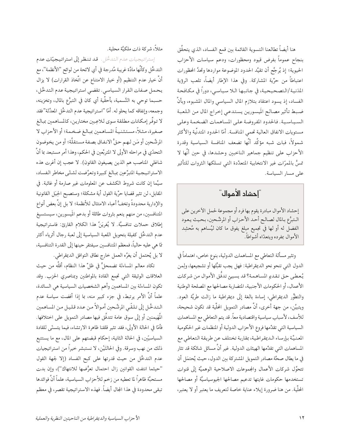هنا أيضاً تطالعنا التسوية القائمة بين قمع الفساد، الذي يتحقَّق بنجاح عموماً بفرض قيود ومحظورات، ودعم سياسات الأحزاب الحيوية؛ إذ يُرجَّح أن تقيِّد الحدود الموضوعة مواردها وتحدَّ المحظورات اعتباطاً من حرِّية المشاركة. وفي هذا الإطار أيضاً، تلعب الرؤية المدَنية/التصحيحية، في جانبها اللا سياسي، دوراً في مكافحة الفساد، إذ يسود اعتقاد بتلازم المال السياسي والمال المشبوه، وبأنَّ ضبط تأثير مصالح المَيسورين يستدعى إخراج المال من اللعبة السياسية. فالحدود المفروضة على المساهمات الضخمة وعلى مستويات الانفاق العالية تحمى المنافسة. أمّا الحدود المتدنّية والأكثر شمولاً، فبات شبه مؤكَّد أنَّها تضعف المنافسة السياسية وقدرة الأحزاب على تنظيم جماهير الناخبين وحشدها، في حين أنَّها لا تمسُّ بالممرّات غير الانتخابية المتعدِّدة التي تسلكها الثروات للتأثير على مسار السياسة.

#### "إحشاد الأموال"

إحشاد الأموال مبادرة يقوم بها فرد أو مجموعة لحمل الأخرين على الـتبرُّع بـالمال لصـالـح أحـد الأحـزاب أو المرشَّحين، بـحيث يـعـود الفضل له أو لها في تجميع مبلغ يفوق ما كان ليُساهم به مُحشِد الأموال بمفرده ويتعدّاه أشواطاً.

وتثير مسألة التعاطي مع المساهمات الدولية، بنوع خاص، اهتماماً في الدول التي تنحو نحو الديمقراطية: فهل يجب تقبُّلها أو تشجيعها، ولِمن يُعطي حق تقديم المساهمة؟ قد يسيئ تدفُّق الأموال من شركات الأعمال، أو الحكومات الأجنبية، المضاربة مصالحها مع المصلحة الوطنية والتطُّور الديمقراطي، إساءة بالغة إلى ديمقراطية ما زالت طريَّة العود. ويتبيَّن، من جهة أخرى، أنَّ مصادر التمويل الحلَّية قد تكون شحيحة، للأسف، لأسباب سياسية واقتصادية معاً. قد يتم التعاطي مع المساهمات السياسية التي تقدِّمها فروع الأحزاب الدولية أو المنظمات غير الحكومية المعنيَّة بإرساء الـديمقراطية، بمقاربة تختلف عن طريقة التعاطي مع المساهمات التي تقدِّمها الهيئات الدولية. غير أنَّ مسائل شائكة قد تثار في ما يطال صحَّة مصادر التمويل المشتركة بين الدول، حيث يُحتمَل أن تتحوَّل شركات الأعمال والجموعات الاصلاحية الوهميَّة إلى قنوات تستخدمها حكومات غايتها تدعيم مصالحها الجيوسياسيَّة أو مصالحها الحُلِّية. من هنا ضرورة إيلاء عناية خاصة لتعريف ما يعتبر أو لا يعتبر،

مثلاً، شركة ذات ملكيَّة محلية.

إستراتيجيات عدم التدخُّل. قد تنظر إلى استراتيجيَّات عدم التدخُّل وكأنَّها مادَّة غريبة مُدرجة في أي لائحة من لوائح ''الأنظمة''، مع أنَّ خيار عدم التنظيم (أو خيار الامتناع عن اتَّخاذ القرارات) لا يزال يحمل صفات القرار السياسي. تقضي استراتيجية عدم التدخُّل، حسبما توحي به التَّسمية، بأحقِّية أي كان في التبرُّع بالمال، وتخزينه، وجمعه، وإنفاقه كما يحلو له. أمّا "استراتيجية عدم التدخُّل المعدَّلة"فقد لا توفُّر إمكانات مطلقة سوى للاعِبين مختارين، كالمساهمين بمبالغ صغيرة، مثلاً، مستثنيةً المساهمين بمبالغ ضخمة؛ أو الأحزاب لا المرشَّحين أو مَن لـهـم حـقُّ الانفاق بصفة مستقلَّة؛ أو من يخوضون التحدّي في مراحله الأولى لا المتربِّعين في الحكم، وهذا أمر مستبعد بما أنَّ شاغلي المناصب هم الذين يصيغون القانون). لا عجب إن أغرت هذه الاستراتيجية المتبرِّعين بمبالغ كبيرة وتعرَّضت لشتَّى مخاطر الفساد، سيَّما إن كانت شروط الكشف عن المعلومات غير صارمة أو غائبة. في المقابل، لن تثير قضايا حرِّية القول أية مشكلة؛ وستصبح الحِيَل القانونية والإدارية محدودةً وتخفُّ أعباء الامتثال للأنظمة؛ لا بل إنَّ بعض أنواع المتنافسين، من منهم ينعم بثروات طائلة أو بدعم المَيسورين، سيستسيغ إطلاق حملات تنافسيَّة. لا يُغريَنَّ هذا الكلام القارئ: فاستراتيجية عدم التدخُّل كفيلة بتحويل اللعبة السياسية إلى لعبة رجال أثرياء أكثر مّا هي عليه حالياً، فمعظم المتنافسين سيفتقر حينها إلى القدرة التنافسية، لا بل يُحتمل أن يغرَّه العمل خارج نطاق التوافق الديمقراطي.

تكاد معالم المساءلة تضمحلُّ في ظلِّ هذا النظام، أقلَّه من حيث العلاقات الوثيقة التبي تجمع القادة بالمواطنين وبمناصري الحزب. وقد تكون المساءلة بين المساهمين وأهم الشخصيات السياسية هي السائدة، علماً أنَّ الأمر يرتبط، في جزء كبير منه، بما إذا أفضت سياسة عدم التدخُل إلى تلقّي المرشّحين أموالاً من عدد قليل من المساهمين الْمَهيمنين أو إلى سوق عامة تتدفَّق فيها مصادر التمويل على اختلافها. فأمَّا في الحالة الأولى، فقد تثير قلقنا ظاهرة الارتشاء، فيما يتسنَّى للقادة السياسيّين، في الحالة الثانية، إحكام قبضتهم على المال، مع ما يستتبع ذلك من نهب وسرقة. وفي الحالتَيْن، لا نستبشر خيراً من استراتيجيات عدم التدخُّل من حيث قدرتها على كبح الفساد (إلا لجهة القول "حيثما انتفت القوانين زال احتمال تعرُّضها للانتهاك")، وإن بدت مستحبَّة ظاهراً لما تعطيه من زخم للأحزاب السياسية، علماً أنَّ فوائدها تبقى محدودة في هذا الجال أيضاً. فهذه الاستراتيجية تقصر، في معظم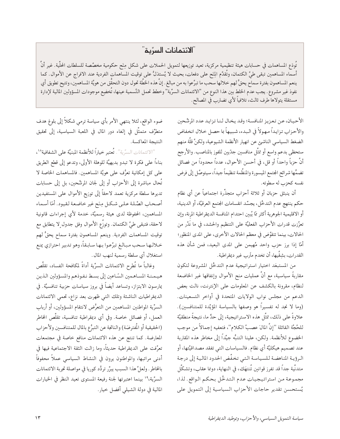#### "الائتمانات السرِّية"

تُودَع المساهمات في حسابات هيئة تنظيمية مركزية، تعيد توزيعها لتمويل الحملات على شكل مِنَح حكومية مخصَّصة للسلطات الحلَّية. غير أنَّ أسماء المساهمين تبقى طيَّ الكتمان، وتُقدَّم الِنَح على دفعات، بحيث لا يُستدَلُّ على توقيت المساهمات الفردية عند الافراج عن الأموال. كما ينعم المساهمون بفترة سماح يحقُّ لهم خلالها سحب ما تبرَّعوا به من مبالغ. إنَّ هذه الخطَّة تحول دون التحقَّق من هويَّة المساهمين، وتتيح تطويق أي نفوذ غير مشروع. يجب عدم الخلط بين هذا النوع من "الائتمانات السرِّية" وخطط تحمل التَّسمية عينها، تُخضِع موجودات المسؤولين المالية لإدارة مستقلة يتولاها طرف ثالث، تلافياً لأي تضارب في المصالح.

الأحيان، عن تعزيز المنافسة؛ وقد يخال لنا تزايد عدد المرشَّحين والأحزاب تزايداً مهولاً في البدء، شبيهاً با حصل خلال انخفاض الضغط السياسي الناشئ عن انهيار الأنظمة الشيوعية، ولكنَّ قلَّة منهم ستحظى بدعم واسع أو تمثِّل منافسين جدِّيين للفوز بالمناصب. والأرجح أنَّ حزباً واحداً أو قل، في أحسن الأحوال، عدداً محدوداً من فصائل تضمُّها شرائح الجتمع الميسورة والمنظَّمة تنظيماً جيداً، سيتوصَّل إلى فرض نفسه كحزب له سطوته.

أن ينبثق حزبان أو ثلاثة أحزاب متجذِّرة اجتماعياً عن أي نظام حكم ينتهج عدم التدخُّل، يجسِّد انقسامات المجتمع العرقيَّة، أو الدينية، أو الاقليمية الجوهرية أكثر مّا يُبين احتدام المنافسة الديمقراطية المرنة، وإن تعزَّزت قدرات الأحزاب الفعليَّة على التنظيم والحشد، في ما نَدُر من الحالات، بينما تتقوَّض في معظم الحالات الأخرى، على المدى المنظور؛ أمَّا إذا برز حزب واحد مُهيمن على المدى البعيد، فمن شأن هذه القدرات، بشِقَّيها، أن تخدم مأرب غير ديمقراطية.

من المستبعَد اختيار استراتيجية عدم التدخُل المشروعة لتكون مقاربةً سياسية، مع أنَّ عمليات منح الأموال وإنفاقها غير الخاضعة لنظام، مقرونة بالكشف عن المعلومات على الإنترنت، نالت بعض الدعم من مجلس نواب الولايات المتحدة في أواخر التسعينات. (وما لا نجد له تفسيراً هو وصفها بالسياسة المؤيِّدة للمتنافسين). علاوةً على ذلك، تمثَّل هذه الاستراتيجية، إلى حدٍّ ما، نتيجةً منطقيَّة للحُجَّة القائلة "إنَّ المالَ عصبُ الكلام"، فتعفيه إجمالاً من موجب الخضوع للأنظمة. ولكن، علينا التنبُّه جيِّداً إلى مخاطر هذه المقاربة عند تصميم هيكليَّة أي نظام. فالسياسات التي تفقد مصداقيَّتها، أو الرؤية المناهضة للسياسة التيي تخفّض الحدود المالية إلى درجة متدنِّية جداً قد تفرز قوانين تُنتهَك، في النهاية، دونما عقاب، وتشكَّل مجموعة من استراتيجيات عدم التدخُّل بحكم الواقع. لذا، يُستحسن تقدير حاجات الأحزاب السياسية إلى التمويل على

ضوء الواقع، لثلا ينتهي الأمر بأي سياسة ترمي شكلاً إلى بلوغ هدف متطرِّف متمثَّل في إلغاء دور المال في اللعبة السياسية، إلى تحقيق النتيجة المعاكسة.

"الائتمانات السرِّية". تُعتبر خياراً للأنظمة المبنيَّة على الشفافية ١٠، بناءاً على فكرة لا تبدو بديهيَّة للوهلة الأولى، وتدعو إلى قطع الطريق على كل إمكانية تعرُّف على هويَّة المساهمين. فالمساهمات الخاصة لا تُحال مباشرة إلى الأحزاب أو إلى لجان المرشَّحين، بل إلى حسابات تديرها سلطة مركزية تعمد لاحقاً إلى توزيع الأموال على المستفيدين أصحاب الصَّلة علىي شكل مِنَح غير خاضعة لقيود. أمَّا أسماء المساهمين، المحفوظة لدى هيئة رسميَّة، خدمة لأي إجراءات قانونية لاحقة، فتبقى طيَّ الكتمان. وتوزّع الأموال وفق جدول ٍلا يتطابق مع توقيت المساهمات الفردية. وينعم المساهمون بفترة سماح يحقُّ لهم خلالها سحب مبالغ تبرًّعوا بها سابقاً، وهو تدبير احترازي يمنع استغلال أي سلطة رسمية لنهب المال.

وغالباً ما تُطرح الائتمانات السرِّية أداةً لمكافحة الفساد، تقلَّص هيمنة المساهمين السّاعين إلى بسط نفوذهم والمسؤولين الذين يمارسون الابتزاز، وتساعد أيضاً في بروز سياسات حزبية تنافسيَّة. في الديمقراطيات الناشئة وتلك التي ظهرت بعد نزاع، تحمى الائتمانات السرِّية المواطنين المساهمين من التعرُّض لانتقام المسؤولين، أو أرباب العمل، أو فصائل خاصة. وفي أي ديمقراطية تنافسية، تقلَّص المخاطر (الحقيقية أو المُفترضَة) والناتجة عن التبرُّع بالمال للمتنافسين ولأحزاب المعارضة. كما تنتج عن هذه الائتمانات منافع خاصة في مجتمعات تعرَّفت على الديمقراطية حديثاً، وما زالت الثقة الاجتماعية فيها في أدنى مراتبها، والمواطنون يرون في النشاط السياسي عملاً محفوفاً بالخاطر . ولعلَّ هذا السبب يبرِّر تردُّد كوريا في مواصلة تجربة الائتمانات السرِّية،'' بينما اعتبرتها لجنة رفيعة المستوى تعيد النظر في الخيارات المالية في دولة الشيلي أفضل خيار.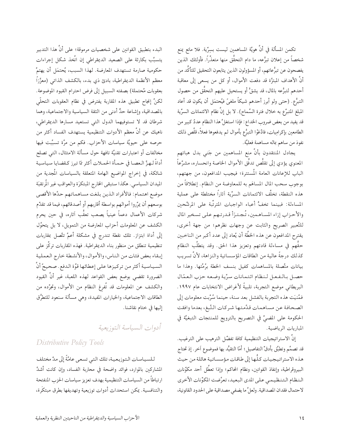تكمن المسألة في أنَّ هويَّة المساهمين ليست بسِرِّية. فلا مانع يمنع شخصاً من إعلان تبرُّعه، ما دام التحقُّق منها متعذِّراً. فأولئك الذين يفصحون عن تبرُّعاتهم، أو المسؤولون الذين يتابعون التحقيق للتأكُّد من أنَّ الأهداف المبتزَّة قد دفعت الأموال، أو كل من يسعى إلى معاقبة أحدهم لتبرُّعه بالمال، قد يشقُّ أو يستحيل عليهم التحقُّق من حصول التبرُّع. (حتى ولو أبرز أحدهم شيكاً ملغيً فيُحتمَل أن يكون قد أعاد المبلغ المتبرِّع به خلال فترة السَّماح). لا بل إنَّ نظام الائتمانات السرِّية قد يفيد من بعض ضروب الخداع: فإذا استغلَّ هذا النظام عددٌ كبير من الطامعين بإكرامِيات، فادَّعَوْا التبرُّع بأموال لم يدفعوها فعلاً، قلَّص ذلك نفوذ من ساهم بماله مساهمة فعليَّة.

يجادل المنتقدون بأنَّ منع المساهمين من جَنى بدل هباتهم المعنوي يؤدي إلى تقلُّص تدفُّق الأموال الخاصة وانحساره، مشرَّعاً الباب للإعانات العامة المُستترة؛ فيجيب المدافعون، من جهتهم، بوجوب سحب المال المساهَم به للمعاوضة من النظام. إنطلاقاً من هذه النقطة، تخلُّف الائتمانات السرِّية آثاراً مختلطة على عملية المساءلة: فبينما تخفُّ أعباء الواجبات المترتَّبة على المرشَّحين والأحزاب إزاء المساهمين، تُجتزأ قدرتهم علىي تسخير المال للتَّعبير الصريح والثابت عن وجهات نظرهم؛ من جهة أخرى، يقترح المدافعون عن هذه الخطَّة أن يُعاد إلى عدد أكبر من الناخبين حقُّهم في مساءلة قادتهم وتعزيز هذا الحق. وقد يتطلَّب النظام كذلك درجةً عالية من الطاقات المؤسساتية والنزاهة، لأنَّ تسريب بيانات متَّصلة بالمساهمات كفيل بنسف الخطة برُمَّتها. وهذا ما حصل بالفعل لنظام ائتمانات سرِّية وضعه حزب العمّال البريطاني موضع التجربة، تلبيةً لأغراض الانتخابات عام ١٩٩٧. فمُنيَت هذه التجربة بالفشل بعد سنة، حينما سُرِّبت معلومات إلى الصحافة عن مساهمات قدَّمتها شركات التَّبغ، بعدما وافقت الحكومة على المضيِّ في التصريح بالترويج للمنتجات التبغيَّة في المباريات الرياضية.

إنَّ الاستراتيجيات التنظيمية كافة تفضَّل الترهيب على الترغيب. قد تصمَّم وتطبَّق بأدقِّ التفاصيل؛ أمّا التقيُّد بها فموضوع آخر. إذ تحتاج هذه الاستراتيجيات كلُّها إلى طاقات مؤسساتية هائلة من حيث البيروقراطية، وإنفاذ القوانين، ونظام المحاكم؛ وإذا تعطَّل أحد مكوِّنات النظام التنظيمي على المدى البعيد، تعرَّضت المكوِّنات الأخرى لاحتمال فقدان المصداقية. ولعلَّ ما يضفي مصداقية على الحدود القانونية،

البدء بتطبيق القوانين على شخصيات مرموقة؛ على أنَّ هذا التدبير يتسبَّب بكارثة على الصعيد الديمقراطي إن اتَّخذ شكل إجراءات حكومية صارمة تستهدف المعارضة. لهذا السبب، يُحتمَل أن يهتمَّ معظم الأنظمة الديمقراطية، بادئ ذي بدء، بالكشف الذاتي (معزَّزًا بعقوبات مُحتملة) بصفته السبيل إلى فرض احترام القيود الموضوعة. لكنَّ إنجاح تطبيق هذه المقاربة يفترض في نظام العقوبات التحلَّمي بالمصداقية، وإشاعة حدٍّ أدنى من الثقة السياسية والاجتماعية، وهما شرطان قد لا تستوفيهما الدول التي تستعيد مسارها الديمقراطي، ناهيك عن أنَّ معظم الأدوات التنظيمية يستهدف الفساد أكثر من حرصه على حيويَّة سياسات الأحزاب. فكم من مرَّة تسبَّبت فيها مخالفات أو اعتبارات تقنيَّة تافهة حول مسألة الامتثال، التي تصلح أداةً لـهـزِّ الـعصـا في حـمـأة الحمـلات أكثر مّا تبرز كـقضايا سياسية شائكة، في إخراج المواضيع الهامة المتعلقة بالسياسات المُجدية من الميدان السياسي. هكذا ستبقى الخارج المبتكرَة والعواقب غير المُرتقبَة موضع اهتمام: فالأفراد الذين بلغت مساهماتهم حدَّها الأقصى بوسعهم أن يمرِّروا أموالهم بواسطة أقاربهم أو أصدقائهم، فيما قد تقدِّم شركات الأعمال دعماً عينياً يصعب تعقُّب أثاره، في حين يحرم الكشف عن المعلومات أحزاب المعارضة من التمويل، لا بل يتحوَّل إلى أداة ابتزاز. تلك نقطة تندرج في مشكلة أعمَّ تتَّصل بمقاربات تنظيمية تنطلق من منظور بناء الديمقراطية. فهذه المقاربات تركَّز على إبقاء بعض فئات من الناس، والأموال، والأنشطة خارج العملية السياسية أكثر من تركيزها على إعطائها قوَّة الدفع. صحيحٌ أنَّ الضرورة تقضى بوضع بعض القواعد لهذه اللعبة، غير أنَّ القيود والكشف عن المعلومات قد تُفرغ النظام من الأموال، وتجرِّده من الطاقات الاجتماعية، والخيارات المفيدة، وهي مسألة سنعود للتطرُّق إليها في ختام نقاشنا.

#### أدوات السياسة التوزيعية

#### Distributive Policy Tools

للسياسات التوزيعية، تلك التي تسعى عامَّةً إلى مدٍّ مختلف المشاركين بالموارد، فوائد واضحة في محاربة الفساد، وإن كانت أشدَّ ارتباطاً من السياسات التنظيمية بهدف تعزيز سياسات الحزب المنفتحة والتنافسية. يمكن استحداث أدوات توزيعية وتهديفها بطرق مبتكَرة،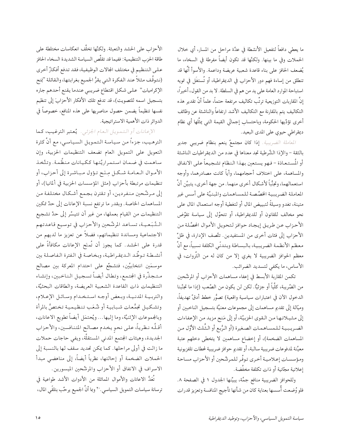ما يعطي دافعاً لتفعيل الأنشطة في عدَّة مراحل من المسار، أي خلال الحملات وفي ما بينها. ولكنَّها قد تكون أيضاً مفرطة في السخاء، ما يُضعف الحافز على بناء قاعدة شعبية عريضة وداعمة. والأسوأ أنَّها قد تنطلق من إساءة فهم دور الأحزاب في الديمقراطية، أو تُستغَل في تمويه استباحة الموارد العامة على يد من هم في السلطة. لا بد من القول، أخيراً، إنَّ المقاربات التوزيعية ترتَّب تكاليف مرتفعة حتماً، علماً أنَّ تقدير هذه التكاليف يتم بالمقارنة مع التكاليف الأشد ارتفاعاً والناشئة عن وظائف أخرى تؤدِّيها الحكومة، وباحتساب إجمالي القيمة التي يمثِّلها أي نظام ديمقراطي حيوي على المدى البعيد.

المعا*ملة الضريبية.* إذا كان مجتمعٌ ينعم بنظام ضريبي جدير بالثقة - والإذا الشَّرطية تجد معناها في عدد من الديمقراطيات الناشئة أو المُستعادَة - فهو يستعين بهذا النظام تشجيعاً على الانفاق والمساهمة، على اختلاف أحجامهما، وأياً كانت مصادرهما، وأوجه استعمالهما، وتجنُّباً لأشكال أخرى منهما. من جهة أخرى، يتبيَّن أنَّ المعاملة الضريبية الخصَّصة للمساهمات والمبنيَّة على أسس غير متينة، تغدو وسيلةً لتبييض المال أو لتغطية أوجه استعمال المال على نحو مخالف للقانون أو للديمقراطية، أو تتحوَّل إلى سياسة تقوِّض الأحزاب عن طريق إيجاد حوافز لتحويل الأموال الحصَّلة من الأحزاب إلى فئات أخرى من المستفيدين. تتَّصف الإدارة، في ظلِّ معظم الأنظمة الضريبية، بالبساطة وبتدنّى الكلفة نسبياً، مع أنَّ معظم الحوافز الضريبية لا يغري إلا من كان له من الثَّروات، في الأساس، ما يكفي لتسديد الضرائب.

تكمن المقاربة الأبسط في إعفاء مساهمات الأحزاب أو المرشَّحين من الضَّريبة، كلِّياً أو جزئيًّا. لكن لن يكون من الصَّعب (إذا ما تجنَّبنا الدخول الأن في اعتبارات سياسية واقعية) تصوُّر خطط أدقَّ تهديفاً، وميَّالة إلى تقديم مساهمات إلى مجموعات معنيَّة بتسجيل الناخبين أو إلى مثيلاتها من القوى الخزبيَّة، أو إلى مَنح مزيد من الإعفاءات الضرريبية للمساهمات الصغيرة (أو الرُّبع أو الشُّلث الأوَّل من المساهمات الضخمة)، أو إخضاع مساهمين لا يتخطى دخلهم عتبة معيَّنة لمدفوعات ضريبية سالبة، أو تقديم حوافز ضريبية لمحطات تلفزيونية ومؤسسات إعلامية أخرى توفّر للمرشّحين أو الأحزاب مساحة إعلانية مجّانية أو ذات تكلفة مخفَّضة.

وللحوافز الضريبية منافع جمَّة، يبيِّنها الجدول ١ في الصفحة ٨. فلو وُضعت أُسسها بعناية كان من شأنها تأجيج المنافسة وتعزيز قدرات

الأحزاب على الحشد والتعبئة. ولكنَّها تخلَّف انعكاسات مختلطة على طاقة الحزب التنظيمية: ففيما قد تقلَّص السياسة الشديدة السخاء الحافز على التنظيم في مختلف الجالات الوظيفية، فقد تدفع أفكارٌ أخرى (نتوقَّف مثلاً عند الفكرة التي يقرُّ الجميع بغرابتها، والقائلة "بَنح الإكراميات" علىي شكل اقتطاع ضريبي عندما يقنع أحدهم جاره بتسجيل اسمه للتصويت)، قد تدفع تلك الأفكار الأحزابَ إلى تنظيم نفسها تنظيماً يضمن حصول مناصريها على هذه المنافع، خصوصاً في الدوائر ذات الأهمية الاستراتيجية.

الإعانات أو التمصويل البعام الجزئي. يُعتبر الترغيب، كما الترهيب، جزءاً من سياسة التمويل السياسي، مع أنَّ كثرة التعويل على التمويل العام تضعف التنظيمات الحزبية، وإن ساهمت في ضمان استمراريَّتها ككيانات منظَّمة. وتتَّخذ الأموال التعامية شكل مِننَح تنؤول مباشرة إلى أحزاب، أو تنظيمات مرتبطة بأحزاب (مثل المؤسسات الحزبية في ألمانيا)، أو إلى مسرشَّحين منفردين، أو تنقترن بجمع أشكال مختلفة من المساهمات الخاصة. وبقدر ما ترتفع نسبة الإعانات إلى حدِّ تمكين التنظيمات من القيام بعملها، من غير أن تتيسَّر إلى حدِّ تشجيع السَّبَعسِة، تساعد المرشَّحين والأحزاب في توسيع قاعدتهم الاجتماعية ومساندة تنظيماتهم، فضلاً عن تعزيز ما لديهم من قدرة على الحشد. كما يجوز أن تُمنَح الإعانات مكافأةً على أنشسطة تـوطَّـد الـديمقـراطيـة، وبخـاصـة في الـفترة الـفـاصـلـة بين موسمَين انتخابيَّين، فتشجَّع على احتدام المعركة بين مصالح مستجذِّرة في المجتمع، وتطال أيضاً تسجيل الناخبين، وإنشاء التنظيمات ذات القاعدة الشعبية العريضة، والطاقات البحثيَّة، والتربيية المدنيية، وبيعض أوجيه استخدام وسائيل الإعبلام، وتشكيل تجمُّعات شببابية أو شُعَب تنظيمية تختصُّ بالمرأة وبالجموعات الإثنيَّة، وما إليها... ويُحتمَل أيضاً تطويع الاعانات، أقسَّه نيظرياً، على نحو يخدم مصالح المتنافسين، والأحزاب الجديدة، وهيئات المجتمع المدنى المستقلَّة، ويفي حاجات حملات ما زالت في أولى مراحلها. كما يمكن تحديد سقف لها بالنسبة إلى الحملات الضخمة أو إحالتها، نظرياً أيضاً، إلى مناهضي مبدأ الاسراف في الانفاق أو الأحزاب والمرشَّحين الميسورين.

تُعَدُّ الاعانات والأموال المماثلة من الأدوات الأشد طواعية في ترسانة سياسات التمويل السياسي. `` وبما أنَّ الجميع يرحَّب بتلقَّى المال،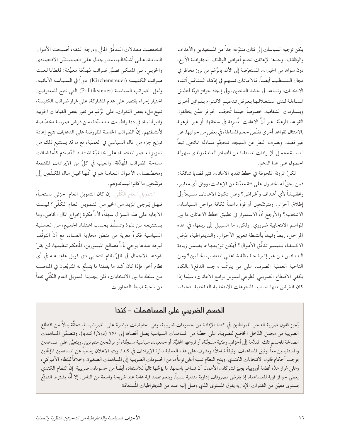يمكن توجيه السياسات إلى فئات متنوَّعة جداً من المستفيدين والأهداف والوظائف. وحدها الإعانات تخدم أغراض الوظائف الديمقراطية الأربع، دون سواها من الخيارات المستعرَضة إلى الأن، بالرَّغم من بروز مخاطر في مجال الـتـنـظـيـم أيضـاً. فـالاعـانـات تسـهـم في إذكـاء الـتـنـافس أثـنـاء الانتخابات، وتساعد في حشد الناخبين، وفي إيجاد حوافز قويَّة لتطبيق المساءلة لدى استغلالها بغرض تدعيم الالتزام بقوانين أخرى وبمستلزمات الشفافية، خصوصاً حينما تُحجَب الحوافز عمَّن يخالفون القواعد المرعيَّة. غير أنَّ الاعانات المُسرفة في سخائها، أو غير المرهونة بالامتثال لقواعد أخرى تقلَّص حجم المساءلة، في بعض من جوانبها، عن غير قصد. وبصرف النظر عن النتيجة، تتحجَّم مساءلة المانحين تبعاً لنسبة مجمل الإيرادات المستقاة من المصادر العامة، ولمدى سهولة الحصول على هذا الدعم.

لكنَّ المرونة الملحوظة في خطط تقديم الاعانات تثير قضايا شائكة: فمن يحقُّ له الحصول على فئة معيَّنة من الإعانات، ووفق أي معايير، وتحقيقاً لأي أهداف وأغراض؟ وهل تكون الاعانات سبيلاً إلى إطلاق أحزاب ومترشَّحين أو قوةً داعمةً لكافة مراحل السياسات الانتخابية؟ والأرجح أنَّ الاستمرار في تطبيق خطط الاعانات ما بين المواسم الانتخابية ضروري. ولكن، ما السبيل إلى ربطها، في هذه المراحل، ربطاً وثيقاً بأنشطة تعزيز الأحزاب والديمقراطية، عِوَض الاكتـفـاء بـتيسير تدفُّق الأموال؟ أيمكن توزيعها بما يضمن زيادة التنافس من غير إثارة حفيظة شاغلي المناصب الحاليين؟ ومن الناحية العملية الصِرف، على من يترتَّب واجب الدفع؟ بالكاد يكفي الاقتطاع الضريبي الطوعي لتمويل برامج الاعانات، سيَّما إذا كان الغرض منها تسديد المدفوعات الانتخابية الداخلية. فحيثما

انخفضت معدلات التدفُّق المالي ودرجة الثقة، أصبحت الأموال العامة، على أشكالها، مثار جدل على الصعيدَيْن الاقتصادي والحزبي. من الممكن تصوُّر ضرائب مُهدَّفة معيَّنة: فلطالما لعبت ضرائب الكنيسة (Kirchensteuer) دوراً في السياسة الألمانية. ولعل الضرائب السياسية (Politiksteuer) التي تتيح للمعترضين اختيار إجراء يقتصر على عدم المشاركة، على غرار ضرائب الكنيسة، تتيح ملء بعض الثغرات، على الرَّغم من نفور بعض القيادات الحزبية والبرلمانية، في ديمقراطيات متعدِّدة، من فرض ضريبة مخصَّصة لأنشطتهم. إنَّ الضرائب الخاصة المفروضة على الدعايات تتيح إعادة توزيع جزء من المال السياسي في العملية، مع ما قد يستتبع ذلك من تعزيز لعنصر المنافسة، على خلفيَّة اشتداد التَّصادم كلَّما ضاقت مساحة الضرائب المُهدَّفة. والعيب في كلٍّ من الإيرادات المقتطعة ومخصَّصات الأموال العامة هو في أنَّها تحيل مال المكلَّفين إلى مرشَّحين ما كانوا ليساندوهم.

التمويل العام الكُلّي. **إن كان التمويل العام الجزئي مستحباً،** فهل يُرجى المزيد من الخير من التمويل العام الكُلّي؟ ليست الاجابة على هذا السؤال سهلةً، لأنَّ فكرة إخراج المال الخاص، وما يستتبعه من نفوذ وتسلُّط بحسب اعتقاد الجميع، من العملية السياسية فكرةٌ مغرية من منظور محاربة الفساد، مع أنَّ التوقُّف لبرهة عندها يوحي بأنَّ مصالح الميسورين، المُحكَم تنظيمها، لن يقلَّ نفوذها بالاجمال في ظلِّ نظام انتخابي ذي تمويل عام، عنه في أي نظام أخر. فإذا كان أشد ما يقلقنا ما يتمتَّع به المتربِّعون في المناصب من سلطة ما بين الانتخابات، فلن يجدينا التمويل العام الكُلِّي نفعاً من ناحية ضبط التجاوزات.

#### الحسم الضريبي على المساهمات – كندا

يُجيز قانون ضريبة الدخل للمواطنين في كندا الإفادة من حسومات ضريبية، وهي تخفيضات مباشرة على الضرائب المستحقّة بدلأ من اقتطاع الضريبة من مجمل الدَّخل الخاضع للضريبة، على حصَّة من المساهمات السياسية يصل أقصاها إلى ٦٥٠ (دولاراً كندياً). وتتضمَّن المساهمات الصالحة للحسم تلك المقدَّمة إلى أحزاب وطنية مسجَّلة، أو فروعها الحليَّة، أو جمعيات سياسية مسجَّلة، أو مرشَّحين منفردين . ويتعيَّن على المساهمين والمستفيدين معاً توثيق المساهمات توثيقاً شاملاً؛ وتشرف على هذه العملية دائرة الإيرادات في كندا، ويتم الاعلان رسمياً عن المساهمين المؤهّلين بموجب أحكام قانون الانتخابات الكندي. ويمح النظام نسبة أعلى نوعاً ما من الحسومات الضريبية إلى المساهمات الصغيرة. وخلافاً للنظام الأميركي، وعلى غرار عدَّة أنظمة أوروبية، يجيز لشركات الأعمال أن تساهم باسمها، ما يؤهِّلها تالياً للاستفادة أيضاً من حسومات ضريبية. إنَّ النظام الكندي يعطي حوافز قوية للمساهمة، إذ يفرض مصروفات إدارية متدنية نسبياً، وينعم بمصداقية عامة عند شريحة واسعة من الناس. إلا أنّه يشترط التمتُّع بمستوى معيَّن من القدرات الإدارية يفوق المستوى الذي وصل إليه عدد من الديمقراطيات المُستعادَة.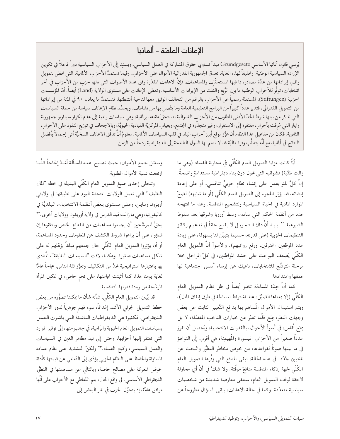#### الإعانات العامـّة – ألمانيا

يُرسى قانون ألمانيا الأساسي Grundgesetz مبدأ تساوي حقوق المشاركة في العمل السياسي، ويسند إلى الأحزاب السياسية دوراً فاعلاً في تكوين الإرادة السياسية الوطنية. وتحقيقاً لهذه الغاية، تغدق الجمهورية الفدرالية الأموال على الأحزاب. وفيما تستمدُّ الأحزاب الألمانية، التي تحظى بتمويل وافٍ، إيراداتها من عدَّة مصادر، بما فيها المستحقَّات والمساهمات، فإنَّ الاعانات المقدَّرة وفق عدد الأصوات التي نالها حزب من الأحزاب في أخر انتخابات، توفُّر للأحزاب الوطنية ما بين الرُّبع والثَّلث من الإيرادات الأساسية. وتعطي الإعانات على مستوى الولاية (Land) أيضاً. أمّا المؤسسات الحزبية (Stiftungen)، المستقلة رسمياً عن الأحزاب بالرغم من التحالف الوثيق معها لناحية أنشطتها، فتستمدُّ ما يعادل ٩٠ في المئة من إيراداتها من التمويل الفدرالي، فتدير عدداً كبيراً من البرامج التعليمية العامة وما يتَّصل بها من نشاطات. ويجسَّد نظام الإعانات سياسة من جملة السياسات التي نذكر من بينها شرط الحدِّ الأدني المطلوب من الأحزاب الفدرالية لتستحقَّ مقاعد برلمانية، وهي سياسات رامية إلى عدم تكرار سيناريو جمهورية وايمار التي عُرفت بأحزاب مفتقرة إلى الاستقرار، وغير متجذِّرة في الجتمع، وبغياب المركزيَّة القيادية الحيويَّة، وبالاجحاف في توزيع النفوذ على الأحزاب الثانوية. فكان من مفاعيل هذا النظام أن عزَّز موقع أبرز أحزاب البلد في قلب السياسات الألمانية. معلومٌ أنَّ تدفَّق الاعانات السخيَّة أتى إجمالاً بأفضل النتائج في ألمانيا، مع أنَّه يتطلَّب وفرة ماليَّة قد لا تنعم بها الدول الطامحة إلى الديمقراطية ردحاً من الزمن.

> أيًّا كانت مزايا التمويل العام الكُلِّي في محاربة الفساد (وهي ما زالت ظنِّية) فشوائبه التي تحول دون بناء ديمقراطية مستدامةٍ واضحةٌ. إنَّ كلَّ بلدٍ يعمل على إنشاء نظام حزبيٍّ تنافسي، أو على إعادة إنشائه، قد يؤثِر اللجوء إلى التمويل العام الكُلِّي (أو ما شابهه) لضخِّ الموارد المادية في الحياة السياسية ولتشجيع المنافسة. وهذا ما انتهجه عدد من أنظمة الحكم التبى سادت وسط أوروبا وشرقها بعد سقوط الشيوعية.'٢ بيد أنَّ ذاك الـتـمـويـل لا يفلح حقاً في تدعيم ركائز التنظيمات الحزبية (على قدرته، حسبما يتبيَّن لنا بسهولة، على زيادة عدد الموظفين المحترفين، ورفع رواتبهم). والأسوأ أنَّ التَّمويل العام الكُلِّي يُضعف البواعث على حشد المواطنين، في كلِّ المراحل خلا مرحلة الترشُّح للانتخابات، ناهيك عن إرساء أسس اجتماعية لها عمقها وامتدادها.

> كما أنَّ حِدَّة المساءلة تخبو أيضاً في ظل نظام التمويل العام الكُلِّي (إلا بمعناها الضيِّق، عند اشتراط المساءلة في طرق إنفاق المال)، ويتم استبدال الأموال المُساهم بها بدافع التَّعبير الثابت عن بعض وجهات النظر، بِنَح قلَّما تعبَّر عن خيارات الناخب المفضَّلة، لا بل مِنَحٍ تُقاس، في أسوأ الأحوال، بالقدرات الانتخابية، ويُحتمل أن تفرز عدداً صغيراً من الأحزاب الميسورة والمُهيمِنة، هي أقرب إلى التواطؤ في ما بينها صوناً لقواعدها، من خوض مخاطر التطوُّر والبحث عن ناخبين جُدُد. في هذه الحالة، تبقى المنافع التـي وفَّرها الـتمويل العام الكُلَّى لجهة إذكاء المنافسة منافعَ موقَّتة. ولا شكَّ في أنَّ أي محاولة لاحقة لوقف التمويل العام، ستلقى معارضة شديدة من شخصيات سياسية متعدِّدة. وكما في حالة الاعانات، يبقى السؤال مطروحاً عن

وسائل جمع الأموال، حيث تصبح هذه المسألة أشدً إلحاحاً كلَّما ارتفعت نسبة الأموال المطلوبة.

وتتجلَّى إحدى صيغ التمويل العام الكُلَّى البديلة في خطة "المال النظيف" التي تعمل الولايات المتحدة اليوم على تطبيقها في ولايتَي أريزونا وماين، وعلى مستوى بعض أنظمة الانتخابات البلديَّة في كاليفورنيا، وهي ما زالت قيد الدرس في ولاية أوريغون وولايات أخرى .\*\* يحقُّ للمرشَّحين أن يجمعوا مساهمات من القطاع الخاص وينفقوها إن شاؤوا، على أن يراعوا شروط الكشف عن المعلومات وحدود المساهمة، أو أن يؤثِروا التمويل العام الكُلَّى حال جمعهم مبلغاً يؤهِّلهم له على شكل مساهمات صغيرة. وهكذا، لاقت "السياسات النظيفة"، المُنادي بها باعتبارها استراتيجية تحدُّ من التكاليف وتعزَّز ثقة الناس، نجاحاً عامًّا لغاية يومنا هذا، كما أثبتت نجاعتها، على نحو خاص، في تمكين المرأة المرشَّحة من زيادة قدرتها التنافسية.

قد يُبين التمويل العام الكُلَّى، شأنه شأن ما يمكننا تصوُّره من بعض خطط التمويل الجزئي الأشد إغداقاً، سوء فهم جوهرياً لدور الأحزاب الديمقراطي. فكثيرة هي الديمقراطيات الناشئة التي باشرت العمل بسياسات التمويل العام الحيوية والرّامية، في جانبٍ منها، إلى توفير الموارد التي تفتقر إليها أحزابها، وحتى إلى نبذ مظاهر الغبن في السياسات والعمل السياسي، وكبح الفساد.\*٢ ولكنَّ التشديد على نظام عماده المساواة والحفاظ على النظام الحزبي يؤدّي إلى التَّعامى عن قيمتها كأداة لخوض المعركة على مصالح خاصة، وبالتالي عن مساهمتها في التطوُّر الديمقراطي الأساسي. في واقع الحال، يتم التَّعاطي مع الأحزاب على أنَّها مرافق عامَّة، إذ يتحوَّل الحزب في نظر البعض إلى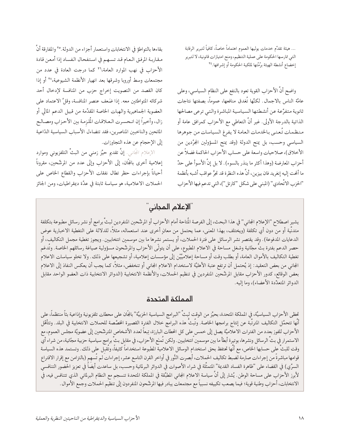… هيئة تقدُّم خدمات يوليها العموم اهتماماً خاصاً، كافياً لتبرير الرقابة التي تمارسها الحكومة على عملية التنظيم، ومنح امتيازات قانونية، لا لتبرير إخضاع أنشطة الهيئة برُمَّتها لملكية الحكومة أو إشرافها.٢٤

واضح أنَّ الأحزاب القوية تعود بالنفع على النظام السياسي، وعلى عامَّة الناس بالاجمال. لكنَّها تُغدق منافعها، عموماً، بصفتها نتاجات ثانوية متفرَّعة عن أنشطتها السياسية المباشرة والتيي ترعى مصالحها الذاتية بالدرجة الأولى. غير أنَّ التعاطي مع الأحزاب كمرافق عامة أو منظمات تُعنىي بالخدمات العامة لا يفرغ السياسات من جوهرها السياسي وحسب، بل يمنح الدولة (وقد يمنح المسؤولين المجرَّدين من الأخلاق)، صلاحيات واسعة على حساب الأحزاب الحاكمة فضلاً عن أحزاب المعارضة (وهذا أكثر ما ينذر بالسوء). لا بل إنَّ الأسوأ على حدٍّ ما ألحت إليه إنغريد فان بيزين، أنَّ هذه النظرة قد تجرُّ عواقب أشبه بأنظمة "الحزب الاتَّحادي" (المبنى على شكل "كارتل")،التي تدعم فيها الأحزاب

بقاءها بالتواطؤ في الانتخابات واستعمار أجزاء من الدولة.°٬ والمفارقة أنَّ مقاربة المرفق العام قد تسهم في استفحال الفساد إذا أمعن قادة الأحزاب في نهب الموارد العامة، ٢٦ كما درجت العادة في عدد من مجتمعات وسط أوروبا وشرقها بعد انهيار الأنظمة الشيوعية،٢٧ أو إذا كان القصد من التصويت إخراج حزب من المنافسة لإدخال أحد شركائه المتواطئين معه. إذا ضَعف عنصر المنافسة، وقلَّ الاعتماد على العضوية الجماهيرية والهبات الخاصة المقدَّمة من قبيل الدعم المالي أو زال، وأخيراً إن انـحسـرت الـعـلاقـات المُلزمـة بين الأحـزاب ومصـالـح المانحين والناخبين المناصرين، فقد تتضاءل الأسباب السياسية الدّاعية إلى الإحجام عن هذه التجاوزات.

الإعلام الجَّاني. إنَّ تقديم حيِّز زمني من البثَّ التلفزيوني وموارد إعلامية أخرى بالمجَّان، إلى الأحزاب وإلى عدد من المرشَّحين، مقروناً أحياناً بإجراءات حظر تطال نفقات الأحزاب والقطاع الخاص على الحملات الاعلامية، هو سياسة ثابتة في عدَّة ديمقراطيات، ومن الجائز

ّالإعلام المجاني¨

يشير اصطلاح "الإعلام الجاني" في هذا البحث، إلى الفرصة المتاحة أمام الأحزاب أو المرشَّحين المنفردين لبثِّ برامج أو نشر رسائل مطبوعة بتكلفة متدنِّية أو من دون أي تكلفة (ويختلف، بهذا المعنى، عما يحتمل من معانٍ أخرى عند استعماله، مثلاً، للدلالة على التغطية الاخبارية عوض الدعايات المدفوعة). وقد يقتصر نشر الرسائل على فترة الحملات، أو يستمر نشرها ما بين موسمين انتخابيين. ويجوز تغطية مجمل التكاليف، أو حصر الدعم بفترة بثٌ مجّانية وشغل مساحة في الاعلام المطبوع، على أن يتولَّى الأحزاب والمرشَّحون مسؤولية صياغة رسائلهم الخاصة. وتُدعَم تغطية التكاليف بالأموال العامة، أو بطلب وقت أو مساحة إعلاميَّيْن إلى مؤسسات إعلامية، أو تشجيعها على ذلك. ولا تخلو سياسات الاعلام المجاني من بعض التعقيد: إذ يُحتمل أن ترتفع عتبة الأهليَّة لاستخدام الاعلام المجاني أو تنخفض، مثلاً، كما يجب أن يعكس النفاذ إلى الاعلام بعض الوقائع، كدور الأحزاب مقابل المرشَّحين المنفردين في تنظيم الحملات، والأنظمة الانتخابية (الدوائر الانتخابية ذات العضو الواحد مقابل الدوائر المتعدِّدة الأعضاء)، وما إليه.

#### المملكة المتحدة

تحظى الأحزاب السياسيَّة، في المملكة المتحدة، بحيِّز من الوقت لبث "البرامج السياسية الحزبيَّة" بالجَّان على محطات تلفزيونية وإذاعية بثاً منتظماً، على أنها تتحمَّل التكاليف المترتَبة عن إنتاج برامجها الخاصة. وتَبثُّ هذه البرامج خلال الفترة القصيرة المخصَّصة للحملات الانتخابية في البلد. وتتأهَّل الأحزاب للفوز بعدد من الفترات الاعلاميَّة يصل إلى خمس على كل المحطات البارزة، تِبعاً لعدد الأشخاص المترشّحين إلى عضويَّة مجلس العموم، مع الاستمرار في بثِّ الرسائل ونشرها، بوتيرة أبطأ ما بين موسمين انتخابيين. ولكن تُمنَع الأحزاب، في مقابل بثٍّ برامج سياسية حزبية مجّانية، من شراء أي وقت للبثِّ على حسابها الخاص، مع أنَّها تحتفظ بحق استخدام الوسائل الاعلامية المطبوعة استخداماً كثيفاً، وتُقبل على ذلك. وتستمد هذه السياسة قوامها مباشرةً من إجراءات صارمة لضبط تكاليف الحملات، أبصرت النُّور في أواخر القرن التاسع عشر، إجراءات لم تُسهم (بالتزامن مع إقرار الاقتراع السرِّي) في القضاء على "ظاهرة الفساد القديمة" المتمثَّلة في شراء الأصوات في الدوائر البرلمانية وحسب، بل ساعدت أيضاً في تعزيز الحضور التنافسي لأبرز الأحزاب على مساحة الوطن. يُشار إلى أنَّ سياسة الاعلام المجاني المطبَّقة في المملكة المتحدة تنسجم مع النظام البرلماني الذي تتنافس فيه، في الانتخابات، أحزاب وطنية قوية؛ فيما يصعب تكييفه نسبياً مع مجتمعات يبادر فيها المرشَّحون المنفردون إلى تنظيم الحملات وجمع الأموال .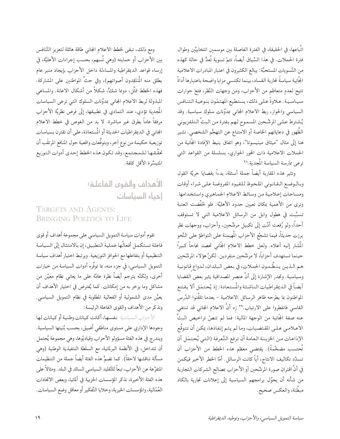اتِّباعها، في الحقيقة، في الفترة الفاصلة بين موسمين انتخابيَّين وطوال فترة الحملات. في هذا السِّياق أيضاً، تتمّ تسوية تُعدُّ في حالة كهذه من التَّسويات المستحبَّة: يبالغ الكثيرون في اعتبار المبادرات الاعلامية الجَّانِية سياسةً لحاربة الفساد، بينما تكتسى مزايا واضحة باعتبارها أداةً تتيح لعددٍ متعاظم من الأحزابِ، ومن وجهات النَّظر، فتحَ حوارات سياسية. علاوةً على ذلك، يستطيع المهتمّون بنوعية التنافس السياسي والحوار، ربط الاعلام المجاني بمدوَّنات سلوك سياسية. وقد يُشترط علىي المرشَّحين المسموح لهم بفترة من البثِّ التلفزيوني الظُّهور في دعاياتهم الخاصة أو الامتناع عن التهجُّم الشخصي. نشير هنا إلى مثال "ميثاق مينيسوتا"، وهو اتفاق ينيط الإفادة المجَّانية من الحملات الاعلامية ذات المحور الحواري، بسلسلة من القواعد التبي ترعى ممارسة السياسة المُجدية.^٢

وتثير هذه المقاربة أيضاً جملة أسئلة، بدءاً بقضايا حريَّة القول وبالوضع القانوني الملحوظ للقيود المفروضة على شراء أوقات ومساحات إعلامية من وسائط الاعلام الجماهيري واستخدامها. ونرى من الأهمية بمكان تعيين حدود الأهليَّة: فلو خُفِّضت العتبة تسبَّبت في هطول وابل من الرسائل الاعلامية التي لا تستوقف أحداً، ولو رُفعت أدَّت إلى تكبيل مرشَّحين، وأحزاب، ووجهات نظر برزت حديثاً، فيما تشجِّع الأحزاب المُهيمِنة على التواطؤ على النَّحو المُشار إليه أعلاه. ولعل خطط الاعلام المجَّاني تحصد نجاحاً كبيراً حينما تستهدف أحزاباً، لا مرشَّحين منفردين. لكنَّ هؤلاء المرشَّحين هم الـذيـن يـنـظَّـمـون الحمـلات، في بعض الـبلدان، لـدواع قـانونيـة وسياسية. وتجدر الإشارة إلى أنَّ عنصر المصداقية يثير بعض القضايا أيضاً في الديمقراطيات الناشئة والمُستعادة: إذ يُحتمَل ألا يقتنع المواطنون بما يطرحه ظاهر الرسائل الاعلامية – بعدما تلقَّنوا الدَّرس القاسي فانفطروا على الارتياب.'' زد أنَّ الاعلام المجاني قد تنتفي عنه صفة المجَّانية من الوجهة المالية: فما لم تنصَّ تراخيص البثِّ الاعـلامـي عـلـي المقـتضـيات، وما لم يتم إنفاذها، يمكن أن تتوقَّع الإذاعـات مـن الخزيـنـة الـعامـة أن ترفع التَّعرفة (الـتـي يُحتمَل أن تُحتسب مضخَّمةً). يقتضى معظم هذه الخطط من الأحزاب أن تسدِّد تكاليف الانتاج، أياً كانت الرسائل . أمَّا الخطر الأخير فيكمن في أنَّ اقتران صورة المرشَّحين أو الأحزاب بمصالح الشركات التجارية من شأنه أن يحوِّل برامجهم السياسية إلى إعلانات تجارية بالكاد مبطَّنة، والعكس صحيح.

ومع ذلك، تبقى لخطط الاعلام المجانى طاقة هائلة لتعزيز التَّنافس بين الأحزاب أو حمايته (وهي تُسهم، بحسب إجراءات الأهليَّة، في إرساء قواعد الديمقراطية والمساءلة داخل الأحزاب بإيجاد منبر عام يطلق منه المُنتَقِدون أصواتهم)، وفي حثِّ المواطنين على المشاركة. فهذه الخطط تمثُّل، دونما شكٌّ، شكلاً من أشكال الاعانة. والمساعى المبذولة لربط الاعلام المجانى بمدوَّنات السلوك التي ترعى السياسات الْمَجدِية تؤدي، عند التمادي في تطبيقها، إلى فرض نظريَّة الأحزاب مرفقاً عاماً بطرق غير مباشرة. لا بد من الغوص في خطط الاعلام المجاني في الديمقراطيات الحديثة أو المُستعادَة، على أن تقترن بسياسات توزيعية حكيمة من نوع أخر، وبتوقُّعات واقعية حول المنافع المرتقَب أن تحقَّـقها لـلمجتمع، وقد تكون هذه الخطط إحدى أدوات التوزيع المتيسِّرة الأقل كلفة.

> الأهداف والقوى الفاعلة: إحياء السياسات

TARGETS AND AGENTS: **BRINGING POLITICS TO LIFE** 

تقوم أدوات سياسة التمويل السياسي على مجموعة أهداف أو قوى فاعلة تستكمل أفعالُها عمليةَ التطبيق، إن بالامتثال إلى السياسة التنظيمية أو بتفاعلها مع الحوافز التوزيعية. ويرتبط اختيار أهداف سياسة التمويل السياسي، في جزء منه، بما توفُّره أدوات السياسة من خيارات أخرى، ولكنَّه يترجم أيضاً نظرة عامَّة على ما يعانى نظام معيَّن من مشاكل وما يزخر به من إمكانات. كما يُفترض في اختيار الأهداف أن يعيِّن مدى الشمولية أو الفعالية المطلوبة في نظام التمويل السياسي. ونذكر من الأهداف والقوى الفاعلة الرئيسة:

الأحزاب السياسية نفسها، أكانت كيانات وطنية أو كيانات لها وجودها الإداري على مستوى مناطقي أضيق، بحسب بُنيتها السياسية. ويندرج في هذه الفئة مسؤولو الأحزاب وقياديّوها، وهي مجموعة يُحتمل أن تتداخل، في الأنظمة البرلمانية، مع السلطة التنفيذية الوطنية (وهي مسألة نناقشها لاحقاً). كما تضمُّ هذه الفئة أيضاً جملة من التنظيمات المتفرِّعة عن الأحزاب، تبعاً للتَّقليد السياسي السائد في البلد. ومثالاً على هذه الفئة الأخيرة، نذكر المؤسسات الحزبية في ألمانيا، وبعض الاتحادات العُمّالية، والمؤسسات الخيرية، وخلايا التَّفكير أو معاقل وضع السياسات.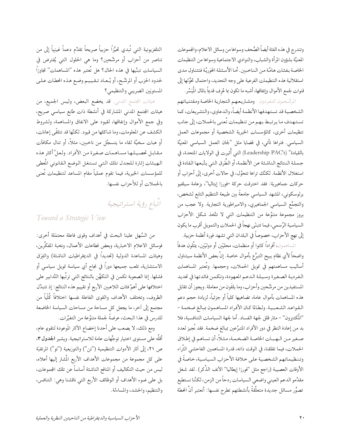وتندرج في هذه الفئة أيضاً الصُّحف وسواها من وسائل الاعلام، والجموعات المعنيَّة بشؤون المرأة والشباب، والنوادي الاجتماعية وسواها من التنظيمات الخاصة بفئات هامَّة من الناخبين. أما الأسئلة الحَوَريَّة فتتناول مدى استقلالية هذه التنظيمات الفرعية على وجه التحديد، واحتمال تحوُّلها إلى قنوات لجمع الأموال وإنفاقها، أشبه ما تكون بما عُرف قديماً بالمال المُيَسَّر.

الرشَّحون المنفردون ومشاريعهم التجارية الخاصة ومقتنياتهم الشخصية قد تستهدفها الأنظمة أيضاً، والدعاوي، والتشريعات، كما تستهدف ما يرتبط بهم من تنظيمات تُعنى بالحملات، إلى جانب تنظيمات أخرى، كالمؤسسات الخيرية الشخصية أو مجموعات العمل السياسي. فتراها تأتي، في قضايا مثل "لجان العمل السياسي المعنِيَّة بالقيادة" (Leadership PAC's) التي أُثيرت في الولايات المتحدة، في جملة النتائج الناشئة عن الأنظمة، أو الطُّرق التي يتَّبعها القادة في استغلال الأنظمة. لكنَّك تراها تتحوَّل، في حالات أخرى، إلى أحزاب أو حركات جماهيرية: فقد اخترقت حركة "فورزا إيتاليا"، بزعامة سيلفيو برلوسكوني، المشهد السياسي جامعةً بين طبيعة التنظيم التابع لشخص، والتجمُّع السياسي الجماهيري، والامبراطورية التجارية. ولا عجب من بروز مجموعة متنوَّعة من التنظيمات التي لا تتَّخذ شكل الأحزاب السياسية الرَّسمي، فيما تتبنَّى نهجاً في الحملات والتمويل أقرب ما يكون إلى نهج الأحزاب، خصوصاً في البلدان التي تشهد فورة أنظمة حزبية.

المساهمون، أفراداً كانوا أو منظمات، محليّين أو دوليّين، يمثِّلون هدفاً واضحاً لأي نظام يبيح التبرُّع بأموال خاصة. إنَّ بعض الأنظمة سيتناول أساليب مساهمتهم في تمويل الحملات، وحجمها. وتُعتبر المساهمات الفردية الصغيرة وسيلة الدعم المعهودة، وتكمن فائدتها في تحديد المستفيدين من مرشَّحين وأحزاب، وما يلقَون من معاملة. ويجوز أن تقابَل هذه المساهمات بأموال عامة، تضاهيها كلياً أو جزئياً، لزيادة حجم دعم القواعد الشعبية. ولطالما كان الأفراد المساهمون بمالغ ضخمة -"الْمُكتنِزون" – مثار قلق لجهة الفساد. أما لجهة السياسات التنافسية، فلا بد من إعادة النظر في دور الأفراد المتبرَّعين بمبالغ ضخمة. فقد نُجيز لعدد صغير مـن الـهـبـات الخاصـة الضخمـة، مـثـلاً، أن تسـاهـم في إطـلاق الحملات، فيما تقلقنا، في الوقت ذاته، قدرة المساهمين الفاحشى الثَّراء وتنظيماتهم الشخصية على خلافة الأحزاب السياسية، خاصةً في الأوقات العصيبة (راجع مثل "فورزا إيطاليا" الأنف الذِّكر). لقد شغل مقدِّمو الدعم العيني واضعى السياسات ردحاً من الزمن، لكنَّنا نستطيع تصوُّر مسائل جديدة متعلِّقةً بأنشطتهم تطرح نفسها: أنعتبر أنَّ الحطة

التلفزيونية التي تُبدي تحيُّزاً حزبياً صريحاً تقدِّم دعماً عَينِياً إلى من تناصر من أحزاب أو مرشَّحين؟ وما هي الحلول التبي يُفترض في السياسات تبنِّيها في هذه الحال؟ هل تُعتبر هذه "المساهمات" تجاوزاً لحدود الحزب أو المرشّح، أو يُعـاد تـقييـم وضع هـذه المحطات عـلـي المستويَين الضريبي والتنظيمي؟

هيئات الجتمع المدني. قد يخضع البعض، وليس الجميع، من هيئات المجتمع المدنى المشاركة في أنشطة ذات طابع سياسى صريح، وفي جمع الأموال وإنفاقها، لقيود على الانفاق والمساهمة، ولشروط الكشف عن المعلومات، وما شاكلها من قيود. لكنَّها قد تتلقَّى إعانات، أو هبات سخيَّة لقاء ما يتسجَّل من ناخبين، مثلاً، أو تنال مكافاَت مقابل تحصيلها مساهمات صغيرة من الأفراد. ولعلَّ أكثر هذه الهيئات إثارة للجدل تلك التي تستغل الوضع القانوني المُعطى للمؤسسات الخيرية، فيما تقوم عملياً مقام المساعد لتنظيمات تُعنى بالحملات أو للأحزاب نفسها.

اتَّباع رؤية استراتيجية

Toward a Strategic View

من السَّهل علينا البحث في أهداف وقوى فاعلة محتمَلة أخرى: فوسائل الاعلام الاخبارية، وبعض قطاعات الأعمال، ونخبة المفكِّرين، وهيئات المساعدة الدولية (تحديداً في الديمقراطيات الناشئة) والفِرَق الاستشارية، تلعب جميعها دوراً في نجاح أي سياسة تمويل سياسي أو فشلها. إنما الصعوبة تكمن في التكهُّن بالنتائج التي ترتُّبها التَّدابير على اختلافها على أهمٍّ فئات اللاعبين الأربع أو تقييم هذه النتائج: إذ تتبدَّل الظروف، وتختلف الأهداف والقوى الفاعلة نفسها اختلافاً كُلِّياً من مجتمع إلى أخر، ما يجعل كل مساحة من مساحات السياسة الخاضعة للدرس في هذا البحث، عرضةً لجملة متنوِّعة من التغيُّرات.

ومع ذلك، لا يصعب على أحدنا إخضاع الأثار المَوعودة لتقويم عام، أقلَّه على مستوى اختيار توجُّهات عامة للاستراتيجية. ويشير الجدول ٣، ص ٢١، إلى آثار الأدوات التنظيمية ("تن") والتوزيعية ("تو") المرتقبَة على كل مجموعة من مجموعات الأهداف الأربع المُشار إليها أعلاه، ليس من حيث التكاليف أو المنافع الناشئة أساساً عن تلك المجموعات، بل على ضوء الأهداف أو الوظائف الأربع التي ناقشنا وهي: التنافس، والتنظيم، والحشد، والمساءلة.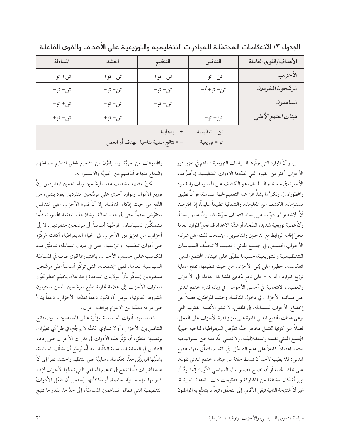| المساءلة | الحشد   | التنظيم                               | التنافس      | الأهداف/القوى الفاعلة |
|----------|---------|---------------------------------------|--------------|-----------------------|
| تن+ تو−  | تن- تو+ | تن- تو+                               | تن- تو+      | الأحزاب               |
| تن- تو-  | تن- تو- | تن- تو-                               | تن– تو+/–    | المرشّحون المنفردون   |
| تن+ تو−  | تن- تو- | تن- تو-                               |              | المساهمون             |
| تن- تو+  | تن- تو+ |                                       | تن- تو+      | هيئات المجتمع الأهلي  |
|          |         | + = إيجابية                           | تن = تنظيمية |                       |
|          |         | - = نتائج سلبية لناحية الهدف أو العمل | تو = توزيعية |                       |

الجدول ٣: الانعكاسات المحتمَلـة للـمبادرات التنظيـميـة والتوزيـعيـة علـى الأهـداف والـقوى الـفاعلـة

يبدو أنَّ الموارد التي توفِّرها السياسات التوزيعية تساهم في تعزيز دور الأحزاب أكثر من القيود التي تحدِّدها الأدوات التنظيمية، (وأهمُّ هذه الأخيرة، في معظم البلدان، هو الكشف عن المعلومات والقيود والمخطورات). ولكنَّ ما يشذُّ عن هذا التعميم لجهة المساءلة، هو أنَّ تطبيق مستلزمات الكشف عن المعلومات والشفافية تطبيقاً سليماً، إذا افترضنا أنَّ الاختيار لم يتمَّ بداعي إيجاد ائتمانات سرِّية، قد يرتدُّ عليها إيجاباً، وأنَّ عملية توزيعية شديدة السَّخاء أو هشَّة الاعداد قد تُحِلُّ الموارد العامة محلَّ إقامة الروابط مع الناخبين والمناصرين . وينسحب ذلك على شركاء الأحزاب المحتملين في الجتمع المدنى: ففيما لا تخلُّف السياسات التنظيمية والتوزيعية، حسبما تطبَّق على هيئات الجتمع المدني، انعكاسات خطيرة على بُنى الأحزاب من حيث تنظيمها، تفلح عملية توزيع الموارد الجارية – على نحو يكافئ المشاركة الفاعلة في الأحزاب والعمليات الانتخابية، في أحسن الأحوال – في زيادة قدرة الجتمع المدنى على مساندة الأحزاب في دخول المنافسة، وحشد المواطنين، فضلاً عن إخضاع الأحزاب للمساءلة. في المقابل، لا تبدو الأنظمة القانونية التي ترعى هيئات المجتمع المدني قادرة على تعزيز قدرة الأحزاب على العمل، فضلاً عن كونها تحتمل مخاطر جمَّة تقوِّض الديمقراطية، لناحية حيويَّة الجتمع المدنى نفسه واستقلاليَّته. ولا نعني المُدافعة عن استراتيجية تعتمد اعتماداً كاملاً على عدم التدخُّل، في القسم المتعلِّق منها بالمجتمع المدنى: فلا يطيب لأحد أن تبسط حفنة من هيئات الجتمع المدنى نفوذها على تلك الحلبة أو أن تصبح مصدر المال السياسي الأوَّل؛ إنَّما نودُّ أن تبرز أشكال مختلفة من المشاركة والتنظيمات ذات القاعدة العريضة. غير أنَّ النتيجة الثانية تبقى الأقرب إلى التحقُّق، تبعاً لما يتمتَّع به المواطنون

والمجموعات من حريَّة، وما يلقُّون من تشجيع فعلى لتنظيم مصالحهم والدفاع عنها بما أمكنهم من الحيويَّة والاستمرارية.

لكنَّ المشهد يختلف عند المرشَّحين والمساهمين المنفردين. إنَّ توزيع الأموال وموارد أخرى على مرشَّحين منفردين يعود بشيء من النَّفع من حيث إذكاء المنافسة، إلا أنَّ قدرة الأحزاب على التنافس ستقوَّض حتماً حتى في هذه الحالة. وخلا هذه المنفعة المحدودة، قلَّما تتمكَّن السياسات الموجَّهة أساساً إلى مرشَّحين منفردين، لا إلى أحزاب، من تعزيز دور الأحزاب في الحياة الديمقراطية، أكانت مُركَّزة على أدوات تنظيمية أو توزيعية. حتى في مجال المساءلة، تتحقَّق هذه المكاسب على حساب الأحزاب باعتبارها قوى طرف في المساءلة السياسية العامة. ففي الجتمعات التي تركُّز أساساً على مرشَّحين منفردين (نذكِّر بأنَّ الولايات المتحدة إحداها)، يخيِّم خطر تحوُّل شعارات الأحزاب إلى علامة تجارية تطبع المرشَّحين الذين يستوفون الشروط القانونية، عِوض أن تكون دعماً تقدِّمه الأحزاب، دعماً يدلُّ على درجة معيَّنة من الالتزام بمواقف الحزب.

قد تساوي أدوات السياسة المؤثِّرة علىي المساهمين ما بين نتائج التنافس بين الأحزاب، أو لا تساوي. لكنَّه لا يرجَّح، في ظلِّ أي تغيِّرات يرتضيها المنطق، أن تؤثُّر هذه الأدوات في قدرات الأحزاب على إذكاء التنافس في العملية السياسية الكُلِّية. بيد أنَّه يُرجَّح أن تخلُّف السياسة، بشقَّيْها البارزَيْن معاً، انعكاسات سلبيَّة على التنظيم والحشد، نظراً إلى أنَّ هذه المقاربات قلَّما تنجح في تدعيم المساعي التي تبذلها الأحزاب لإنماء قدراتها المؤسساتيّة الخاصة، أو مكافأتها. يُحتمَل أن تفعِّل الأدواتُ التنظيمية التي تطال المساهمين المساءلةَ، إلى حدٍّ ما، بقدر ما تتيح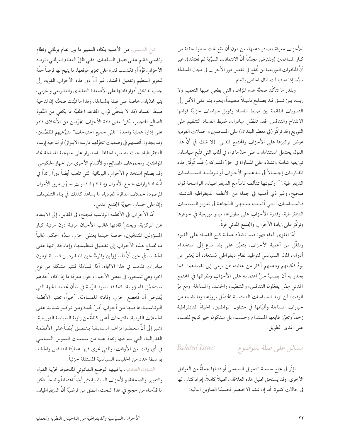للأحزاب معرفة مصادر دعمها، من دون أن تقع تحت سطوة حفنة من كبار المساهمين (ونفترض مجدَّداً أنَّ الائتمانات السرِّية لم تُعتمَد). غير أنَّ المبادرات التوزيعية لن تُفلح في تفعيل دور الأحزاب في مجال المساءلة سيَّما إذا استبدلت المال الخاص بالعام.

وبقدر ما تتأكَّد صحَّة هذه المزاعم، التي يطغي عليها التعميم ولا ريب، يبرز نسق قد يصلح دليلاً مفيداً، يعود بنا على الأقل إلى التسويات القائمة بين ضبط الفساد وتمويل سياسات حزبيَّة قوامها الانفتاح والتنافس. فقد تُفضِّل مبادرات ضبط الفساد التنظيم على التوزيع وقد تركِّز (في معظم البلدان) على المساهمين والحملات الفردية عوض تركيزها على الأحزاب والمجتمع المدني. (لا شك في أنَّ هذا القول يحتمل استثناءات، على حدٍّ ما نراه في ألمانيا التي تتَّبع سياسات توزيعية شاملة وتشدِّد على المساواة في حقِّ المشاركة.) قلَّما تُوفَّق هذه المقاربات إجمالاً في تـدعيـم الأحـزاب أو تـوطـيـد السـيـاسـات الديمقراطية. ٣٠ وكونـها تتألف تماماً مع الديمقراطيات الراسخة قول صحيح، وغير ذي أهمية في جملة من الأنظمة الديمقراطية الناشئة. فالسياسات التيي أثبتت منتهي النَّجاعة في تعزيز السياسات الديمقراطية، وقدرة الأحزاب على تطويرها، تبدو توزيعية في جوهرها وتركَّز على زيادة الأحزاب والمجتمع المدني قوةً.

أمّا المغزي العام فهو: فيما تشدِّد عملية كبح الفساد على القيود وتقلَّل من أهمية الأحزاب، يتعيَّن على بلد ساع إلى استخدام أدوات المال السياسي لتوطيد نظام ديمقراطي مُستعاد، أن يُعنى بمن يودُّ تمكينهم ودعمهم أكثر من عنايته بمن يرمي إلى تقييدهم؛ كما يجدر به أن يصبَّ جلَّ اهتمامه على الأحزاب ونظرائها في المجتمع المدنى مِمَّن يفعِّلون التنافس، والتنظيم، والحشد، والمساءلة. ومع مرِّ الوقت، لن تزيد السياسات التنافسية المحتمَل بروزها، وما تضعه من خيارات المساءلة وأليّاتها في متناول المواطنين، الحياةَ الديمقراطية زخماً وتعزُّز طابعها المستدام وحسب، بل ستكون خير كابح للفساد على المدى الطويل.

#### Related Issues مسائل على صلة بالموضوع

تؤثُّر في نجاح سياسة التمويل السياسي أو فشلها جملةٌ من العوامل الأخرى. وقد يستحق تحليل هذه العلاقات تحليلاً كاملاً، إفراد كتاب لها في حالات كثيرة. أما إن شئنا الاختصار فحسبُنا العناوين التالية:

نوع الدستور. من الأهمية بمكان التمييز ما بين نظام برلماني ونظام رئاسي قائم على فصل السلطات. ففي ظلِّ النظام البرلماني، تزداد الأحزاب قوَّةً أو تكتسب قدرة على تعزيز موقعها، ما يتيح لها فرصاً حقَّة لتعزيز التنظيم وتفعيل الحشد. غير أنَّ دور هذه الأحزاب القوية، إلى جانب تداخل أدوار قادتها على الأصعدة التنفيذي والتشريعي والحزبي، يثير تحدِّيات خاصة على صلة بالمساءلة. وهذا ما ثبَّتت صحَّته إن لناحية ضبط الفساد (قد لا يتحلَّى نوَّاب المقاعد الخلفيَّة بما يكفي من النُّفوذ الصالح للتجيير، لكنَّ بعض قادة الأحزاب الجرَّدين من الأخلاق قادر على إدارة عملية واحدة "تلبّي جميع احتياجات" متبرَّعيهم المفضَّلين، وقد يجدون أنفسهم في وضعيات تخوِّلهم ممارسة الابتزاز) أو لناحية إرساء الديمقراطية، حيث يصعب الحفاظ باستمرار على منهجية المساءلة تجاه المواطنين، ومجموعات المصالح، والأقسام الأخرى من الجهاز الحكومي. وقد يصلح استخدام الأحزاب البرلمانية التي تلعب أيضاً دوراً رائداً في اتَّخاذ قرارات جمع الأموال وإنفاقها، قنواتٍ تسهَّل مرور الأموال المرصودة لحملات الدائرة الفردية، ما يساعد كذلك في بناء التنظيمات وإن على حساب حيويَّة المجتمع المدنى.

أمَّا الأحزابِ في الأنظمة الرئاسية فتجنح، في المقابل، إلى الابتعاد عن المركزية، ويحتلُّ قادتها غالب الأحيان مرتبة دون مرتبة كبار المسؤولين المنتخبين، خاصة حينما يعتلى الحزب سدَّة الحكم. غالباً ما تحتاج هذه الأحزاب إلى تفعيل تنظيمها، وإنماء قدراتها على الحشد، في حين أنَّ المسؤولين والمرشَّحين المنفردين قيد يـقـاومون مبادرات تذهب في هذا الاتجاه. أمَّا المساءلة فتثير مشكلة من نوع أخر، وهي تتمحور، في بعض الأحيان، حول معرفة ما إذا كان أحدهم سيتحمَّل المسؤولية، كما قد تسود الرَّيبة في شأن تحديد الجهة التي يُفترض أن تُخضع الحزب وقادته للمساءلة. أخيراً، تعتبر الأنظمة الرئاسية، بما فيها من أحزاب أقلَّ لحمة ومن تركيز شديد على الحملات الفردية، مقترحات أعلى كلفةً من زاوية السياسة التوزيعية. نشير إلى أنَّ معظم المزاعم السابقة ينطبق أيضاً على الأنظمة الفدرالية، التي يتم فيها إنفاذ عدد من سياسات التمويل السياسي في أي وقت من الأوقات، والتي تجري فيها عمليَّتا التنافس والحشد بواسطة عدد من الحلبات السياسية المستقلة جزئياً.

الشؤون القانونية، بما فيها الوضع القانوني الملحوظ لحرِّية القول والتعبير، والصحافة، والأحزاب السياسية تثير أيضاً اهتماماً واضحاً. فكل ما قدَّمناه من حجج في هذا البحث، انطلق من فرضيَّة أنَّ الديمقراطيات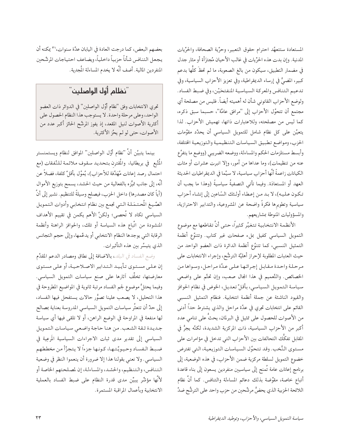المستعادة ستتعهَّد احترام حقوق التعبير، وحرِّية الصحافة، والحرِّيات المدنية. وإن بدت هذه الحرِّيات في غالب الأحيان مُجتزَأة أو مثار جدل في مضمار التطبيق، سيكون من بالغ الصعوبة، ما لم تحظَ كلُّها بدعم كبير، المضيُّ في إرساء الديمقراطية، وفي تعزيز الأحزاب السياسية، وفي تدعيم التنافس والمعركة السياسية المنفتحَيْن، وفي ضبط الفساد. ولوضع الأحزاب القانوني شأن له أهميته أيضاً. فليس من مصلحة أي مجتمع أن تتحوَّل الأحزاب إلى "مرافق عامَّة"، حسبما سبق ذكره، كما ليس من مصلحته، وللاعتبارات ذاتها، تهميش الأحزاب. لذا يتعيَّن على كل نظام شامل للتمويل السياسي أن يحدِّد مقوَّمات الحزب، ومواضع تطبيق السياسات التنظيمية والتوزيعية الختلفة، وأبسط مستلزمات الحكم والمساءلة، ووضعه الضريبي (ووضع ما يتفرَّع عنه من تنظيمات)، وما عداها من أمور، وإلا انبرت عشرات أو مئات الكيانات زاعمةً أنَّها أحزاب سياسية، لا سيَّما في الديمقراطيات الحديثة العهد أو المستعادَة. وفيما تأتي التصفيةُ سياسيةً (وهذا ما يجب أن تكون عليه)، لا بد من إعطاء أولئك السّاعين إلى إنشاء أحزاب سياسية وتطويرها فكرةً واضحة عن المشروعية، والتدابير الاحترازية، والمسؤوليات المنوطة بمشاريعهم.

الأنظمة الانتخابية تتغيَّر كثيراً، حتى أنَّ تقاطعها مع موضوع التمويل السياسي كفيل بملء صفحات غير كتاب. وتتنوَّع أنظمة التمثيل النسبي، كما تتنوَّع أنظمة الدائرة ذات العضو الواحد من حيث العتبات المطلوبة لإحراز أهليَّة الترشُّح، وإجراء الانتخابات على مرحلة واحدة مقابل إجرائها علىي عدَّة مراحل، وسواها من الخصائص. والتَّعميم في هذا المجال صعب، وإن تحتَّم على واضعى سياسة التمويل السياسي، بأقلِّ تعديل، الخوض في نظام الحوافز والقيود الناشئة عن جملة أنظمة انتخابية. فنظام التمثيل النسبي القائم على انتخابات تجري في عدَّة مراحل والذي يشترط حداً أدنى من الأصوات للحصول على تمثيل في البرلمان، يحثُّ على تنامى عدد أكبر من الأحزاب السياسية، ذات المركزية الشديدة، لكنَّه يجرُّ في المقابل تفكُّك التحالفات بين الأحزاب التي تدخل في مؤامرات على مستوى النُّخب. وقد تتحوَّل السياسات التوزيعية، التي تفترض خضوع التمويل لسلطة مركزية ضمن الأحزاب، في هذه الوضعية، إلى برنامج إعانات عامة تُمنح إلى سياسيين منفردين يسعون إلى بناء قاعدة أتباع خاصة، مقوِّضة بذلك دعائم المساءلة والتنافس. كما أنَّ نظام اللائحة الحزبية الذي يحضُّ مرشَّحين من حزب واحد على الترشُّح ضدَّ

بعضهم البعض، كما درجت العادة في اليابان عدَّة سنوات، ٣١ يمكنه أن يجعل التنافس شأناً حزبياً داخلياً، ويضاعف احتياجات المرشَّحين المنفردين المالية. أضف أنَّه لا يخدم المساءلة المُجدِية.

### "نظام أوّل الواصلين"

تجرى الانتخابات وفق "نظام أوَّل الواصلين" في الدوائر ذات العضو الواحد، وعلى مرحلة واحدة. لا يستوجب هذا النظام الحصول على أكثرية الأصوات لنيل المقعد، إذ يفوز المرشَّح الحائز أكبر عدد من الأصوات، حتى لو لم يحُز الأكثرية.

بينما يتبيَّن أنَّ "نظام أوَّل الواصلين" الموافق لنظام ويستمنستر المُتَّبعِ في بريطانيا، والمُقترن بتحديد سقوف ملائمة للنَّفقات (مع احتمال رصد إعانات مُهَدَّفة للأحزاب)، يُموَّل بأقلِّ كلفة، فضلاً عن أنَّه، إلى جانب تميُّزه بالفعالية من حيث الحشد، يسمح بتوزيع الأموال (أياً كان مصدرها) داخل الحزب، فيصلح وسيلةً للتنظيم. نشير إلى أنَّ الصِّيغ المُحتمَلة التي تجمع بين نظام انتخابي وأدوات التمويل السياسي تكاد لا تُحصى؛ ولكنَّ الأهم يكمن في تقييم الأهداف المنشودة من اتَّباع هذه السياسة أو تلك، والحوافز الراهنة وأنظمة الرقابة التي يوجدها النظام الانتخابي أو يدعَّمها، وإلى حجم التجانس الذي يتيسَّر بين هذه التأثيرات.

وضع الفساد في البلد، بالاضافة إلى نطاق ومصادر الدعم المقدَّم إن علمي مستوى تأييد التدابير الاصلاحية، أو على مستوى معارضتها، تخلَّف أثارها على صنع سياسات التمويل السياسي. وفيما يحتلُّ موضوع لجم الفساد مرتبة ثانوية في المواضيع المطروحة في هذا التحليل، لا يصعب علينا تصوُّر حالات يستفحل فيها الفساد، إلى حدِّ أن تتعثَّر سياسات التمويل السياسي المدروسة بعناية بمصالح لها منفعة في المراوحة في الوضع الراهن، أو لا تلقى فيها أي سياسة جديدة ثقة الشعب. من هنا حاجة واضعى سياسات التمويل السياسي إلى تقدير مدى ثبات الاجراءات السياسية المَرعِية في ضبط الفساد وحيويَّتها، كونها جزءاً لا يتجزَّأ من مخططهم السياسي. ولا نعني بقولنا هذا إلا ضرورة أن ينعموا النظر في وضعية التنافس، والتنظيم، والحشد، والمساءلة، إن لمصلحتهم الخاصة أو لأَنَّها مؤشَّر يبيِّن مدى قدرة النظام على ضبط الفساد بالعملية الانتخابية وبأعمال المراقبة المستمرة.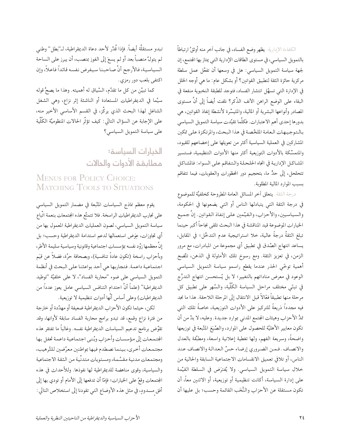الكفاءة الإدارية. يظهر وضع الفساد، في جانب أخر منه أوثقُ ارتباطاً بالتمويل السياسي، في مستوى الطاقات الإدارية التي يمتاز بها المجتمع، إن لجهة سياسة التمويل السياسي: هل في وسعها أن تفعَّل عمل سلطة مركزية حائزة الثقة لتطبيق القوانين؟ أو بشكل عام: ما هي أوجه الخلل في الإدارة التي تسهَّل انتشار الفساد، فتوجد للطبقة النخبوية منفعة في البقاء على الوضع الراهن الأنف الذِّكر؟ نلفت أيضاً إلى أنَّ مستوى المصادر وأنواعها البشرية أو المالية، والمتيسِّرة لأنشطة إنفاذ القوانين، هي بدورها إحدى أهم الاعتبارات. فكلَّما تقيَّدت سياسة التمويل السياسي بالتوجيهات العامة الملخَّصة في هذا البحث، والمرتكزة على تمكين المشاركين في العملية السياسية أكثر من تعويلها على إخضاعهم للقيود، والمتمسَّكة بالأدوات التوزيعية أكثر منها الأدوات التنظيمية، فستسير المشاكل الإدارية في اتجاه الحلحلة والتفاقم على السواء: فالشاكل تتحلحل، إلى حدٍّ ما، بتحجيم دور المحظورات والعقوبات، فيما تتفاقم بسبب الموارد المالية المطلوبة.

درجة الثقة. يتعلق أخر المسائل العامة المطروحة كخلفيَّة للموضوع في درجة الثقة التي يتبادلها الناس أو التي يضعونها في الحكومة، والسياسيين، والأحزاب، والقيِّمين على إنفاذ القوانين. إنَّ جميع الخيارات الموضوعة قيد المناقشة في هذا البحث تلقى نجاحاً أكبر حينما تبلغ الثقةُ درجةً عالية، خلا استراتيجية عدم التدخُّل؛ في المقابل، يساعد انتهاج الصِّدق في تطبيق أي مجموعة من المبادرات، مع مرور الزمن، في تعزيز الثقة. ومع رسوخ تلك الأمثولة في الذهن، تتَّضح أهمية توخّى الحذر عندما يقطع راسمو سياسة التمويل السياسي الوعود في معرض مناداتهم بالتغيير؛ لا بل يُستحسن انتهاج التدرُّج في تبنَّى مختلف مراحل السياسة الكُلِّية، والسَّهر على تطبيق كل مرحلة منها تطبيقاً فعَّالاً قبل الانتقال إلى المرحلة اللاحقة. هذا ما نجد فيه مجدداً ذريعةً للتركيز على الأدوات التوزيعية، خاصةً تلك التى تمدُّ الأحزاب وهيئات المجتمع المدني بموارد جديدة. وعليه، لا بدَّ من أن تكون معايير الأهليَّة للحصول على الموارد، والصِّيَغ المَّبعة في توزيعها واضحةً، وسريعة الفهم، ولها تغطية إعلانية واسعة، ومطبَّقة بالعدل والانصاف. فمن الضروري إرضاء حسِّ العدالة والانصاف عند الناس، أو تلافي تعميق الانقسامات الاجتماعية السابقة والحالية من خلال سياسة التمويل السياسي. ولا يُفترَض في السلطة القيِّمة على إدارة السياسة، أكانت تنظيمية أو توزيعية، أو الاثنين معاً، أن تكون مستقلة عن الأحزاب والنُّخَب القائمة وحسب؛ بل عليها أن

تبدو مستقلَّة أيضاً. فإذا قُدِّر لأحد دعاة الديمقراطية، لـ"بطل" وطني لم يتولَّ منصباً بعد أو لم يسعَ إلى الفوز بمنصب، أن يبرز على الساحة السياسية، فالأرجح أنَّ صاحبنا سيفرض نفسه قائداً فاعلاً، وإن اكتفى بلعب دور رمزي.

كما تبيَّن من كل ما تقدَّم، السِّياق له أهميته. وهذا ما يصحُّ قوله سيَّما في الديمقراطيات المستعادة أو الناشئة إثر نزاع، وهي الشغل الشاغل لهذا البحث الذي يركِّز، في القسم الأساسى الأخير منه، على الإجابة عن السؤال التالى: كيف تؤثُّر الحالات المنظوميَّة الكُلِّية على سياسة التمويل السياسي؟

#### الخيارات السياسة: مطابقة الأدوات والحالات

#### **MENUS FOR POLICY CHOICE: MATCHING TOOLS TO SITUATIONS**

يقوم معظم نماذج السياسات المتَّبعة في مضمار التمويل السياسي على تجارب الديمقراطيات الراسخة. فلا تتمتَّع هذه المجتمعات بنعمة اتَّباع سياسة التمويل السياسي، لصون العمليات الديمقراطية المعمول بها من أي تجاوزات، عِوَض استعمالها لدعم استدامة الديمقراطية وحسب؛ بل إنَّ معظمها زوَّد نفسه بمؤسسات اجتماعية وقانونية وسياسية سليمة الأطر، وبأحزاب راسخة (تكون عادةً تنافسية)، وبصحافة حرَّة، فضلاً عن قيَم اجتماعية داعمة. فتجاربها هي أحد بواعثنا على البحث في أنظمة التمويل السياسي على ضوء "محاربة الفساد"، لا على خلفيَّة "توطيد الديمقراطية" (علماً أنَّ احتدام التنافس السياسي عامل يعوز عدداً من الديمقراطيات) وعلى أساس أنَّها أدوات تنظيمية لا توزيعية.

لكن، حيثما تكون الأحزاب الديمقراطية ضعيفة أو مهدَّدة أو خارجة من فترة نزاع وقمع، قد تبدو برامج محاربة الفساد سابقة لأوانها، وقد تقوَّض برنامج تدعيم السياسات الديمقراطية نفسه. وغالباً ما تفتقر هذه الجتمعات إلى مؤسسات وأحزاب وبُنيي اجتماعية داعمة تحفل بها مجتمعات أخرى، بينما نصطدم فيها بمواطنين معرَّضين للتَّرهيب، ومجتمعات مدنية مقسَّمة، ومستويات متدنَّية من الثقة الاجتماعية والسياسية، وقوى مناهضة للديمقراطية لها نفوذها. وللأحداث في هذه المجتمعات وقعٌ على الخيارات؛ فإمَّا أن تدفعها إلى الأمام أو تودي بها إلى أفق مسدودٍ، في مثل هذه الأوضاع التي تقودنا إلى استخلاص التالي: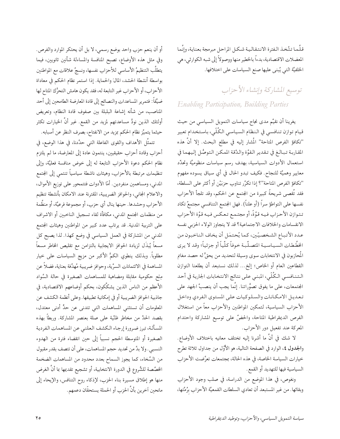قلَّما تتَّخذ الفترة الانتقالية شكل المراحل مبرمجة بعناية، وإنَّما المعضلات الاقتصادية، بدءاً بالخطير منها ووصولاً إلى شبه الكوارثي، هي الخلفيَّة التي يُبنى عليها صنع السياسات على اختلافها.

#### توسيع المشاركة وإنشاء الأحزاب **Enabling Participation**, Building Parties

يغرينا أن نقيَّم مدى نجاح سياسات التمويل السياسي من حيث قيام توازن تنافسي في النظام السياسي الكُلّي، باستخدام تعبير "تكافؤ الفرص المتاحة" المُشار إليه في مطلع البحث. إلا أنَّ هذه المقاربة تبالغ في تقدير القوَّة والدِّقة المكن التوصُّل إليهما في استعمال الأدوات السياسية، بهدف رسم سياسات منظوميَّة وتحدِّد معايير وهميَّة للنجاح. فكيف تبدو الحال في أي سياق يسوده مفهوم "تكافؤ الفرص المتاحة"؟ إذا تكرَّر تناوب حزبَيْن أو أكثر على السلطة، فقد تُقصى شريحةٌ كبيرة من المجتمع عن الحكم، وقد تلجأ الأحزاب نفسها على التواطؤ سراً (أو علناً). فهل الجتمع التنافسي مجتمعٌ تكاد تتوازن الأحزاب فيه قوَّةً، أو مجتمع تعكس فيه قوَّة الأحزاب الانقسامات والخلافات الاجتماعية؟ قد لا يتجاوز الولاء الحزبي نفسه عدد الأتباع الشخصيّين، كما يُحتمَل أن يخاف الناخبون من الخطَّطات السـيـاسـيـة المتصـلَّبـة خوفاً كلِّياً أو جزئياً؛ وقد لا يري المُحازبون في الانتخابات سوى وسيلة لتحديد من يحقُّ له حصد مغانم القطاعين العام أو الخاص؛ إلخ... لذلك نستبعد أن يطلعنا التوازن الـتـنـافسـي الـكُلّي، المبنـي علـي نتائج الانتخابات الجارية في أحد المجتمعات، على ما يفوق تصوُّراتنا. إنَّما يجب أن ينصبَّ الجهد على تعديل الامكانات والسلوكيات على المستوى الفردي وداخل الأحزاب السياسية، لتمكين المواطنين والأحزاب معاً من استغلال الفرص الديمقراطية المتاحة، والحضِّ على توسيع المشاركة واحتدام المعركة عند تفعيل دور الأحزاب.

لا شك في أنَّ ما أشرنا إليه تختلف معانيه باختلاف الأوضاع. والجدول ٤، الوارد في الصفحة التالية، هو الأوَّل من جداول ثلاثة تطرح خيارات السياسة الخاصة، في هذه الحالة، بمجتمعات تعرَّضت الأحزاب السياسية فيها للتهديد أو القمع.

ونغوص، في هذا الموضع من الدراسة، في صلب وجود الأحزاب وبقائها. من غير المستبعد أن تعادي السلطات القمعيَّة الأحزاب برُمَّتها،

أو أن ينعم حزب واحد بوضع رسمي، لا بل أن يحتكر الموارد والفرص. وفي مثل هذه الأوضاع، تصبح المنافسة والمساءلة شأنين ثانويين، فيما يتطلَّب التنظيمُ الأساسي للأحزاب نفسها، ونسجُ علاقات مع المواطنين بواسطة أنشطة الحشد، المالَ والحماية. إذا استمر نظام الحكم في معاداة الأحزاب، أو الأحزاب غير التابعة له، فقد يكون هامش التحرُّك المتاح لها ضيِّقاً: فتمرير المساعدات والنصائح إلى قادة المعارضة الطامحين إلى أحد المناصب، من شأنه إشاعة البلبلة بين صفوف قادة النظام، وتعريض أولئك الذين نودُّ مساعدتهم لمزيد من القمع. غير أنَّ الخيارات تكثر حيثما يتميَّز نظام الحكم بمزيد من الانفتاح، بصرف النظر عن أسبابه.

تتمثَّل الأهداف والقوى الفاعلة التي حدَّدنا، في هذا الوضع، في أحزاب وقادة أحزاب حقيقيين، ينتمون عادة إلى المعارضة، ما لم يلتزم نظام الحكم دعوة الأحزاب التابعة له إلى خوض منافسة فعليَّة، وإلى تنظيمات مرتبطة بالأحزاب، وهيئات ناشطة سياسياً تنتمي إلى المجتمع المدني، ومساهمين منفردين. أمَّا الأدوات فتتمحور على توزيع الأموال، والاعلام المجانى، والحوافز الضريبية، المقترنة عند الامكان بأنشطة تنظيم الأحزاب وحشدها. حينها ينال أي حزب، أو مجموعة فرعيَّة، أو منظَّمة من منظمات المجتمع المدنى، مكافأة لقاء تسجيل الناخبين أو الاشراف على التربية المدنية. قد يرتاب عدد كبير من المواطنين وهيئات المجتمع المدنى من المشاركة في العمل السياسي في وضع كهذا. لذا يصبح كل مسعاً يُبذَل لزيادة الحوافز الايجابية بالتزامن مع تقليص المخاطر مسعاً مطلوباً. وبذلك ينطوي الكمُّ الأكبر من مزيج السياسات على خيار المساهمة في الائتمانات السرِّية، وحوافز ضريبية مُهدَّفة بعناية، فضلاً عن مِنَح حكومية مقابلة ومضاهية للمساهمات الصغيرة في حالة السَّواد الأعظم من الناس الذين يشكِّكون، بحكم أوضاعهم الاقتصادية، في جاذبية الحوافز الضريبية أو في إمكانية تطبيقها. وعلى أنظمة الكشف عن المعلومات أن تستثنى المساهمات التى تتدنى عن حدٍّ أدنى معتدل، بقصد الحدِّ من مخاطر ظنِّية على صلة بعنصر المشاركة. وربطاً بهذه المسألة، تبرز ضرورة إرجاء الكشف العلني عن المساهمات الفردية الصغيرة أو المتوسطة الحجم نسبياً إلى حين انقضاء فترة من الهدوء النسبي. ولا بدَّ من تحديد حجم المساهمات، على أن تتصف بقدر مقبول من السَّخاء، كما يجوز السماح بعدد محدود من المساهمات الضخمة الخصَّصة للشُّروع في الدورة الانتخابية، أو تشجيع تقديمها بما أنَّ الغرض منها هو إطلاق مسيرة بناء الحزب، لإذكاء روح التنافس، والإيحاء إلى مانحين أخرين بأنَّ الحزب أو الحملة يستحقَّان دعمهم.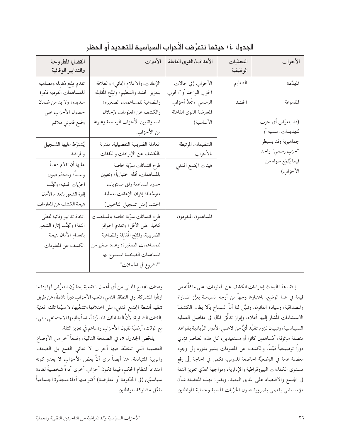| القضايا المطروحة<br>والتدابير الوقائية                    | الأدوات                                                                          | الأهداف/القوى الفاعلة                           | التحدِّيات<br>الوظيفية | الأحزاب                                 |
|-----------------------------------------------------------|----------------------------------------------------------------------------------|-------------------------------------------------|------------------------|-----------------------------------------|
| تقديم مِنَح مُقابلة ومضاهية<br>للمساهمات الفردية فكرة     | الإعانات، والاعلام المجاني؛ والعلاقة<br>بتعزيز الحشد والتنظيم؛ والِنَح المُقابلة | الأحزاب (في حالات<br>الحزب الواحد أو "الحزب     | التنظيم                | المهدَّدة                               |
| سديدة؛ ولا بد من ضمان<br>حصول الأحزاب على                 | والمااهية للمساهمات الصغيرة؛<br>والكشف عن المعلومات لإحلال                       | الرسمي"، تُعدُّ أحزاب<br>المعارضة القوى الفاعلة | الحشد                  | المقموعة                                |
| وضع قانوني ملائم                                          | المساواة بين الأحزاب الرسمية وغيرها<br>من الأحزاب.                               | الأساسية)                                       |                        | (قد يتعرَّض أي حزب<br>لتهديدات رسمية أو |
| يُشترَط عليها التّسجيل<br>والمراقبة                       | المعاملة الضريبية التفضيلية، مقترنة<br>بالكشف عن الإيرادات والنّفقات             | التنظيمات المرتبطة<br>بالأحزاب                  |                        | جماهيرية وقد يسيطر<br>"حزب رسمي" واحد   |
| عليها أن تقدِّم دعماً<br>واسعاً؛ ويتحتَّم صون             | طرح ائتمانات سرٌية خاصة<br>بالمساهمات، أقلَّه اختيارياً؛ وتعيين                  | هيئات المجتمع المدني                            |                        | فيما يُقمَع سواه من<br>الأحزاب)         |
| الحرِّيات المدنية؛ وتجنُّب<br>إثارة الشعور بانعدام الأمان | حدود المساهمة وفق مستويات<br>متوسِّطة؛ إقران الإعانات بعملية                     |                                                 |                        |                                         |
| نتيجة الكشف عن المعلومات<br>اتخاذ تدابير وقائية تحظى      | الحشد (مثل تسجيل الناخبين)<br>طرح ائتمانات سرٌية خاصة بالمساهمات                 | المساهمون المنفردون                             |                        |                                         |
| الثقة؛ وتجنُّب إثارة الشعور<br>بانعدام الأمان نتيجة       | كخيار على الأقل؛ وتقديم الحوافز<br>الضريبية، والِنَح المُقابلة والمضاهية         |                                                 |                        |                                         |
| الكشف عن المعلومات                                        | للمساهمات الصغيرة؛ وعدد صغير من<br>المماهمات الضخمة المسموح بها                  |                                                 |                        |                                         |
|                                                           | "للشروع في الحملات"                                                              |                                                 |                        |                                         |

الجدول ٤: حيثما تتعرَّض الأحزاب السياسية للتهديد أو الحظر

إنتقد هذا البحث إجراءات الكشف عن المعلومات، على ما تمثِّله من قيمة في هذا الوضع، باعتبارها وجهاً من أوجه السياسة يعزِّز المساواة والمصداقية، وسيادة القانون. وتبيَّن لنا أنَّ السماح بألا يطال الكشفُ الاستثناءات المُشار إليها أعلاه، وإبراز تدفُّق المال في مفاصل العملية السياسية، وتبيان لزوم تقيُّد أيٍّ من لاعبي الأدوار الرِّيادية بقواعد منصفة موثوقة، أمُساهمين كانوا أو مستفيدين، كل هذه العناصر تؤدي دوراً توضيحياً قيِّماً. والكشف عن المعلومات يشير بدوره إلى وجود معضلة عامة في الوضعيَّة الخاضعة للدرس، تكمن في الحاجة إلى رفع مستوى الكفاءات البيروقراطية والإدارية، ومواجهة تحدّى تعزيز الثقة في المجتمع والاقتصاد على المدى البعيد. ويقترن بهذه المعضلة شأن مؤسساتي يقضى بضرورة صون الحرِّيات المدنية وحماية المواطنين

وهيئات المجتمع المدنى من أي أعمال انتقامية يخشَّوْن التعرُّض لها إذا ما ارتأوا المشاركة. وفي النطاق الثاني، تلعب الأحزاب دوراً ناشطاً، عن طريق تنظيم أنشطة الجتمع المدنى، على اختلافها وتشعُّبها، لا سيَّما تلك المنيَّة بالفئات الشبابية، لأنَّ النشاطات المتميَّزة أساساً بطابعها الاجتماعي تبني، مع الوقت، أرضيَّة لقبول الأحزاب وتساهم في تعزيز الثقة.

يلخِّص الجدول ٥، في الصفحة التالية، وضعاً أخر من الأوضاع العصيبة التي تتخبَّط فيها أحزاب لا تعانى القمع بل الضعف والريبة المتبادلة. هنا أيضاً نرى أنَّ بعض الأحزاب لا يعدو كونه امتداداً لنظام الحكم، فيما تكون أحزاب أخرى أداةً شخصيةً لقادة سياسيّين (في الحكومة أو المعارضة) أكثر منها أداة متجذِّرة اجتماعياً تفعٌل مشاركة المواطنين.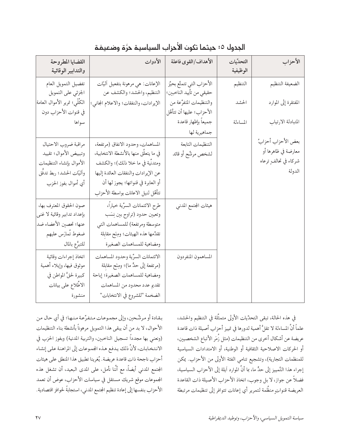| القضايا المطروحة<br>والتدابير الوقائية                                                                                       | الأدوات                                                                                                                                                                                                                               | الأهداف/القوى فاعلة                                     | التحدِّيات<br>الوظيفية | الأحزاب                                                                      |
|------------------------------------------------------------------------------------------------------------------------------|---------------------------------------------------------------------------------------------------------------------------------------------------------------------------------------------------------------------------------------|---------------------------------------------------------|------------------------|------------------------------------------------------------------------------|
| تفضيل التمويل العام<br>الجزئي على التمويل                                                                                    | الإعانات: هي مرهونة بتفعيل اليّات<br>التنظيم، والحشد؛ والكشف عن                                                                                                                                                                       | الأحزاب التي تتمتَّع بحيِّز<br>حقيقي من تأييد الناخبين؛ | التنظيم                | الضعيفة التنظيم                                                              |
| الكُلِّي؛ تمرير الأموال العامة<br>في قنوات الأحزاب دون                                                                       | الإيرادات، والنفقات؛ والاعلام المجاني؛                                                                                                                                                                                                | والتنظيمات المتفرُّعة من<br>الأحزاب؛ عليها أن تتأهَّل   | الحشد                  | المفتقرة إلى الموارد                                                         |
| سواها                                                                                                                        |                                                                                                                                                                                                                                       | جميعاً بإظهار قاعدة<br>جماهيرية لها                     | المساءلة               | المتبادلة الارتياب                                                           |
| مراقبة ضروب الاحتيال<br>وتبييض الأموال؛ تقييد<br>الأموال بإنشاء التنظيمات<br>وأليّات الحشد؛ ربط تدفّق<br>أي أموال بفوز الحزب | المساهمات، وحدود الانفاق (مرتفعة،<br>في ما يتعلَّق منها بالأنشطة الانتخابية،<br>ومتدنِّية في ما خلا ذلك)؛ والكشف<br>عن الإيرادات والنفقات العائدة إليها<br>أو العابرة في قنواتها؛ يجوز لها أن<br>تتأهَّل لنيل الاعانات بواسطة الأحزاب | التنظيمات التابعة<br>لشخص مرشَّح أو قائد                |                        | بعض الأحزاب أحزابُ<br>معارضة في ظاهرها أو<br>شركاء في تحالفٍ ترعاه<br>الدولة |
| صون الحقوق المعترف بها،<br>بإعداد تدابير وقائية لا غني<br>عنها؛ تحصين الأعضاء ضد<br>ضغوط تُمارَس عليهم<br>للتبرُّع بالمال    | طرح الائتمانات السرِّية خياراً،<br>وتعيين حدود (تراوح بين نِسَب<br>متوسطة ومرتفعة) للمساهمات التي<br>تقدِّمها هذه الهيئات؛ ومِنَح مقابلة<br>ومضاهية للمساهمات الصغيرة                                                                 | هيئات المجتمع المدني                                    |                        |                                                                              |
| اتخاذ إجراءات وقائية<br>موثوق فيها، وإيلاء أهمية<br>كبيرة لحقُّ المواطن في<br>الاطّلاع على بيانات<br>منشورة                  | الائتمانات السرِّية وحدود المساهمات<br>(مرتفعة إلى حدٍّ ما)؛ ومِنَحٍ مقابلة<br>ومضاهية للمساهمات الصغيرة؛ إباحة<br>تقديم عدد محدود من المساهمات<br>الضخمة "للشروع في الانتخابات"                                                      | المساهمون المنفردون                                     |                        |                                                                              |

الجدول ٥: حيثما تكون الأحزاب السياسية حرَّة وضعيفة

في هذه الحالة، تبقى التحدِّيات الأولى متمثِّلة في التنظيم والحشد، علماً أنَّ المساءلة لا تقلُّ أهمية لدورها في تمييز أحزاب أصيلة ذات قاعدة عريضة عن أشكال أخرى من التنظيمات (مثل زُمَر الأتباع الشخصيين، أو الحركات الاصلاحية الثقافية أو الوطنية، أو الامتدادات السياسية للمنظمات التجارية)، وتشجيع تنامي الفئة الأولى من الأحزاب. يمكن إجراء هذا التَّمييز إلى حدٍّ ما، بما أنَّ الموارد أيلة إلى الأحزاب السياسية، فضلاً عن جواز، لا بل وجوب، اتخاذ الأحزاب الأصيلة ذات القاعدة العريضة قنوات منظَّمة لتمرير أي إعانات تتوافر إلى تنظيمات مرتبطة

بقادة أو مرشَّحين، وإلى مجموعات متفرَّعة منها؛ في أي حال من الأحوال، لا بد من أن يبقى هذا التمويل مرهوناً بأنشطة بناء التنظيمات (ونعني بها مجدداً تسجيل الناخبين، والتربية المدنية) وبفوز الحزب في الانتخابات، لأنَّ ذلك يدفع هذه الجموعات إلى المراهنة على إنشاء أحزاب ناجحة ذات قاعدة عريضة. يُغرينا تطبيق هذا المنطق على هيئات المجتمع المدنى أيضاً، مع أنَّنا نأمل، على المدى البعيد، أن تشغل هذه المجموعات موقع شريك مستقل في سياسات الأحزاب، عوض أن تعمد الأحزاب بنفسها إلى إعادة تنظيم الجتمع المدنى، استجابةً لحوافز اقتصادية.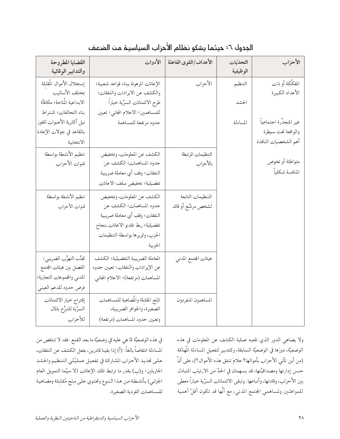| القضايا المطروحة           | الأدوات                              | الأهداف/القوى الفاعلة | التحدّيات | الأحزاب                 |
|----------------------------|--------------------------------------|-----------------------|-----------|-------------------------|
| والتدابير الوقائية         |                                      |                       | الوظيفية  |                         |
| إستغلال الأموال المُقابلة  | الإعانات المرهونة ببناء قواعد شعبية؛ | الأحزاب               | التنظيم   | المفكّكة أو ذات         |
| بمختلف الأساليب            | والكشف عن الايرادات والنفقات؛        |                       |           | الأعداد الكبيرة         |
| الابداعية المُتاحة؛ مكافأة | طرح الائتمانات السرِّية خياراً       |                       | الحشد     |                         |
| بناء التحالفات؛ اشتراط     | للمساهمين؛ الاعلام المجاني؛ تعيين    |                       |           |                         |
| نيل أكثرية الأصوات للفوز   | حدود مرتفعة للمساهمة                 |                       | المساءلة  | غير المتجذّرة اجتماعياً |
| بالمقاعد في جولات الإعادة  |                                      |                       |           | والواقعة تحت سيطرة      |
| الانتخابية                 |                                      |                       |           | أهم الشخصيات النافذة    |
| تنظيم الأنشطة بواسطة       | الكشف عن المعلومات، وتخفيض           | التنظيمات المرتبطة    |           |                         |
| قنوات الأحزاب              | حدود المساهمات؛ الكشف عن             | بالأحزاب              |           | متواطئة أو تخوض         |
|                            | النفقات؛ وقف أي معاملة ضريبية        |                       |           | المنافسة شكلياً         |
|                            | تفضيلية؛ تخفيض سقف الاعانات          |                       |           |                         |
| تنظيم الأنشطة بواسطة       | الكشف عن المعلومات، وتخفيض           | التنظيمات التابعة     |           |                         |
| قنوات الأحزاب              | حدود المساهمات؛ الكشف عن             | لشخص مرشَّح أو قائد   |           |                         |
|                            | النفقات؛ وقف أي معاملة ضريبية        |                       |           |                         |
|                            | تفضيلية؛ ربط تقديم الاعانات بنجاح    |                       |           |                         |
|                            | الحزب، وتمريرها بواسطة التنظيمات     |                       |           |                         |
|                            | الحزبية                              |                       |           |                         |
| تجنُّب التهرُّب الضريبي؛   | المعاملة الضريبية التفضيلية؛ الكشف   | هيئات المجتمع المدني  |           |                         |
| الفصل بين هيئات المجتمع    | عن الإيرادات والنفقات؛ تعيين حدود    |                       |           |                         |
| المدني والجموعات التجارية؛ | المساهمات (مرتفعة)؛ الاعلام المجانبي |                       |           |                         |
| فرض حدود للدعم العيني      |                                      |                       |           |                         |
| إقتراح خيار الائتمانات     | الذتح المقابلة والمضاهية للمساهمات   | المساهمون المنفردون   |           |                         |
| السرِّية للتبرُّع بالمال   | الصغيرة، والحوافز الضريبية،          |                       |           |                         |
| للأحزاب                    | وتعيين حدود المساهمات (مرتفعة)       |                       |           |                         |

#### الجدول ٦: حيثما يشكو نظام الأحزاب السياسية من الضعف

في هذه الوضعيَّة ممّا هي عليه في وضعيَّة ما بعد القمع. فقد لا تنتقص من المساءلة انتقاصاً بالغاً: (أ) إذا بقينا قادرين، بفعل الكشف عن النفقات، على تحديد الأحزاب المشاركة في تفعيل عمليَّتَي التنظيم والحشد الجاريتَين؛ و(ب) بقدر ما ترتبط تلك الإعانات (لا سيَّما التمويل العام الجزئيي) بأنشطة من هذا النوع وتحتوي على مِنَح مُقابلة ومضاهية للمساهمات الفردية الصغيرة.

ولا يضاهي الدور الذي تلعبه عملية الكشف عن المعلومات في هذه الوضعيَّة، دورَها في الوضعيَّة السابقة، وكتدبيرٍ لتفعيل المساءلة المُهدَّفة (من أين تأتي الأحزاب بأموالها؟ علامَ تنفق هذه الأموال؟)، على أنَّ حسن إدارتها ومصداقيَّتها، قد يسهمان في الحدِّ من الارتياب المتبادل بين الأحزاب، وقادتها، وأتباعها. وتبقى الائتمانات السرِّية خياراً معطى للمواطنين ولمساهمي المجتمع المدنى، مع أنَّها قد تكون أقلَّ أهمية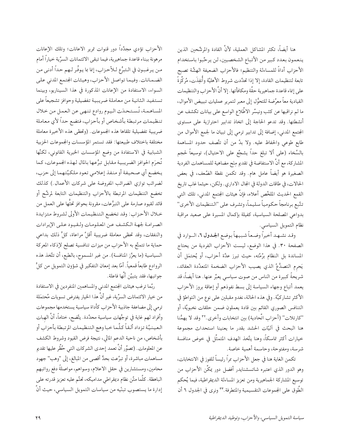هنا أيضاً، تكثر المشاكل العملية، لأنَّ القادة والمرشَّحين الذين ينعمون بعدد كبير من الأتباع الشخصيين، لن يرحَّبوا باستخدام الأحزاب أداةً للمساءلة والتنظيم؛ فالأحزاب الضعيفة الهشَّة تصبح تابعة لتنظيمات القادة، إلا إذا تحدَّدت شروط الأهليَّة وأُنفِذَت، مُركِّزةً على إنماء قاعدة جماهيرية حقَّة ومكافأتها. إلا أنَّ الأحزاب والتنظيمات القيادية معاً معرَّضة للتحوُّل إلى معبر لتمرير عمليات تبييض الأموال، ما لم نراقبها عن كثب ونيسِّر الاطِّلاع الواسع على بيانات تكشف عن أنشطتها. وقد تدعو الحاجة إلى اتخاذ تدابير احترازية على مستوى المجتمع المدنى، إضافة إلى تدابير ترمي إلى تبيان ما لجمع الأموال من طابع طوعي والحفاظ عليه. ولا بدَّ من أن تتَّصف حدود المساهمة بالسَّخاء (على ألا تبلغ حداً يشجِّع على الاحتيال)، توسيعاً لحجم المشاركة، مع أنَّ الاستفاضة في تقديم مِنَح مضاهية للمساهمات الفردية الصغيرة هو أيضاً عامل هام. وقد تكمن نقطة الضَّعف، في بعض الحالات، في طاقات الدولة في المجال الاداري. ولكن، حيثما غاب تاريخ القمع الحديث الملخَّص أعلاه، فإنَّ هيئات المجتمع المدني، تلك التي تتَّبع برنامجاً حكومياً سليماً، وتشرف على "التنظيمات الأخرى" بدواعي المصلحة السياسية، كفيلة بإكمال المسيرة على صعيد مراقبة نظام التمويل السياسي.

وقد نشـهـد أخيراً وضـعاً شبيهاً بوضع الجحدول ٦، الــوارد في الصفحة ٣٠. في هذا الوضع، ليست الأحزاب الفردية من يحتاج المساندة بل النظام برُمَّته، حيث تبرز عدَّة أحزاب، أو يُحتمَل أن يَحرِم التصدُّعُ الذي يصيب الأحزاب الضخمة المتعدِّدة العقائد، شريحةً كبيرة من الناس من صوت سياسي يعبِّر عنها. هنا أيضاً، قد يعمد أتباع وجهاء السياسة إلى بسط نفوذهم أو إعاقة بروز الأحزاب الأكثر تشاركيَّة. وفي هذه الحالة، نغدو مقبلين على نوع من التواطؤ في التنافس الصوري القائم بين قادة يعملون ضمن حلقات نخبويَّة، أو "كارتلات" (أحزاب اتِّحادية) بين انتخابات وأخرى ٣٠ وقد لا يهمُّنا هنا البحث في أليَّات الحشد بقدر ما يعنينا استحداث مجموعة خيارات أكثر تماسكاً، وهنا يتَّخذ الهدف المتمثَّل في خوض منافسة شرسة، ومفتوحة، وحاسمة أهمية خاصة.

تكمن الغاية هنا في جعل الأحزاب ممرًا رئيساً للفوز في الانتخابات، وهو الدور الذي اعتبره شاتسشنايدر أفضل دور يمكِّن الأحزاب من توسيع المشاركة الجماهيرية ومن تعزيز المساءلة الديمقراطية، فيما يُحكم الطَّوق على المجموعات التقسيمية والمتطرفة.٣٣ ونرى في الجدول ٦ أن

الأحزاب تؤدي مجدَّداً دور قنوات تمرير الاعانات؛ وتلك الإعانات مرهونة ببناء قاعدة جماهيرية، فيما تبقى الائتمانات السرِّية خياراً أمام من يرغبون في الـتبرُّع لـلأحزاب، إنما بما يـوفِّر لـهم حداً أدنى من الضمانات. وفيما تواصل الأحزاب، وهيئات الجتمع المدنى على السواء، الاستفادة من الإعانات المذكورة في هذا السيناريو، وبينما تستفيد الثانية من معاملة ضريبية تفضيلية وحوافز تشجيعاً على المساهمة، تُستحدَن اليوم روادع تنهي عن العمل من خلال تنظيمات مرتبطة بأشخاص أو بأحزاب، فتضع حداً لأي معاملة ضريبية تفضيلية تلقاها هذه المجموعات. (وتحظى هذه الأخيرة معاملة مختلفة باختلاف طبيعتها: فقد تستمر المؤسسات والجموعات الحزبية الشبابية في الاستفادة من وضع المؤسسات الخيرية القانوني، لكنَّها تُحرَم الحوافز الضريبية مقابل تبرُّعها بالمال لهذه الجموعات، كما يخضع أي صحيفة أو منفذ إعلامي تعود ملكيَّتهما إلى حزب، لضرائب توازي الضرائب المفروضة على شركات الأعمال.) كذلك تخضع التنظيمات المرتبطة بالأحزاب والتنظيمات التابعة لمرشَّح أو قائد لقيود صارمة على التبرُّعات، مقرونة بحوافز تحتُّها على العمل من خلال الأحزاب: وقد تخضع التنظيمات الأولى لشروط متزايدة الصرامة لجهة الكشف عن المعلومات ولقيود على الإيرادات والنفقات، وقد تحظى معاملة ضريبية أقلَّ مراعاة، كلُّ ذلك بداعى حماية ما تتمتَّع به الأحزاب من ميزات تنافسية تصلح لإذكاء المعركة السياسية (ما يعزِّز المنافسة). من غير المسموح، بالطبع، أن تتَّخذ هذه الروادع طابعاً قمعياً. أمّا بعد إمعان التفكير في شؤون التمويل من كلُّ جوانبها، فقد يتبيَّن أنَّها فاعلة.

ربَّما ترغب هيئات المجتمع المدني والمساهمين المنفردين في الاستفادة من خيار الائتمانات السرِّية، غير أنَّ هذا الخيار يفترض تسويات مُحتمَلة ترمى إلى مضاعفة جاذبية الأحزاب كأداة سياسية يستخدمها مجموعات وأفراد لهم غاية في توجُّهات سياسية محدَّدة. يتَّضح، ختاماً، أنَّ الهبات العينيَّة تزداد ألقاً كلَّما خبا وهج التنظيمات المرتبطة بأحزاب أو بأشخاص، من ناحية الدعم المالي، نتيجة فرض القيود وشروط الكشف عن المعلومات. (تصوَّر أنَّ تعمد إحدى الشركات التي حُظِّر عليها تقديم مساهمات مباشرة، أو تبرَّعت بحدٍّ أقصى من المبالغ، إلى "وهب" جهود محامين، ومستشارين في حقل الاعلام، وسواهم، مواصلةً دفع رواتبهم الباهظة. كلَّما متَّن نظام ديمقراطي مداميكه، تحتَّم عليه تعزيز قدرته على إدارة ما يستصوب تبنّيه من سياسات التمويل السياسي، حيث أنَّ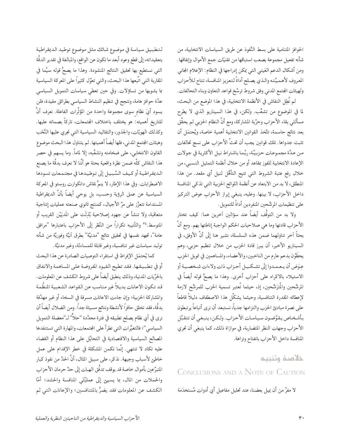الحوافز المتنامية على بسط النُّفوذ عن طريق السياسات الانتخابية، من شأنه تفعيل مجموعة يصعب استباقها من تقنيّات جمع الأموال وإنفاقها. ومن أشكال الدعم العَيني التي يمكن إدراجها في النظام: الإعلام المجاني المعروف لأهميَّته والذي يصلح أداةً لتعزيز المنافسة، تتاح للأحزاب ولهيئات الجتمع المدنى وفق شروط ترسِّخ قواعد التعاون وبناء التحالفات.

لم نُطِل النقاش في الأنظمة الانتخابية، في هذا الموضع من البحث، لما في الموضوع من تشعُّب. ولكن، في هذا السيناريو الذي لا يطرح مسألتَى بقاء الأحزاب وحرِّية المشاركة، ومع أنَّ النظام الحزبي لم يحقِّق بعد نتائج حاسمة، تتَّخذ القوانين الانتخابية أهمية خاصة، ويُحتمَل أن تثبت جدواها. تلك قوانين يجب أن تحثَّ الأحزاب على نسج تحالفات من عدَّة مجموعات حزبيَّة، ربَّما باشتراط نيل الأكثرية في جولات الإعادة الانتخابية للفوز بمقاعد أو من خلال أنظمة التمثيل النسبي، من خلال رفع عتبة الشروط التي تتيح التأهُّل لنيل أي مقعد. من هذا المنطلق، لا بد من الابتعاد عن أنظمة اللوائح الحزبية التي تذكي المنافسة داخل الأحزاب، لا بينها. وعليه، ينبغي إبراز الأحزاب عوض التركيز على تنظيمات المرشَّحين المنفردين أداةً للتمويل.

ولا بد من التوقُّف أيضاً عند سؤالين اَخرين هما: كيف تختار الأحزاب قادتها وما هي صلاحيات الحكم الواجبة إناطتها بهم. ومع أنَّ بحثاً ٱخر تناولهما ضمن هذه السلسلة، نشير هنا إلى أنَّ الأوفق، في السيناريو الأخير، أن يبرز قادة الحزب من خلال تنظيم حزبي، وهم يحظَّوْن بدعم عارم من الناخبين، والأعضاء، والمساهمين في تمويل الحزب عِوَضٍ أن يعمدوا إلى تشكيـل أحزاب ذات ولاءات شـخصـيـة أو الاستيلاء بالاكراه على أحزاب أخرى. وهذا ما يصحُّ قوله أيضاً في المرشَّحين والمُترَشَّحين، إذ، حيثما تُعتبر تسمية الحزب للمرشَّح لازمة لإعطائه المقدرة التنافسية، وحيثما يشكَّل هذا الاصطفاف دليلاً قاطعاً على نصرة مبادئ الحزب والتزامها جدياً، نستبعد أن نرى أتباعاً يرتبطون بأشخاص يقوِّضون سياسات الأحزاب. ولكن، ينبغي أن تتقبَّل الأحزاب وجهات النظر المتضاربة، في موازاة ذلك، كما ينبغي أن تجري المنافسة داخل الأحزاب بانفتاح ونزاهة.

### خلاصة وتنبيم CONCLUSIONS AND A NOTE OF CAUTION

لا مفرَّ من أن يميل بعضنا، عند تحليل مفاعيل أي أدوات مُستخدَمة

لتطبيق سياسة في موضوع شائك مثل موضوع توطيد الديمقراطية بتعقيداته، إلى قطع وعود أبعد ما تكون عن الواقع، والمبالغة في تقدير الدقَّة التي نستطيع بها تحقيق النتائج المنشودة. وهذا ما يصحُّ قوله سيَّما في المقاربة التي اتَّبعها هذا البحث، والتي تعوِّل كثيراً على المعركة السياسية بما يشوبها من تساؤلات. وفي حين تعطي سياسات التمويل السياسي عدَّة حوافز هامة، وتنجح في تنظيم النشاط السياسي بطرائق مفيدة، فلن يسود أيَ نظامٍ سوى مجموعة واحدة من المؤثَّرات الفاعلة. نعرف أنَّ للتاريخ أهميته: هو يختلف باختلاف المجتمعات، تاركاً بصماته عليها. وكذلك الهويّات، والجذور، والتقاليد السياسية التي تجري عليها النُّخَب وهيئات الجتمع المدني، فلها أيضاً أهميتها. لم يتناول هذا البحث موضوع القانون الانتخابي، على ضخامته وتشعُّبه، إلا لماماً. وما يسهم في حصر هذا النقاش كلِّه ضمن نظرة واقعية بحتة هو أنَّنا لا نعرف بدقَّة ما يصنع الديمقراطية أو كيف السَّبيل إلى توطيدها في مجتمعات تسودها الاضطرابات. وفي هذا الإطار، لا ينمُّ نقاش دانكوارت روستو في المعركة السياسية عن عمق الرؤية وحسب، بل يوحي أيضاً بأنَّ الديمقراطية المستدامة تتعزَّز على مرِّ الأجيال، كمنتج ثانوي صنعته عمليات إنتاجية متعاقبة، ولا تنشأ عن جهود إصلاحية بُذِلَت على المَديَيْن القريب أو المتوسط.\*\* والتَّنيبه تكرارًا من النَّظر إلى الأحزاب باعتبارها "مرافق عامة''، تجهد نفسها في تحقيق نتائج ''مدنيَّة'' بطرق أنيَّة وفوريَّة من شأنه توليد سياسات غير تنافسية، وغير قابلة للمساءلة، وغير مدنيَّة.

كما يُحتمَل الإفراط في استقراء التوصيات الصادرة عن هذا البحث أو في تطبيقها. فقد تطيح القيود المفروضة على المساهمة والانفاق بالحرِّيات المدنية، وذلك ينطبق أيضاً على شروط الكشف عن المعلومات. قد تكون الاعانات بديلاً غير مناسب عن القواعد الشعبية المنظَّمة والمشاركة الحزبية؛ وإن جاءت الاعانات مسرفة في السخاء أو غير مهدًفة بدقَّة، فقد تخلق حافزاً لأنشطة ونتائج مسيئة جداً. ومن الضلال أيضاً أن نري في أي نظام يصلح تطبيقه في فترة محدَّدة "حلاًّ" لـ"معضلة التمويل السياسي"؛ فالتغيُّرات التي تطرأ على الجتمعات، والمهارة التي تستنفدها المصالح السياسية والاقتصادية في التحايُل على هذا النظام أو القضاء عليه تكاد لا تنتهى. إنَّما تكمن المشكلة في خطر الإقدام على عمل خاطئ لأسباب وجيهة. نذكر، على سبيل المثال، أنَّ الحدَّ من نفوذ كبار المتبرَّعين بأموال خاصة قد يوقف تدفُّق الهبات إلى حدٍّ حرمان الأحزاب والحملات من المال، بما يسيئ إلى عمليَّتَى المنافسة والحشد؛ أمَّا الكشف عن المعلومات فقد يضرُّ بالمتنافسين؛ والإعانات التي لم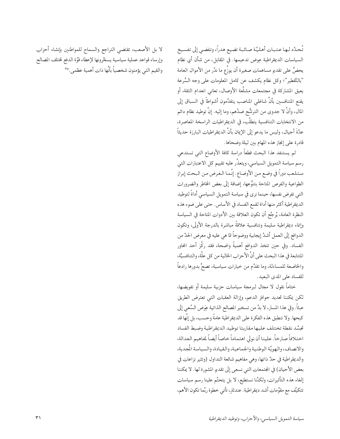تُحدَّد لـها عـتـبـات أهـليَّـة صـائـبة تضيع هدراً، وتفضي إلى تفسيخ السياسات الديمقراطية عِوض تدعيمها. في المقابل، من شأن أي نظام يحضُّ على تقديم مساهمات صغيرة أن يوزَّع ما ندُر من الأموال العامة "بالتَّقطير"؛ وكل نظام يكشف عن كامل المعلومات على وجه السُّرعة يعيق المشاركة في مجتمعات مشلَّعة الأوصال، تعانى انعدام الثقة، أو يقنع المتنافسين بأنَّ شاغلي المناصب يتقدَّمون أشواطاً في السباق إلى المال، وأنَّ لا جدوى من الترشُّح ضدَّهم، وما إليه. إنَّ توطيد نظام دائم من الانتخابات التنافسية يتطلَّب، في الديمقراطيات الراسخة المعاصرة، عدَّةَ أجيال، وليس ما يدعو إلى الإيمان بأنَّ الديمقراطيات البارزة حديثاً قادرة على إنجاز هذه المهام بين ليلة وضحاها.

لم يستنفد هذا البحث قطعاً دراسة كافة الأوضاع التي تستدعي رسم سياسة التمويل السياسي، ويتعذَّر عليه تقييم كل الاعتبارات التي ستلعب دوراً في وضع من الأوضاع. إنَّما الغرض من البحث إبراز الطواعية والفرص المتاحة بتنوُّعها، إضافة إلى بعض المخاطر والضرورات التي تفرض نفسها، حينما نرى في سياسة التمويل السياسي أداةً لتوطيد الديمقراطية أكثر منها أداة لقمع الفساد في الأساس. حتى على ضوء هذه النظرة العامة، يُرجَّح أن تكون العلاقة بين الأدوات المتاحة في السياسة وإنماء ديمقراطية سليمة وتنافسية علاقةً مباشرة بالدرجة الأولى، وتكون الدوافع إلى العمل أشدَّ إيجابية ووضوحاً ممّا هي عليه في معرض الحدِّ من الفساد. وفي حين تتخذ الدوافع أهميةً واضحة، فقد ركَّز أحد المحاور المتتابعة في هذا البحث على أنَّ الأحزاب الخالية من كل علَّة، والتنافسيَّة، والخاضعة للمساءلة، وما تقدِّم من خيارات سياسية، تصحُّ بدورها رادعاً للفساد على المدى البعيد.

ختاماً نقول لا مجال لبرمجة سياسات حزبية سليمة أو تفويضها، لكن يمكننا تحديد حوافز الدعم، وإزالة العقبات التي تعترض الطريق عبثاً. وفي هذا المسار، لا بدَّ من تسخير المصالح الذاتية عِوَض السَّعي إلى كبحها. ولا تنطبق هذه الفكرة على الديمقراطية عامةً وحسب، بل إنَّها قد تجسِّد نقطة تختلف عليها مقاربتا توطيد الديمقراطية وضبط الفساد اختلافاً صارخاً. علينا أن نولي اهتماماً خاصاً أيضاً لمفاهيم العدالة، والانصاف، والهويَّة الوطنية والجماعية، والقيادة، والسياسة المُجدية، والديمقراطية في حدٍّ ذاتها، وهي مفاهيم شائعة التداول (وتثير نزاعات في بعض الأحيان) في الجتمعات التي نسعى إلى تقديم المشورة لها. لا يمكننا إلغاء هذه التأثيرات، ولكنَّنا نستطيع، لا بل يتحتَّم علينا رسم سياسات تتكيَّف مع مقوَّمات أشد ديمقراطية. عندئذِ، تأتي خطوة ربَّما تكون الأهم،

لا بل الأصعب، تقتضي التراجع والسماح للمواطنين بإنشاء أحزاب وإرساء قواعد عملية سياسية يسخّرونها لإعطاء قوَّة الدفع لختلف المصالح والقيم التي يؤمنون شخصياً بأنَّها ذات أهمية عظمى.°٣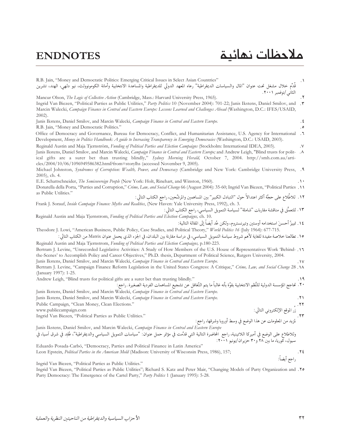## حلاحظات نهائية و $\blacksquare$ ENDNOTES

| R.B. Jain, "Money and Democratic Politics: Emerging Critical Issues in Select Asian Countries"<br>قَدَّم خلال مشغل تحت عنوان "المال والسياسات الديمقراطية" رعاه المعهد الدولي للديمقراطية والمساعدة الانتخابية وأمانة الكومونوولث، نيو دلهي، الهند، تشرين                                                                                           |                   |
|-----------------------------------------------------------------------------------------------------------------------------------------------------------------------------------------------------------------------------------------------------------------------------------------------------------------------------------------------------|-------------------|
| الثاني /نوفمبر ٢٠٠١.                                                                                                                                                                                                                                                                                                                                |                   |
| Mancur Olson, The Logic of Collective Action (Cambridge, Mass.: Harvard University Press, 1965).                                                                                                                                                                                                                                                    |                   |
| Ingrid Van Biezen, "Political Parties as Public Utilities," Party Politics 10 (November 2004): 701-22; Janis Ikstens, Daniel Smilov, and .<br>Marcin Walecki, Campaign Finance in Central and Eastern Europe: Lessons Learned and Challenges Ahead (Washington, D.C.: IFES/USAID,<br>$2002$ ).                                                      |                   |
| Janis Ikstens, Daniel Smilov, and Marcin Walecki, Campaign Finance in Central and Eastern Europe.                                                                                                                                                                                                                                                   |                   |
| R.B. Jain, "Money and Democratic Politics."                                                                                                                                                                                                                                                                                                         |                   |
| 7. Office of Democracy and Governance, Bureau for Democracy, Conflict, and Humanitarian Assistance, U.S. Agency for International                                                                                                                                                                                                                   |                   |
| Development, Money in Politics Handbook: A guide to Increasing Transparency in Emerging Democracies (Washington, D.C.: USAID, 2003).                                                                                                                                                                                                                |                   |
| Reginald Austin and Maja Tjernström, Funding of Political Parties and Election Campaigns (Stockholm: International IDEA, 2003).                                                                                                                                                                                                                     | $\cdot^{\vee}$    |
| Janis Ikstens, Daniel Smilov, and Marcin Walecki, Campaign Finance in Central and Eastern Europe; and Andrew Leigh, "Blind trusts for polit-<br>ical gifts are a surer bet than trusting blindly," Sydney Morning Herald, October 7, 2004. http://smh.com.au/arti-<br>cles/2004/10/06/1096949586382.html?from=storylhs (accessed November 9, 2005). | $\cdot$ $\lambda$ |
| Michael Johnston, Syndromes of Corruption: Wealth, Power, and Democracy (Cambridge and New York: Cambridge University Press, . 4                                                                                                                                                                                                                    |                   |
| $2005$ , ch. 4.                                                                                                                                                                                                                                                                                                                                     |                   |
| E.E. Schattschneider, The Semisovereign People (New York: Holt, Rinehart, and Winston, 1960).                                                                                                                                                                                                                                                       |                   |
| Donatella della Porta, "Parties and Corruption," Crime, Law, and Social Change 66 (August 2004): 35-60; Ingrid Van Biezen, "Political Parties .11                                                                                                                                                                                                   |                   |
| as Public Utilities."<br>١٢. للاطِّلاع على حجَّة أكثر اعتدالاً حول "التبادل الكبير" بين المساهمين والمرشَّحين، راجع الكتاب التالي:                                                                                                                                                                                                                  |                   |
| Frank J. Sorauf, Inside Campaign Finance: Myths and Realities, (New Haven: Yale University Press, 1992), ch. 3.                                                                                                                                                                                                                                     |                   |
| ١٣. للتعمُّق في مناقشة مقاربات "شاملة" لسياسة التمويل السياسي، راجع الكتاب التالي :                                                                                                                                                                                                                                                                 |                   |
| Reginald Austin and Maja Tjernstrom, Funding of Political Parties and Election Campaigns, ch. 10.                                                                                                                                                                                                                                                   |                   |
| ١٤. تمييزُ أحسنَ استخدامه أوستين وتيرنستروم، ولكن عُد أيضاً إلى المقالة التالية:                                                                                                                                                                                                                                                                    |                   |
| Theodore J. Lowi, "American Business, Public Policy, Case Studies, and Political Theory," World Politics 16 (July 1964): 677-715.                                                                                                                                                                                                                   |                   |
|                                                                                                                                                                                                                                                                                                                                                     |                   |
| ١٥. تطالعنا خلاصة مفيدة للغاية لأهم شروط سياسة التمويل السياسي، في دراسة مقارنة بين البلدان، في الجزء الذي يحمل عنوان Matrix من الكتاب التالي :                                                                                                                                                                                                     |                   |
| Reginald Austin and Maja Tjernstrom, Funding of Political Parties and Election Campaigns, p.180-223.                                                                                                                                                                                                                                                |                   |
| Bertram J. Levine, "Unrecorded Legislative Activities: A Study of How Members of the U.S. House of Representatives Work 'Behind- .11<br>the-Scenes' to Accomplish Policy and Career Objectives," Ph.D. thesis, Department of Political Science, Rutgers University, 2004.                                                                           |                   |
| Janis Ikstens, Daniel Smilov, and Marcin Walecki, Campaign Finance in Central and Eastern Europe.<br>Bertram J. Levine, "Campaign Finance Reform Legislation in the United States Congress: A Critique," Crime, Law, and Social Change 28 .11                                                                                                       | ۰۱۷.              |
| (January 1997): 1-25.                                                                                                                                                                                                                                                                                                                               |                   |
| Andrew Leigh, "Blind trusts for political gifts are a surer bet than trusting blindly."                                                                                                                                                                                                                                                             | ۱۹                |
| ٢٠. تحاجج المؤسسة الدولية للنُّظم الانتخابية بقوَّة بأنه غالباً ما يتم التَّغافل عن تشجيع المساهمات الفردية الصغيرة. راجع:                                                                                                                                                                                                                          |                   |
| Janis Ikstens, Daniel Smilov, and Marcin Walecki, Campaign Finance in Central and Eastern Europe.                                                                                                                                                                                                                                                   |                   |
| Janis Ikstens, Daniel Smilov, and Marcin Walecki, Campaign Finance in Central and Eastern Europe.                                                                                                                                                                                                                                                   | ۱۲.               |
| Public Campaign, "Clean Money, Clean Elections."                                                                                                                                                                                                                                                                                                    |                   |
| ٢٢.<br>زُرَ الموقع الإلكتروني التالي :<br>المزيد من المعلومات عن هذا الوضع في وسط أوروبا وشرقها، راجع :<br>Eastern Europe<br>التالية = تاليالية<br>www.publiccampaign.com                                                                                                                                                                           |                   |
| Ingrid Van Biezen, "Political Parties as Public Utilities."                                                                                                                                                                                                                                                                                         |                   |
|                                                                                                                                                                                                                                                                                                                                                     |                   |
| Janis Ikstens, Daniel Smilov, and Marcin Walecki, Campaign Finance in Central and Eastern Europe                                                                                                                                                                                                                                                    |                   |
| وللاطلاع على الوضع في أميركا اللاتينية، راجع  المحاضرة التالية التي قدَّمت في مؤتمر حمل عنوان: "سياسات التمويل السياسي والديمقراطية"، عُقِد في شرق اَسيا، في<br>سیول، کوریا، ما بین ۲۸ و ۳۰ حزیران/یونیو ۲۰۰۱:                                                                                                                                      |                   |
| Eduardo Posada-Carbó, "Democracy, Parties and Political Finance in Latin America"                                                                                                                                                                                                                                                                   |                   |
| Leon Epstein, <i>Political Parties in the American Mold</i> (Madison: University of Wisconsin Press, 1986), 157;                                                                                                                                                                                                                                    | ٢٤.               |
| راجع أيضاً:                                                                                                                                                                                                                                                                                                                                         |                   |
| Ingrid Van Biezen, "Political Parties as Public Utilities."                                                                                                                                                                                                                                                                                         |                   |

 Ingrid Van Biezen, "Political Parties as Public Utilities"; Richard S. Katz and Peter Mair, "Changing Models of Party Organization and Party Democracy: The Emergence of the Cartel Party," *Party Politics* 1 (January 1995): 5-28.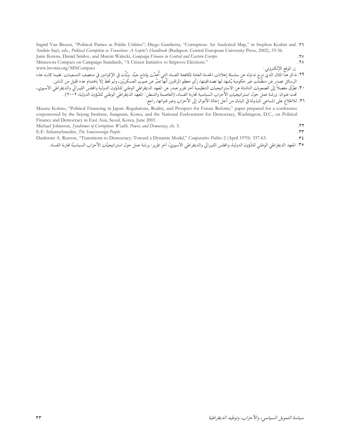| Ingrid Van Biezen, "Political Parties as Public Utilities"; Diego Gambetta, "Corruption: An Analytical Map," in Stephen Kotkin and .11                                                                                           |                 |
|----------------------------------------------------------------------------------------------------------------------------------------------------------------------------------------------------------------------------------|-----------------|
| András Sajó, eds., <i>Political Corruption in Transition: A Sceptic's Handbook</i> (Budapest: Central European University Press, 2002), 33-56.                                                                                   |                 |
| Janis Ikstens, Daniel Smilov, and Marcin Walecki, <i>Campaign Finance in Central and Eastern Europe</i> .                                                                                                                        | .7 <sub>V</sub> |
| Minnesota Compact on Campaign Standards, "A Citizen Initiative to Improve Elections."                                                                                                                                            | $.7\wedge$      |
| زر الموقع الإلكتروني:<br>www.lwvmn.org/MNCompact                                                                                                                                                                                 |                 |
|                                                                                                                                                                                                                                  |                 |
| ٢٩. نذكر هنا المثال الذي درج تداوله عن سلسلة إعلانات الخدمة العامة لمكافحة الفساد التي أُعدَّت بإنتاج جيَّد وبُثَّت في الإكوادور في منتصف التسعينات. ففيما كانت هذه<br>الرسائل تصدر عن منظَّمات غير حكومية يُشهد لها بمصداقيتها، |                 |
| ٣٠. تطرَّق مفصلاً إلى الصعوبات الناشئة عن الاستراتيجيات التنظيمية أخر تقرير صدر عن المعهد الديقواللوظني للشّؤون الدولية والمجلس الليبرالي والديمقراطي الاسيوي،                                                                   |                 |
| تحت عنوان: ورشة عمل حول استراتيجيات الأحزاب السياسية لحاربة الفساد، (العاصمة واشنطن: المهد الديقراطي الوطني للشّؤون الدولية، ٢٠٠٢).                                                                                              |                 |
| ٣١. للاطلاع على المساعي المبذولة في اليابان من أجل إحالة الأموال إلى الأحزاب وعبر قنواتها، راجع:                                                                                                                                 |                 |

Masaru Kohno, "Political Financing in Japan: Regulations, Reality, and Prospect for Future Reform," paper prepared for a conference cosponsored by the Sejong Institute, Sungnam, Korea, and the National Endowment for Democracy, Washington, D.C., on Political Finance and Democracy in East Asia, Seoul, Korea, June 2001.

| Michael Johnston, Syndromes of Corruption: Wealth, Power, and Democracy, ch. 5. |  |
|---------------------------------------------------------------------------------|--|
| E.E. Schattschneider, The Semisovereign People.                                 |  |

E.E. Schattschneider, The Semisovereign People.

Dankwart A. Rustow, "Transitions to Democracy: Toward a Dynamic Model," Comparative Politics 2 (April 1970): 337-63.  $.75$ 

٣٥. المعهد الديمقراطي الوطني للشَّؤون الدولية، والجلس الليبرالي والديمقراطي الأسيويّ، أخر تقرير: ورشة عمل حول استراتيجيّات الأحزاب السياسيّة لحاربة الفساد.